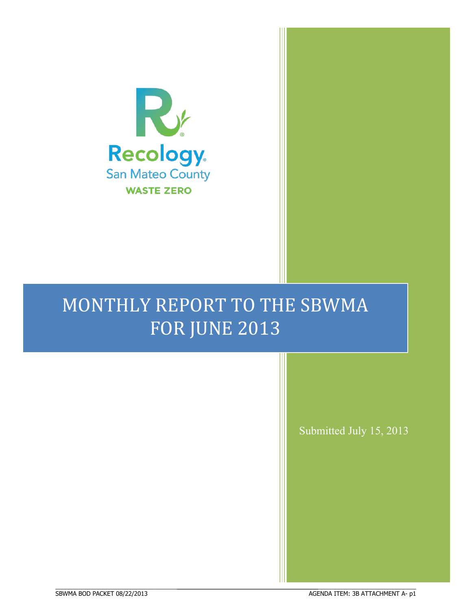

# MONTHLY REPORT TO THE SBWMA FOR JUNE 2013

BBBBBBBBBBBBBBBBBBBBBBBBBBBBBBBBBBBBBBBBBBBBBBBBBBBBBBBBBBBBBBBBBBBBBBBBBBBBBB

ł

Submitted July 15, 2013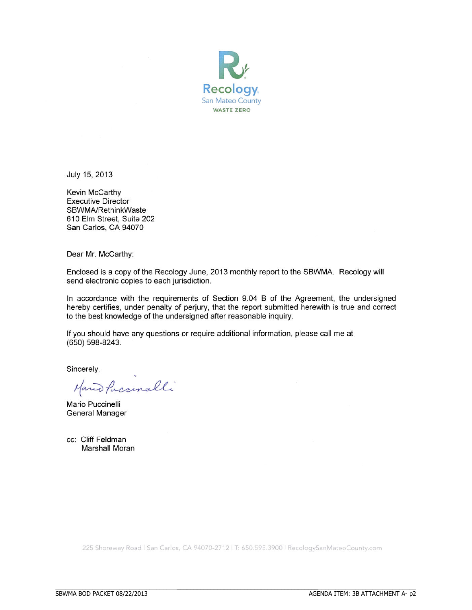

July 15, 2013

Kevin McCarthy **Executive Director** SBWMA/RethinkWaste 610 Elm Street, Suite 202 San Carlos, CA 94070

Dear Mr. McCarthy:

Enclosed is a copy of the Recology June, 2013 monthly report to the SBWMA. Recology will send electronic copies to each jurisdiction.

In accordance with the requirements of Section 9.04 B of the Agreement, the undersigned hereby certifies, under penalty of perjury, that the report submitted herewith is true and correct to the best knowledge of the undersigned after reasonable inquiry.

If you should have any questions or require additional information, please call me at (650) 598-8243.

Sincerely,

Mand Paccinelli

Mario Puccinelli General Manager

cc: Cliff Feldman Marshall Moran

225 Shoreway Road | San Carlos, CA 94070-2712 | T: 650.595.3900 | RecologySanMateoCounty.com

BBBBBBBBBBBBBBBBBBBBBBBBBBBBBBBBBBBBBBBBBBBBBBBBBBBBBBBBBBBBBBBBBBBBBBBBBBBBBB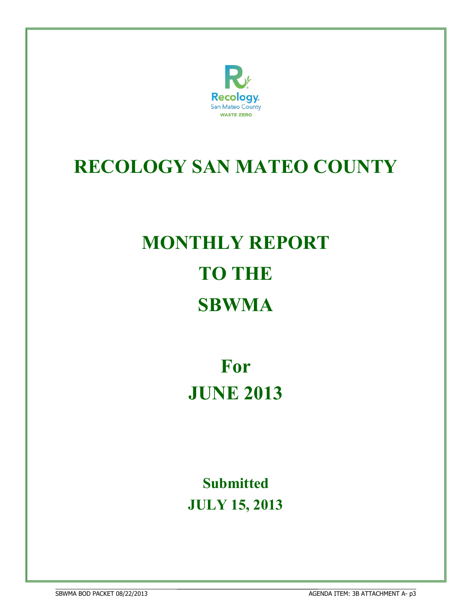

# **RECOLOGY SAN MATEO COUNTY**

# **MONTHLY REPORT TO THE SBWMA**

**For JUNE 2013**

**Submitted JULY 15, 2013**

BBBBBBBBBBBBBBBBBBBBBBBBBBBBBBBBBBBBBBBBBBBBBBBBBBBBBBBBBBBBBBBBBBBBBBBBBBBBBB **68WMA BOD PACKET 08/22/2013** 

BBBBBBBBBBBBBBBBBBBBBBBBBBBBBBBBBBBBBBBBBBBBBBBBBBBBBBBBBBBBBBBBBBBBBBB AGENDA ITEM: 3B ATTACHMENT A- p3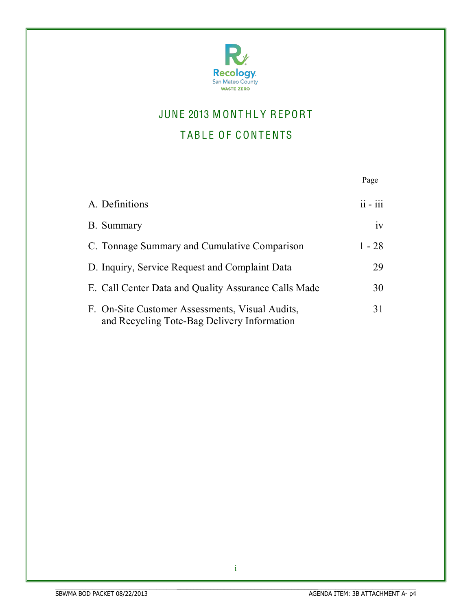

## JUNE 2013 MONTHLY REPORT

## TABLE OF CONTENTS

|                                                                                                | Page       |
|------------------------------------------------------------------------------------------------|------------|
| A. Definitions                                                                                 | $ii - iii$ |
| B. Summary                                                                                     | iv         |
| C. Tonnage Summary and Cumulative Comparison                                                   | $1 - 28$   |
| D. Inquiry, Service Request and Complaint Data                                                 | 29         |
| E. Call Center Data and Quality Assurance Calls Made                                           | 30         |
| F. On-Site Customer Assessments, Visual Audits,<br>and Recycling Tote-Bag Delivery Information | 31         |

i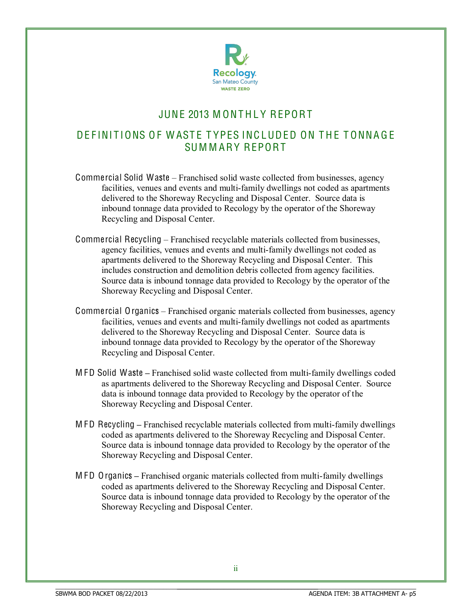

## JUNE 2013 MONTHI Y REPORT

## DE FINITIONS OF WASTE TYPES INCLUDED ON THE TONNAGE SUM M ARY REPORT

- Commercial Solid Waste Franchised solid waste collected from businesses, agency facilities, venues and events and multi-family dwellings not coded as apartments delivered to the Shoreway Recycling and Disposal Center. Source data is inbound tonnage data provided to Recology by the operator of the Shoreway Recycling and Disposal Center.
- Commercial Recycling Franchised recyclable materials collected from businesses, agency facilities, venues and events and multi-family dwellings not coded as apartments delivered to the Shoreway Recycling and Disposal Center. This includes construction and demolition debris collected from agency facilities. Source data is inbound tonnage data provided to Recology by the operator of the Shoreway Recycling and Disposal Center.
- Commercial Organics Franchised organic materials collected from businesses, agency facilities, venues and events and multi-family dwellings not coded as apartments delivered to the Shoreway Recycling and Disposal Center. Source data is inbound tonnage data provided to Recology by the operator of the Shoreway Recycling and Disposal Center.
- M FD Solid Waste **±** Franchised solid waste collected from multi-family dwellings coded as apartments delivered to the Shoreway Recycling and Disposal Center. Source data is inbound tonnage data provided to Recology by the operator of the Shoreway Recycling and Disposal Center.
- M FD Recycling **±** Franchised recyclable materials collected from multi-family dwellings coded as apartments delivered to the Shoreway Recycling and Disposal Center. Source data is inbound tonnage data provided to Recology by the operator of the Shoreway Recycling and Disposal Center.
- M FD Organics **±** Franchised organic materials collected from multi-family dwellings coded as apartments delivered to the Shoreway Recycling and Disposal Center. Source data is inbound tonnage data provided to Recology by the operator of the Shoreway Recycling and Disposal Center.

BBBBBBBBBBBBBBBBBBBBBBBBBBBBBBBBBBBBBBBBBBBBBBBBBBBBBBBBBBBBBBBBBBBBBBB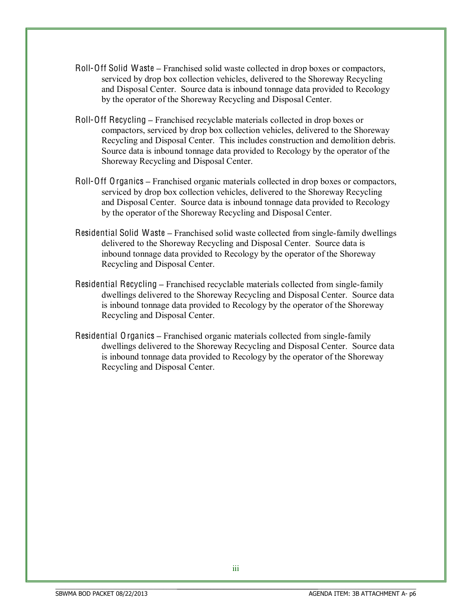- Roll-Off Solid Waste **±** Franchised solid waste collected in drop boxes or compactors, serviced by drop box collection vehicles, delivered to the Shoreway Recycling and Disposal Center. Source data is inbound tonnage data provided to Recology by the operator of the Shoreway Recycling and Disposal Center.
- Roll-Off Recycling Franchised recyclable materials collected in drop boxes or compactors, serviced by drop box collection vehicles, delivered to the Shoreway Recycling and Disposal Center. This includes construction and demolition debris. Source data is inbound tonnage data provided to Recology by the operator of the Shoreway Recycling and Disposal Center.
- Roll-Off Organics Franchised organic materials collected in drop boxes or compactors, serviced by drop box collection vehicles, delivered to the Shoreway Recycling and Disposal Center. Source data is inbound tonnage data provided to Recology by the operator of the Shoreway Recycling and Disposal Center.
- Residential Solid Waste Franchised solid waste collected from single-family dwellings delivered to the Shoreway Recycling and Disposal Center. Source data is inbound tonnage data provided to Recology by the operator of the Shoreway Recycling and Disposal Center.
- Residential Recycling **±** Franchised recyclable materials collected from single-family dwellings delivered to the Shoreway Recycling and Disposal Center. Source data is inbound tonnage data provided to Recology by the operator of the Shoreway Recycling and Disposal Center.
- Residential Organics **±** Franchised organic materials collected from single-family dwellings delivered to the Shoreway Recycling and Disposal Center. Source data is inbound tonnage data provided to Recology by the operator of the Shoreway Recycling and Disposal Center.

BBBBBBBBBBBBBBBBBBBBBBBBBBBBBBBBBBBBBBBBBBBBBBBBBBBBBBBBBBBBBBBBBBBBBBB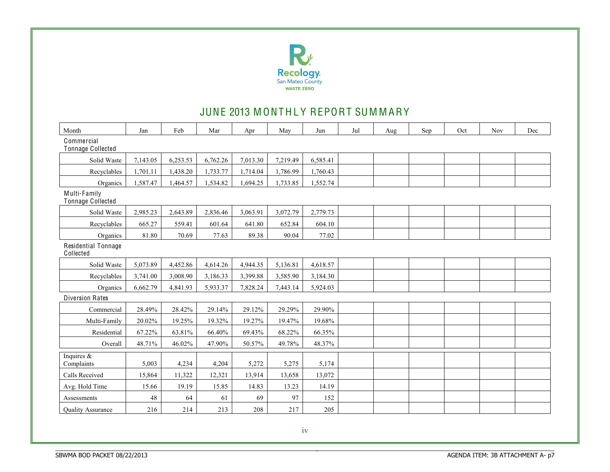

## JUNE 2013 MONTHLY REPORT SUMMARY

| Month                             | Jan      | Feb      | Mar      | Apr      | May      | Jun      | Jul | Aug | Sep | Oct | Nov | Dec |
|-----------------------------------|----------|----------|----------|----------|----------|----------|-----|-----|-----|-----|-----|-----|
| Commercial<br>Tonnage Collected   |          |          |          |          |          |          |     |     |     |     |     |     |
| Solid Waste                       | 7,143.05 | 6,253.53 | 6,762.26 | 7,013.30 | 7,219.49 | 6,585.41 |     |     |     |     |     |     |
| Recyclables                       | 1,701.11 | 1,438.20 | 1,733.77 | 1,714.04 | 1,786.99 | 1,760.43 |     |     |     |     |     |     |
| Organics                          | 1,587.47 | 1,464.57 | 1,534.82 | 1,694.25 | 1,733.85 | 1,552.74 |     |     |     |     |     |     |
| Multi-Family<br>Tonnage Collected |          |          |          |          |          |          |     |     |     |     |     |     |
| Solid Waste                       | 2,985.23 | 2,643.89 | 2,836.46 | 3,063.91 | 3,072.79 | 2,779.73 |     |     |     |     |     |     |
| Recyclables                       | 665.27   | 559.41   | 601.64   | 641.80   | 652.84   | 604.10   |     |     |     |     |     |     |
| Organics                          | 81.80    | 70.69    | 77.63    | 89.38    | 90.04    | 77.02    |     |     |     |     |     |     |
| Residential Tonnage<br>Collected  |          |          |          |          |          |          |     |     |     |     |     |     |
| Solid Waste                       | 5,073.89 | 4,452.86 | 4,614.26 | 4,944.35 | 5,136.81 | 4,618.57 |     |     |     |     |     |     |
| Recyclables                       | 3,741.00 | 3,008.90 | 3,186.33 | 3,399.88 | 3,585.90 | 3,184.30 |     |     |     |     |     |     |
| Organics                          | 6,662.79 | 4,841.93 | 5,933.37 | 7,828.24 | 7,443.14 | 5,924.03 |     |     |     |     |     |     |
| <b>Diversion Rates</b>            |          |          |          |          |          |          |     |     |     |     |     |     |
| Commercial                        | 28.49%   | 28.42%   | 29.14%   | 29.12%   | 29.29%   | 29.90%   |     |     |     |     |     |     |
| Multi-Family                      | 20.02%   | 19.25%   | 19.32%   | 19.27%   | 19.47%   | 19.68%   |     |     |     |     |     |     |
| Residential                       | 67.22%   | 63.81%   | 66.40%   | 69.43%   | 68.22%   | 66.35%   |     |     |     |     |     |     |
| Overall                           | 48.71%   | 46.02%   | 47.90%   | 50.57%   | 49.78%   | 48.37%   |     |     |     |     |     |     |
| Inquires $\&$<br>Complaints       | 5,003    | 4,234    | 4,204    | 5,272    | 5,275    | 5,174    |     |     |     |     |     |     |
| Calls Received                    | 15,864   | 11,322   | 12,321   | 13,914   | 13,658   | 13,072   |     |     |     |     |     |     |
| Avg. Hold Time                    | 15.66    | 19.19    | 15.85    | 14.83    | 13.23    | 14.19    |     |     |     |     |     |     |
| Assessments                       | 48       | 64       | 61       | 69       | 97       | 152      |     |     |     |     |     |     |
| <b>Ouality Assurance</b>          | 216      | 214      | 213      | 208      | 217      | 205      |     |     |     |     |     |     |

BBBBBBBBBBBBBBBBBBBBBBBBBBBBBBBBBBBBBBBBBBBBBBBBBBBBBBBBBBBBBBBBBBBBBBBBBBBBBB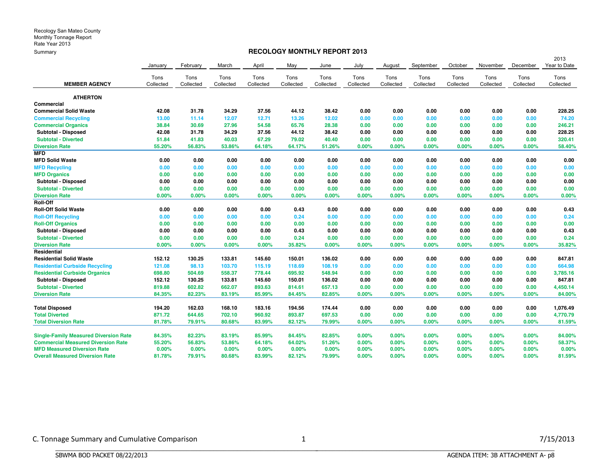## **RECOLOGY MONTHLY REPORT 2013**

|                                              |           |           |           |           |           |           |           |           |           |           |           |           | 2013         |
|----------------------------------------------|-----------|-----------|-----------|-----------|-----------|-----------|-----------|-----------|-----------|-----------|-----------|-----------|--------------|
|                                              | January   | February  | March     | April     | May       | June      | July      | August    | September | October   | November  | December  | Year to Date |
|                                              | Tons      | Tons      | Tons      | Tons      | Tons      | Tons      | Tons      | Tons      | Tons      | Tons      | Tons      | Tons      | Tons         |
| <b>MEMBER AGENCY</b>                         | Collected | Collected | Collected | Collected | Collected | Collected | Collected | Collected | Collected | Collected | Collected | Collected | Collected    |
| <b>ATHERTON</b>                              |           |           |           |           |           |           |           |           |           |           |           |           |              |
| Commercial                                   |           |           |           |           |           |           |           |           |           |           |           |           |              |
| <b>Commercial Solid Waste</b>                | 42.08     | 31.78     | 34.29     | 37.56     | 44.12     | 38.42     | 0.00      | 0.00      | 0.00      | 0.00      | 0.00      | 0.00      | 228.25       |
| <b>Commercial Recycling</b>                  | 13.00     | 11.14     | 12.07     | 12.71     | 13.26     | 12.02     | 0.00      | 0.00      | 0.00      | 0.00      | 0.00      | 0.00      | 74.20        |
| <b>Commercial Organics</b>                   | 38.84     | 30.69     | 27.96     | 54.58     | 65.76     | 28.38     | 0.00      | 0.00      | 0.00      | 0.00      | 0.00      | 0.00      | 246.21       |
| Subtotal - Disposed                          | 42.08     | 31.78     | 34.29     | 37.56     | 44.12     | 38.42     | 0.00      | 0.00      | 0.00      | 0.00      | 0.00      | 0.00      | 228.25       |
| <b>Subtotal - Diverted</b>                   | 51.84     | 41.83     | 40.03     | 67.29     | 79.02     | 40.40     | 0.00      | 0.00      | 0.00      | 0.00      | 0.00      | 0.00      | 320.41       |
| <b>Diversion Rate</b>                        | 55.20%    | 56.83%    | 53.86%    | 64.18%    | 64.17%    | 51.26%    | 0.00%     | $0.00\%$  | 0.00%     | 0.00%     | 0.00%     | 0.00%     | 58.40%       |
| <b>MFD</b>                                   |           |           |           |           |           |           |           |           |           |           |           |           |              |
| <b>MFD Solid Waste</b>                       | 0.00      | 0.00      | 0.00      | 0.00      | 0.00      | 0.00      | 0.00      | 0.00      | 0.00      | 0.00      | 0.00      | 0.00      | 0.00         |
| <b>MFD Recycling</b>                         | 0.00      | 0.00      | 0.00      | 0.00      | 0.00      | 0.00      | 0.00      | 0.00      | 0.00      | 0.00      | 0.00      | 0.00      | 0.00         |
| <b>MFD Organics</b>                          | 0.00      | 0.00      | 0.00      | 0.00      | 0.00      | 0.00      | 0.00      | 0.00      | 0.00      | 0.00      | 0.00      | 0.00      | 0.00         |
| Subtotal - Disposed                          | 0.00      | 0.00      | 0.00      | 0.00      | 0.00      | 0.00      | 0.00      | 0.00      | 0.00      | 0.00      | 0.00      | 0.00      | 0.00         |
| <b>Subtotal - Diverted</b>                   | 0.00      | 0.00      | 0.00      | 0.00      | 0.00      | 0.00      | 0.00      | 0.00      | 0.00      | 0.00      | 0.00      | 0.00      | 0.00         |
| <b>Diversion Rate</b>                        | 0.00%     | 0.00%     | 0.00%     | 0.00%     | 0.00%     | 0.00%     | 0.00%     | 0.00%     | 0.00%     | 0.00%     | 0.00%     | 0.00%     | 0.00%        |
| Roll-Off                                     |           |           |           |           |           |           |           |           |           |           |           |           |              |
| <b>Roll-Off Solid Waste</b>                  | 0.00      | 0.00      | 0.00      | 0.00      | 0.43      | 0.00      | 0.00      | 0.00      | 0.00      | 0.00      | 0.00      | 0.00      | 0.43         |
| <b>Roll-Off Recycling</b>                    | 0.00      | 0.00      | 0.00      | 0.00      | 0.24      | 0.00      | 0.00      | 0.00      | 0.00      | 0.00      | 0.00      | 0.00      | 0.24         |
| <b>Roll-Off Organics</b>                     | 0.00      | 0.00      | 0.00      | 0.00      | 0.00      | 0.00      | 0.00      | 0.00      | 0.00      | 0.00      | 0.00      | 0.00      | 0.00         |
| Subtotal - Disposed                          | 0.00      | 0.00      | 0.00      | 0.00      | 0.43      | 0.00      | 0.00      | 0.00      | 0.00      | 0.00      | 0.00      | 0.00      | 0.43         |
| <b>Subtotal - Diverted</b>                   | 0.00      | 0.00      | 0.00      | 0.00      | 0.24      | 0.00      | 0.00      | 0.00      | 0.00      | 0.00      | 0.00      | 0.00      | 0.24         |
| <b>Diversion Rate</b>                        | 0.00%     | 0.00%     | 0.00%     | 0.00%     | 35.82%    | 0.00%     | 0.00%     | $0.00\%$  | 0.00%     | 0.00%     | 0.00%     | 0.00%     | 35.82%       |
| Residential                                  |           |           |           |           |           |           |           |           |           |           |           |           |              |
| <b>Residential Solid Waste</b>               | 152.12    | 130.25    | 133.81    | 145.60    | 150.01    | 136.02    | 0.00      | 0.00      | 0.00      | 0.00      | 0.00      | 0.00      | 847.81       |
| <b>Residential Curbside Recycling</b>        | 121.08    | 98.13     | 103.70    | 115.19    | 118.69    | 108.19    | 0.00      | 0.00      | 0.00      | 0.00      | 0.00      | 0.00      | 664.98       |
| <b>Residential Curbside Organics</b>         | 698.80    | 504.69    | 558.37    | 778.44    | 695.92    | 548.94    | 0.00      | 0.00      | 0.00      | 0.00      | 0.00      | 0.00      | 3,785.16     |
| Subtotal - Disposed                          | 152.12    | 130.25    | 133.81    | 145.60    | 150.01    | 136.02    | 0.00      | 0.00      | 0.00      | 0.00      | 0.00      | 0.00      | 847.81       |
| <b>Subtotal - Diverted</b>                   | 819.88    | 602.82    | 662.07    | 893.63    | 814.61    | 657.13    | 0.00      | 0.00      | 0.00      | 0.00      | 0.00      | 0.00      | 4,450.14     |
| <b>Diversion Rate</b>                        | 84.35%    | 82.23%    | 83.19%    | 85.99%    | 84.45%    | 82.85%    | 0.00%     | 0.00%     | 0.00%     | 0.00%     | 0.00%     | 0.00%     | 84.00%       |
| <b>Total Disposed</b>                        | 194.20    | 162.03    | 168.10    | 183.16    | 194.56    | 174.44    | 0.00      | 0.00      | 0.00      | 0.00      | 0.00      | 0.00      | 1,076.49     |
| <b>Total Diverted</b>                        | 871.72    | 644.65    | 702.10    | 960.92    | 893.87    | 697.53    | 0.00      | 0.00      | 0.00      | 0.00      | 0.00      | 0.00      | 4,770.79     |
| <b>Total Diversion Rate</b>                  | 81.78%    | 79.91%    | 80.68%    | 83.99%    | 82.12%    | 79.99%    | 0.00%     | 0.00%     | 0.00%     | 0.00%     | 0.00%     | 0.00%     | 81.59%       |
| <b>Single-Family Measured Diversion Rate</b> | 84.35%    | 82.23%    | 83.19%    | 85.99%    | 84.45%    | 82.85%    | $0.00\%$  | $0.00\%$  | 0.00%     | 0.00%     | 0.00%     | 0.00%     | 84.00%       |
| <b>Commercial Measured Diversion Rate</b>    | 55.20%    | 56.83%    | 53.86%    | 64.18%    | 64.02%    | 51.26%    | 0.00%     | 0.00%     | 0.00%     | $0.00\%$  | 0.00%     | 0.00%     | 58.37%       |
| <b>MFD Measured Diversion Rate</b>           | 0.00%     | 0.00%     | $0.00\%$  | 0.00%     | 0.00%     | 0.00%     | $0.00\%$  | 0.00%     | 0.00%     | $0.00\%$  | 0.00%     | 0.00%     | 0.00%        |
| <b>Overall Measured Diversion Rate</b>       | 81.78%    | 79.91%    | 80.68%    | 83.99%    | 82.12%    | 79.99%    | 0.00%     | 0.00%     | 0.00%     | 0.00%     | 0.00%     | 0.00%     | 81.59%       |

BBBBBBBBBBBBBBBBBBBBBBBBBBBBBBBBBBBBBBBBBBBBBBBBBBBBBBBBBBBBBBBBBBBBBBBBBBBBBB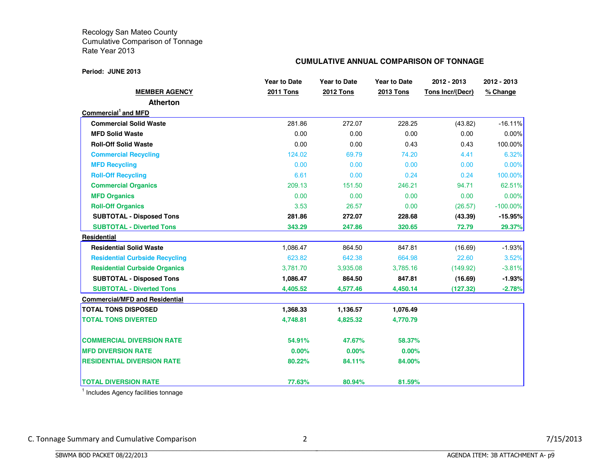## **CUMULATIVE ANNUAL COMPARISON OF TONNAGE**

|                                       | <b>Year to Date</b> | <b>Year to Date</b> | <b>Year to Date</b> | 2012 - 2013             | 2012 - 2013 |  |  |
|---------------------------------------|---------------------|---------------------|---------------------|-------------------------|-------------|--|--|
| <b>MEMBER AGENCY</b>                  | <b>2011 Tons</b>    | <b>2012 Tons</b>    | <b>2013 Tons</b>    | <b>Tons Incr/(Decr)</b> | % Change    |  |  |
| <b>Atherton</b>                       |                     |                     |                     |                         |             |  |  |
| Commercial <sup>1</sup> and MFD       |                     |                     |                     |                         |             |  |  |
| <b>Commercial Solid Waste</b>         | 281.86              | 272.07              | 228.25              | (43.82)                 | $-16.11\%$  |  |  |
| <b>MFD Solid Waste</b>                | 0.00                | 0.00                | 0.00                | 0.00                    | $0.00\%$    |  |  |
| <b>Roll-Off Solid Waste</b>           | 0.00                | 0.00                | 0.43                | 0.43                    | 100.00%     |  |  |
| <b>Commercial Recycling</b>           | 124.02              | 69.79               | 74.20               | 4.41                    | 6.32%       |  |  |
| <b>MFD Recycling</b>                  | 0.00                | 0.00                | 0.00                | 0.00                    | 0.00%       |  |  |
| <b>Roll-Off Recycling</b>             | 6.61                | 0.00                | 0.24                | 0.24                    | 100.00%     |  |  |
| <b>Commercial Organics</b>            | 209.13              | 151.50              | 246.21              | 94.71                   | 62.51%      |  |  |
| <b>MFD Organics</b>                   | 0.00                | 0.00                | 0.00                | 0.00                    | 0.00%       |  |  |
| <b>Roll-Off Organics</b>              | 3.53                | 26.57               | 0.00                | (26.57)                 | $-100.00\%$ |  |  |
| <b>SUBTOTAL - Disposed Tons</b>       | 281.86              | 272.07              | 228.68              | (43.39)                 | $-15.95%$   |  |  |
| <b>SUBTOTAL - Diverted Tons</b>       | 343.29              | 247.86              | 320.65              | 72.79                   | 29.37%      |  |  |
| <b>Residential</b>                    |                     |                     |                     |                         |             |  |  |
| <b>Residential Solid Waste</b>        | 1,086.47            | 864.50              | 847.81              | (16.69)                 | $-1.93%$    |  |  |
| <b>Residential Curbside Recycling</b> | 623.82              | 642.38              | 664.98              | 22.60                   | 3.52%       |  |  |
| <b>Residential Curbside Organics</b>  | 3.781.70            | 3,935.08            | 3,785.16            | (149.92)                | $-3.81%$    |  |  |
| <b>SUBTOTAL - Disposed Tons</b>       | 1,086.47            | 864.50              | 847.81              | (16.69)                 | $-1.93%$    |  |  |
| <b>SUBTOTAL - Diverted Tons</b>       | 4,405.52            | 4,577.46            | 4,450.14            | (127.32)                | $-2.78%$    |  |  |
| <b>Commercial/MFD and Residential</b> |                     |                     |                     |                         |             |  |  |
| <b>TOTAL TONS DISPOSED</b>            | 1,368.33            | 1,136.57            | 1,076.49            |                         |             |  |  |
| <b>TOTAL TONS DIVERTED</b>            | 4,748.81            | 4,825.32            | 4,770.79            |                         |             |  |  |
| <b>COMMERCIAL DIVERSION RATE</b>      | 54.91%              | 47.67%              | 58,37%              |                         |             |  |  |
| <b>MFD DIVERSION RATE</b>             | 0.00%               | 0.00%               | 0.00%               |                         |             |  |  |
| <b>RESIDENTIAL DIVERSION RATE</b>     | 80.22%              | 84.11%              | 84.00%              |                         |             |  |  |
| <b>TOTAL DIVERSION RATE</b>           | 77.63%              | 80.94%              | 81.59%              |                         |             |  |  |

 $<sup>1</sup>$  Includes Agency facilities tonnage</sup>

BBBBBBBBBBBBBBBBBBBBBBBBBBBBBBBBBBBBBBBBBBBBBBBBBBBBBBBBBBBBBBBBBBBBBBBBBBBBBB

C.#Tonnage#Summary#and#Cumulative#Comparison 2 7/15/2013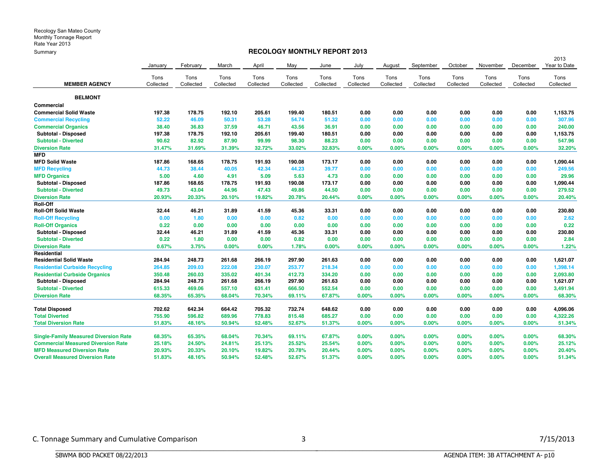## **RECOLOGY MONTHLY REPORT 2013**

|                                              |           |           |           |           |           |           |           |           |           |           |           |           | 2013         |
|----------------------------------------------|-----------|-----------|-----------|-----------|-----------|-----------|-----------|-----------|-----------|-----------|-----------|-----------|--------------|
|                                              | January   | February  | March     | April     | May       | June      | July      | August    | September | October   | November  | December  | Year to Date |
|                                              | Tons      | Tons      | Tons      | Tons      | Tons      | Tons      | Tons      | Tons      | Tons      | Tons      | Tons      | Tons      | Tons         |
| <b>MEMBER AGENCY</b>                         | Collected | Collected | Collected | Collected | Collected | Collected | Collected | Collected | Collected | Collected | Collected | Collected | Collected    |
| <b>BELMONT</b>                               |           |           |           |           |           |           |           |           |           |           |           |           |              |
| Commercial                                   |           |           |           |           |           |           |           |           |           |           |           |           |              |
| <b>Commercial Solid Waste</b>                | 197.38    | 178.75    | 192.10    | 205.61    | 199.40    | 180.51    | 0.00      | 0.00      | 0.00      | 0.00      | 0.00      | 0.00      | 1,153.75     |
| <b>Commercial Recycling</b>                  | 52.22     | 46.09     | 50.31     | 53.28     | 54.74     | 51.32     | 0.00      | 0.00      | 0.00      | 0.00      | 0.00      | 0.00      | 307.96       |
| <b>Commercial Organics</b>                   | 38.40     | 36.83     | 37.59     | 46.71     | 43.56     | 36.91     | 0.00      | 0.00      | 0.00      | 0.00      | 0.00      | 0.00      | 240.00       |
| <b>Subtotal - Disposed</b>                   | 197.38    | 178.75    | 192.10    | 205.61    | 199.40    | 180.51    | 0.00      | 0.00      | 0.00      | 0.00      | 0.00      | 0.00      | 1,153.75     |
| <b>Subtotal - Diverted</b>                   | 90.62     | 82.92     | 87.90     | 99.99     | 98.30     | 88.23     | 0.00      | 0.00      | 0.00      | 0.00      | 0.00      | 0.00      | 547.96       |
| <b>Diversion Rate</b>                        | 31.47%    | 31.69%    | 31.39%    | 32.72%    | 33.02%    | 32.83%    | $0.00\%$  | $0.00\%$  | 0.00%     | 0.00%     | 0.00%     | 0.00%     | 32.20%       |
| <b>MFD</b>                                   |           |           |           |           |           |           |           |           |           |           |           |           |              |
| <b>MFD Solid Waste</b>                       | 187.86    | 168.65    | 178.75    | 191.93    | 190.08    | 173.17    | 0.00      | 0.00      | 0.00      | 0.00      | 0.00      | 0.00      | 1,090.44     |
| <b>MFD Recycling</b>                         | 44.73     | 38.44     | 40.05     | 42.34     | 44.23     | 39.77     | 0.00      | 0.00      | 0.00      | 0.00      | 0.00      | 0.00      | 249.56       |
| <b>MFD Organics</b>                          | 5.00      | 4.60      | 4.91      | 5.09      | 5.63      | 4.73      | 0.00      | 0.00      | 0.00      | 0.00      | 0.00      | 0.00      | 29.96        |
| Subtotal - Disposed                          | 187.86    | 168.65    | 178.75    | 191.93    | 190.08    | 173.17    | 0.00      | 0.00      | 0.00      | 0.00      | 0.00      | 0.00      | 1,090.44     |
| <b>Subtotal - Diverted</b>                   | 49.73     | 43.04     | 44.96     | 47.43     | 49.86     | 44.50     | 0.00      | 0.00      | 0.00      | 0.00      | 0.00      | 0.00      | 279.52       |
| <b>Diversion Rate</b>                        | 20.93%    | 20.33%    | 20.10%    | 19.82%    | 20.78%    | 20.44%    | 0.00%     | 0.00%     | 0.00%     | 0.00%     | 0.00%     | 0.00%     | 20.40%       |
| Roll-Off                                     |           |           |           |           |           |           |           |           |           |           |           |           |              |
| <b>Roll-Off Solid Waste</b>                  | 32.44     | 46.21     | 31.89     | 41.59     | 45.36     | 33.31     | 0.00      | 0.00      | 0.00      | 0.00      | 0.00      | 0.00      | 230.80       |
| <b>Roll-Off Recycling</b>                    | 0.00      | 1.80      | 0.00      | 0.00      | 0.82      | 0.00      | 0.00      | 0.00      | 0.00      | 0.00      | 0.00      | 0.00      | 2.62         |
| <b>Roll-Off Organics</b>                     | 0.22      | 0.00      | 0.00      | 0.00      | 0.00      | 0.00      | 0.00      | 0.00      | 0.00      | 0.00      | 0.00      | 0.00      | 0.22         |
| Subtotal - Disposed                          | 32.44     | 46.21     | 31.89     | 41.59     | 45.36     | 33.31     | 0.00      | 0.00      | 0.00      | 0.00      | 0.00      | 0.00      | 230.80       |
| <b>Subtotal - Diverted</b>                   | 0.22      | 1.80      | 0.00      | 0.00      | 0.82      | 0.00      | 0.00      | 0.00      | 0.00      | 0.00      | 0.00      | 0.00      | 2.84         |
| <b>Diversion Rate</b>                        | 0.67%     | 3.75%     | 0.00%     | 0.00%     | 1.78%     | 0.00%     | 0.00%     | $0.00\%$  | 0.00%     | 0.00%     | 0.00%     | 0.00%     | 1.22%        |
| Residential                                  |           |           |           |           |           |           |           |           |           |           |           |           |              |
| <b>Residential Solid Waste</b>               | 284.94    | 248.73    | 261.68    | 266.19    | 297.90    | 261.63    | 0.00      | 0.00      | 0.00      | 0.00      | 0.00      | 0.00      | 1,621.07     |
| <b>Residential Curbside Recycling</b>        | 264.85    | 209.03    | 222.08    | 230.07    | 253.77    | 218.34    | 0.00      | 0.00      | 0.00      | 0.00      | 0.00      | 0.00      | 1,398.14     |
| <b>Residential Curbside Organics</b>         | 350.48    | 260.03    | 335.02    | 401.34    | 412.73    | 334.20    | 0.00      | 0.00      | 0.00      | 0.00      | 0.00      | 0.00      | 2,093.80     |
| <b>Subtotal - Disposed</b>                   | 284.94    | 248.73    | 261.68    | 266.19    | 297.90    | 261.63    | 0.00      | 0.00      | 0.00      | 0.00      | 0.00      | 0.00      | 1,621.07     |
| <b>Subtotal - Diverted</b>                   | 615.33    | 469.06    | 557.10    | 631.41    | 666.50    | 552.54    | 0.00      | 0.00      | 0.00      | 0.00      | 0.00      | 0.00      | 3,491.94     |
| <b>Diversion Rate</b>                        | 68.35%    | 65.35%    | 68.04%    | 70.34%    | 69.11%    | 67.87%    | 0.00%     | 0.00%     | 0.00%     | 0.00%     | 0.00%     | 0.00%     | 68.30%       |
| <b>Total Disposed</b>                        | 702.62    | 642.34    | 664.42    | 705.32    | 732.74    | 648.62    | 0.00      | 0.00      | 0.00      | 0.00      | 0.00      | 0.00      | 4,096.06     |
| <b>Total Diverted</b>                        | 755.90    | 596.82    | 689.96    | 778.83    | 815.48    | 685.27    | 0.00      | 0.00      | 0.00      | 0.00      | 0.00      | 0.00      | 4,322.26     |
| <b>Total Diversion Rate</b>                  | 51.83%    | 48.16%    | 50.94%    | 52.48%    | 52.67%    | 51.37%    | 0.00%     | 0.00%     | 0.00%     | 0.00%     | 0.00%     | 0.00%     | 51.34%       |
| <b>Single-Family Measured Diversion Rate</b> | 68.35%    | 65.35%    | 68.04%    | 70.34%    | 69.11%    | 67.87%    | 0.00%     | 0.00%     | 0.00%     | 0.00%     | 0.00%     | 0.00%     | 68.30%       |
| <b>Commercial Measured Diversion Rate</b>    | 25.18%    | 24.50%    | 24.81%    | 25.13%    | 25.52%    | 25.54%    | 0.00%     | 0.00%     | 0.00%     | 0.00%     | 0.00%     | 0.00%     | 25.12%       |
| <b>MFD Measured Diversion Rate</b>           | 20.93%    | 20.33%    | 20.10%    | 19.82%    | 20.78%    | 20.44%    | 0.00%     | 0.00%     | 0.00%     | 0.00%     | 0.00%     | 0.00%     | 20.40%       |
| <b>Overall Measured Diversion Rate</b>       | 51.83%    | 48.16%    | 50.94%    | 52.48%    | 52.67%    | 51.37%    | $0.00\%$  | $0.00\%$  | 0.00%     | 0.00%     | 0.00%     | $0.00\%$  | 51.34%       |

BBBBBBBBBBBBBBBBBBBBBBBBBBBBBBBBBBBBBBBBBBBBBBBBBBBBBBBBBBBBBBBBBBBBBBBBBBBBBB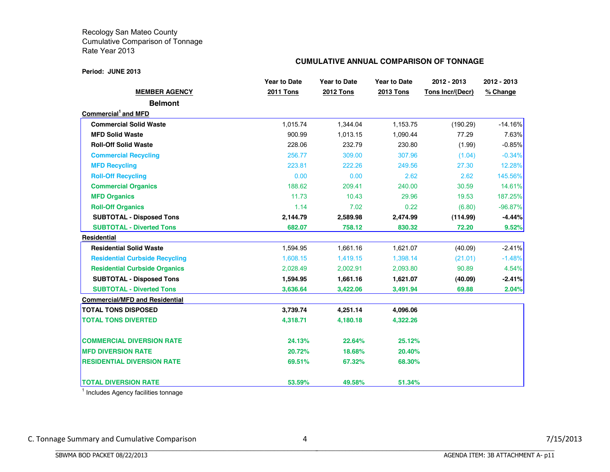#### **Period: JUNE 2013**

## **CUMULATIVE ANNUAL COMPARISON OF TONNAGE**

|                                       | <b>Year to Date</b> | <b>Year to Date</b> | <b>Year to Date</b> | 2012 - 2013      | 2012 - 2013 |  |
|---------------------------------------|---------------------|---------------------|---------------------|------------------|-------------|--|
| <b>MEMBER AGENCY</b>                  | <b>2011 Tons</b>    | <b>2012 Tons</b>    | <b>2013 Tons</b>    | Tons Incr/(Decr) | % Change    |  |
| <b>Belmont</b>                        |                     |                     |                     |                  |             |  |
| Commercial <sup>1</sup> and MFD       |                     |                     |                     |                  |             |  |
| <b>Commercial Solid Waste</b>         | 1,015.74            | 1,344.04            | 1,153.75            | (190.29)         | $-14.16%$   |  |
| <b>MFD Solid Waste</b>                | 900.99              | 1,013.15            | 1,090.44            | 77.29            | 7.63%       |  |
| <b>Roll-Off Solid Waste</b>           | 228.06              | 232.79              | 230.80              | (1.99)           | $-0.85%$    |  |
| <b>Commercial Recycling</b>           | 256.77              | 309.00              | 307.96              | (1.04)           | $-0.34%$    |  |
| <b>MFD Recycling</b>                  | 223.81              | 222.26              | 249.56              | 27.30            | 12.28%      |  |
| <b>Roll-Off Recycling</b>             | 0.00                | 0.00                | 2.62                | 2.62             | 145.56%     |  |
| <b>Commercial Organics</b>            | 188.62              | 209.41              | 240.00              | 30.59            | 14.61%      |  |
| <b>MFD Organics</b>                   | 11.73               | 10.43               | 29.96               | 19.53            | 187.25%     |  |
| <b>Roll-Off Organics</b>              | 1.14                | 7.02                | 0.22                | (6.80)           | $-96.87%$   |  |
| <b>SUBTOTAL - Disposed Tons</b>       | 2,144.79            | 2,589.98            | 2,474.99            | (114.99)         | -4.44%      |  |
| <b>SUBTOTAL - Diverted Tons</b>       | 682.07              | 758.12              | 830.32              | 72.20            | 9.52%       |  |
| Residential                           |                     |                     |                     |                  |             |  |
| <b>Residential Solid Waste</b>        | 1,594.95            | 1,661.16            | 1,621.07            | (40.09)          | $-2.41%$    |  |
| <b>Residential Curbside Recycling</b> | 1,608.15            | 1,419.15            | 1,398.14            | (21.01)          | $-1.48%$    |  |
| <b>Residential Curbside Organics</b>  | 2,028.49            | 2,002.91            | 2,093.80            | 90.89            | 4.54%       |  |
| <b>SUBTOTAL - Disposed Tons</b>       | 1,594.95            | 1,661.16            | 1,621.07            | (40.09)          | $-2.41%$    |  |
| <b>SUBTOTAL - Diverted Tons</b>       | 3,636.64            | 3,422.06            | 3,491.94            | 69.88            | 2.04%       |  |
| <b>Commercial/MFD and Residential</b> |                     |                     |                     |                  |             |  |
| <b>TOTAL TONS DISPOSED</b>            | 3,739.74            | 4,251.14            | 4,096.06            |                  |             |  |
| <b>TOTAL TONS DIVERTED</b>            | 4,318.71            | 4,180.18            | 4,322.26            |                  |             |  |
| <b>COMMERCIAL DIVERSION RATE</b>      | 24.13%              | 22.64%              | 25.12%              |                  |             |  |
| <b>MFD DIVERSION RATE</b>             | 20.72%              | 18.68%              | 20.40%              |                  |             |  |
| <b>RESIDENTIAL DIVERSION RATE</b>     | 69.51%              | 67.32%              | 68.30%              |                  |             |  |
| <b>TOTAL DIVERSION RATE</b>           | 53.59%              | 49.58%              | 51.34%              |                  |             |  |

 $<sup>1</sup>$  Includes Agency facilities tonnage</sup>

BBBBBBBBBBBBBBBBBBBBBBBBBBBBBBBBBBBBBBBBBBBBBBBBBBBBBBBBBBBBBBBBBBBBBBBBBBBBBB

C. Tonnage Summary and Cumulative Comparison 4 3/15/2013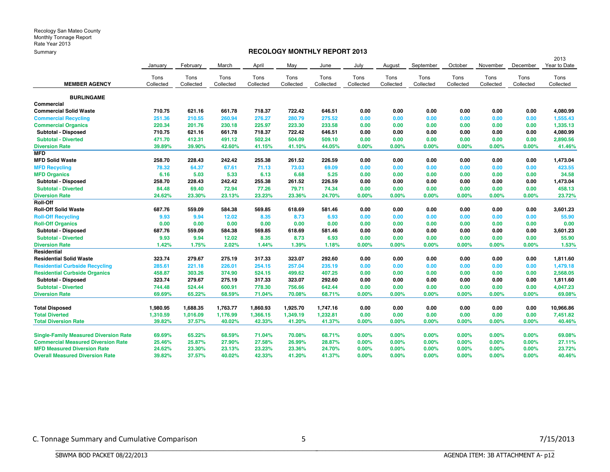## **RECOLOGY MONTHLY REPORT 2013**

|                                              |           |           |           |           |           |           |           |           |           |           |           |           | 2013         |
|----------------------------------------------|-----------|-----------|-----------|-----------|-----------|-----------|-----------|-----------|-----------|-----------|-----------|-----------|--------------|
|                                              | January   | February  | March     | April     | May       | June      | July      | August    | September | October   | November  | December  | Year to Date |
|                                              | Tons      | Tons      | Tons      | Tons      | Tons      | Tons      | Tons      | Tons      | Tons      | Tons      | Tons      | Tons      | Tons         |
| <b>MEMBER AGENCY</b>                         | Collected | Collected | Collected | Collected | Collected | Collected | Collected | Collected | Collected | Collected | Collected | Collected | Collected    |
|                                              |           |           |           |           |           |           |           |           |           |           |           |           |              |
| <b>BURLINGAME</b>                            |           |           |           |           |           |           |           |           |           |           |           |           |              |
| Commercial                                   |           |           |           |           |           |           |           |           |           |           |           |           |              |
| <b>Commercial Solid Waste</b>                | 710.75    | 621.16    | 661.78    | 718.37    | 722.42    | 646.51    | 0.00      | 0.00      | 0.00      | 0.00      | 0.00      | 0.00      | 4,080.99     |
| <b>Commercial Recycling</b>                  | 251.36    | 210.55    | 260.94    | 276.27    | 280.79    | 275.52    | 0.00      | 0.00      | 0.00      | 0.00      | 0.00      | 0.00      | 1,555.43     |
| <b>Commercial Organics</b>                   | 220.34    | 201.76    | 230.18    | 225.97    | 223.30    | 233.58    | 0.00      | 0.00      | 0.00      | 0.00      | 0.00      | 0.00      | 1,335.13     |
| <b>Subtotal - Disposed</b>                   | 710.75    | 621.16    | 661.78    | 718.37    | 722.42    | 646.51    | 0.00      | 0.00      | 0.00      | 0.00      | 0.00      | 0.00      | 4,080.99     |
| <b>Subtotal - Diverted</b>                   | 471.70    | 412.31    | 491.12    | 502.24    | 504.09    | 509.10    | 0.00      | 0.00      | 0.00      | 0.00      | 0.00      | 0.00      | 2,890.56     |
| <b>Diversion Rate</b>                        | 39.89%    | 39.90%    | 42.60%    | 41.15%    | 41.10%    | 44.05%    | 0.00%     | 0.00%     | $0.00\%$  | 0.00%     | 0.00%     | 0.00%     | 41.46%       |
| MFD                                          |           |           |           |           |           |           |           |           |           |           |           |           |              |
| <b>MFD Solid Waste</b>                       | 258.70    | 228.43    | 242.42    | 255.38    | 261.52    | 226.59    | 0.00      | 0.00      | 0.00      | 0.00      | 0.00      | 0.00      | 1,473.04     |
| <b>MFD Recycling</b>                         | 78.32     | 64.37     | 67.61     | 71.13     | 73.03     | 69.09     | 0.00      | 0.00      | 0.00      | 0.00      | 0.00      | 0.00      | 423.55       |
| <b>MFD Organics</b>                          | 6.16      | 5.03      | 5.33      | 6.13      | 6.68      | 5.25      | 0.00      | 0.00      | 0.00      | 0.00      | 0.00      | 0.00      | 34.58        |
| Subtotal - Disposed                          | 258.70    | 228.43    | 242.42    | 255.38    | 261.52    | 226.59    | 0.00      | 0.00      | 0.00      | 0.00      | 0.00      | 0.00      | 1,473.04     |
| <b>Subtotal - Diverted</b>                   | 84.48     | 69.40     | 72.94     | 77.26     | 79.71     | 74.34     | 0.00      | 0.00      | 0.00      | 0.00      | 0.00      | 0.00      | 458.13       |
| <b>Diversion Rate</b>                        | 24.62%    | 23.30%    | 23.13%    | 23.23%    | 23.36%    | 24.70%    | 0.00%     | 0.00%     | $0.00\%$  | 0.00%     | 0.00%     | 0.00%     | 23.72%       |
| <b>Roll-Off</b>                              |           |           |           |           |           |           |           |           |           |           |           |           |              |
| <b>Roll-Off Solid Waste</b>                  | 687.76    | 559.09    | 584.38    | 569.85    | 618.69    | 581.46    | 0.00      | 0.00      | 0.00      | 0.00      | 0.00      | 0.00      | 3,601.23     |
| <b>Roll-Off Recycling</b>                    | 9.93      | 9.94      | 12.02     | 8.35      | 8.73      | 6.93      | 0.00      | 0.00      | 0.00      | 0.00      | 0.00      | 0.00      | 55.90        |
| <b>Roll-Off Organics</b>                     | 0.00      | 0.00      | 0.00      | 0.00      | 0.00      | 0.00      | 0.00      | 0.00      | 0.00      | 0.00      | 0.00      | 0.00      | 0.00         |
| <b>Subtotal - Disposed</b>                   | 687.76    | 559.09    | 584.38    | 569.85    | 618.69    | 581.46    | 0.00      | 0.00      | 0.00      | 0.00      | 0.00      | 0.00      | 3,601.23     |
| <b>Subtotal - Diverted</b>                   | 9.93      | 9.94      | 12.02     | 8.35      | 8.73      | 6.93      | 0.00      | 0.00      | 0.00      | 0.00      | 0.00      | 0.00      | 55.90        |
| <b>Diversion Rate</b>                        | 1.42%     | 1.75%     | 2.02%     | 1.44%     | 1.39%     | 1.18%     | 0.00%     | 0.00%     | 0.00%     | 0.00%     | 0.00%     | 0.00%     | 1.53%        |
| Residential                                  |           |           |           |           |           |           |           |           |           |           |           |           |              |
| <b>Residential Solid Waste</b>               | 323.74    | 279.67    | 275.19    | 317.33    | 323.07    | 292.60    | 0.00      | 0.00      | 0.00      | 0.00      | 0.00      | 0.00      | 1,811.60     |
| <b>Residential Curbside Recycling</b>        | 285.61    | 221.18    | 226.01    | 254.15    | 257.04    | 235.19    | 0.00      | 0.00      | 0.00      | 0.00      | 0.00      | 0.00      | 1,479.18     |
| <b>Residential Curbside Organics</b>         | 458.87    | 303.26    | 374.90    | 524.15    | 499.62    | 407.25    | 0.00      | 0.00      | 0.00      | 0.00      | 0.00      | 0.00      | 2,568.05     |
| <b>Subtotal - Disposed</b>                   | 323.74    | 279.67    | 275.19    | 317.33    | 323.07    | 292.60    | 0.00      | 0.00      | 0.00      | 0.00      | 0.00      | 0.00      | 1,811.60     |
| <b>Subtotal - Diverted</b>                   | 744.48    | 524.44    | 600.91    | 778.30    | 756.66    | 642.44    | 0.00      | 0.00      | 0.00      | 0.00      | 0.00      | 0.00      | 4,047.23     |
| <b>Diversion Rate</b>                        | 69.69%    | 65.22%    | 68.59%    | 71.04%    | 70.08%    | 68.71%    | 0.00%     | 0.00%     | 0.00%     | 0.00%     | 0.00%     | 0.00%     | 69.08%       |
|                                              |           |           |           |           |           |           |           |           |           |           |           |           |              |
| <b>Total Disposed</b>                        | 1,980.95  | 1,688.35  | 1,763.77  | 1,860.93  | 1,925.70  | 1,747.16  | 0.00      | 0.00      | 0.00      | 0.00      | 0.00      | 0.00      | 10,966.86    |
| <b>Total Diverted</b>                        | 1,310.59  | 1,016.09  | 1,176.99  | 1,366.15  | 1,349.19  | 1,232.81  | 0.00      | 0.00      | 0.00      | 0.00      | 0.00      | 0.00      | 7,451.82     |
| <b>Total Diversion Rate</b>                  | 39.82%    | 37.57%    | 40.02%    | 42.33%    | 41.20%    | 41.37%    | 0.00%     | 0.00%     | 0.00%     | 0.00%     | 0.00%     | 0.00%     | 40.46%       |
|                                              |           |           |           |           |           |           |           |           |           |           |           |           |              |
| <b>Single-Family Measured Diversion Rate</b> | 69.69%    | 65.22%    | 68.59%    | 71.04%    | 70.08%    | 68.71%    | $0.00\%$  | $0.00\%$  | $0.00\%$  | 0.00%     | 0.00%     | $0.00\%$  | 69.08%       |
| <b>Commercial Measured Diversion Rate</b>    | 25.46%    | 25.87%    | 27.90%    | 27.58%    | 26.99%    | 28.87%    | $0.00\%$  | 0.00%     | $0.00\%$  | 0.00%     | 0.00%     | $0.00\%$  | 27.11%       |
| <b>MFD Measured Diversion Rate</b>           | 24.62%    | 23.30%    | 23.13%    | 23.23%    | 23.36%    | 24.70%    | $0.00\%$  | 0.00%     | 0.00%     | 0.00%     | 0.00%     | $0.00\%$  | 23.72%       |
| <b>Overall Measured Diversion Rate</b>       | 39.82%    | 37.57%    | 40.02%    | 42.33%    | 41.20%    | 41.37%    | 0.00%     | 0.00%     | 0.00%     | 0.00%     | 0.00%     | 0.00%     | 40.46%       |

BBBBBBBBBBBBBBBBBBBBBBBBBBBBBBBBBBBBBBBBBBBBBBBBBBBBBBBBBBBBBBBBBBBBBBBBBBBBBB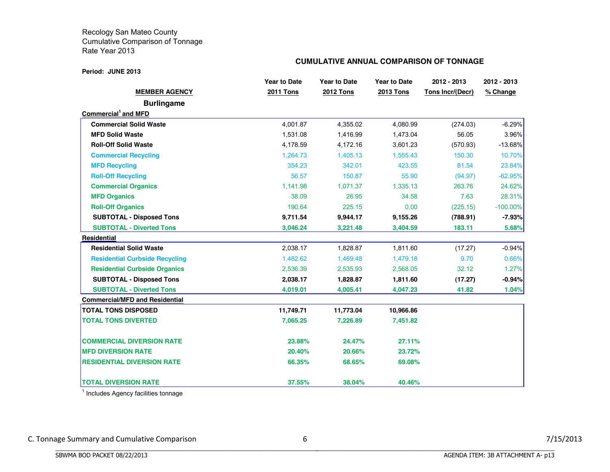#### **Period: JUNE 2013**

## **CUMULATIVE ANNUAL COMPARISON OF TONNAGE**

|                                       | <b>Year to Date</b> | <b>Year to Date</b> | <b>Year to Date</b> | 2012 - 2013      | 2012 - 2013 |  |  |
|---------------------------------------|---------------------|---------------------|---------------------|------------------|-------------|--|--|
| <b>MEMBER AGENCY</b>                  | <b>2011 Tons</b>    | <b>2012 Tons</b>    | <b>2013 Tons</b>    | Tons Incr/(Decr) | % Change    |  |  |
| <b>Burlingame</b>                     |                     |                     |                     |                  |             |  |  |
| Commercial <sup>1</sup> and MFD       |                     |                     |                     |                  |             |  |  |
| <b>Commercial Solid Waste</b>         | 4,001.87            | 4,355.02            | 4,080.99            | (274.03)         | $-6.29%$    |  |  |
| <b>MFD Solid Waste</b>                | 1,531.08            | 1,416.99            | 1,473.04            | 56.05            | 3.96%       |  |  |
| <b>Roll-Off Solid Waste</b>           | 4,178.59            | 4,172.16            | 3,601.23            | (570.93)         | $-13.68%$   |  |  |
| <b>Commercial Recycling</b>           | 1,264.73            | 1,405.13            | 1,555.43            | 150.30           | 10.70%      |  |  |
| <b>MFD Recycling</b>                  | 354.23              | 342.01              | 423.55              | 81.54            | 23.84%      |  |  |
| <b>Roll-Off Recycling</b>             | 56.57               | 150.87              | 55.90               | (94.97)          | $-62.95%$   |  |  |
| <b>Commercial Organics</b>            | 1,141.98            | 1,071.37            | 1,335.13            | 263.76           | 24.62%      |  |  |
| <b>MFD Organics</b>                   | 38.09               | 26.95               | 34.58               | 7.63             | 28.31%      |  |  |
| <b>Roll-Off Organics</b>              | 190.64              | 225.15              | 0.00                | (225.15)         | $-100.00\%$ |  |  |
| <b>SUBTOTAL - Disposed Tons</b>       | 9,711.54            | 9,944.17            | 9,155.26            | (788.91)         | $-7.93%$    |  |  |
| <b>SUBTOTAL - Diverted Tons</b>       | 3,046.24            | 3,221.48            | 3,404.59            | 183.11           | 5.68%       |  |  |
| <b>Residential</b>                    |                     |                     |                     |                  |             |  |  |
| <b>Residential Solid Waste</b>        | 2,038.17            | 1,828.87            | 1,811.60            | (17.27)          | $-0.94%$    |  |  |
| <b>Residential Curbside Recycling</b> | 1,482.62            | 1,469.48            | 1,479.18            | 9.70             | 0.66%       |  |  |
| <b>Residential Curbside Organics</b>  | 2,536.39            | 2,535.93            | 2,568.05            | 32.12            | 1.27%       |  |  |
| <b>SUBTOTAL - Disposed Tons</b>       | 2,038.17            | 1,828.87            | 1,811.60            | (17.27)          | $-0.94\%$   |  |  |
| <b>SUBTOTAL - Diverted Tons</b>       | 4,019.01            | 4,005.41            | 4,047.23            | 41.82            | 1.04%       |  |  |
| <b>Commercial/MFD and Residential</b> |                     |                     |                     |                  |             |  |  |
| <b>TOTAL TONS DISPOSED</b>            | 11,749.71           | 11,773.04           | 10,966.86           |                  |             |  |  |
| <b>TOTAL TONS DIVERTED</b>            | 7,065.25            | 7,226.89            | 7,451.82            |                  |             |  |  |
| <b>COMMERCIAL DIVERSION RATE</b>      | 23.88%              | 24.47%              | 27.11%              |                  |             |  |  |
| <b>MFD DIVERSION RATE</b>             | 20.40%              | 20.66%              | 23.72%              |                  |             |  |  |
| <b>RESIDENTIAL DIVERSION RATE</b>     | 66.35%              | 68.65%              | 69.08%              |                  |             |  |  |
| <b>TOTAL DIVERSION RATE</b>           | 37.55%              | 38.04%              | 40.46%              |                  |             |  |  |

<sup>1</sup> Includes Agency facilities tonnage

BBBBBBBBBBBBBBBBBBBBBBBBBBBBBBBBBBBBBBBBBBBBBBBBBBBBBBBBBBBBBBBBBBBBBBBBBBBBBB

C. Tonnage Summary and Cumulative Comparison 6 6 7/15/2013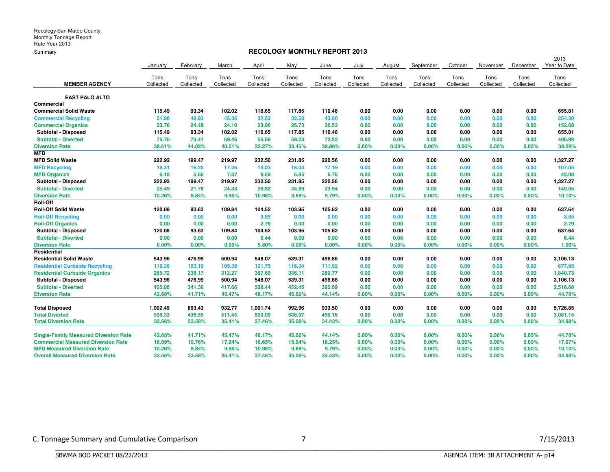## **RECOLOGY MONTHLY REPORT 2013**

|                                              |           |           |           |           |           |           |           |           |           |           |           |           | 2013         |
|----------------------------------------------|-----------|-----------|-----------|-----------|-----------|-----------|-----------|-----------|-----------|-----------|-----------|-----------|--------------|
|                                              | January   | February  | March     | April     | May       | June      | July      | August    | September | October   | November  | December  | Year to Date |
|                                              | Tons      | Tons      | Tons      | Tons      | Tons      | Tons      | Tons      | Tons      | Tons      | Tons      | Tons      | Tons      | Tons         |
| <b>MEMBER AGENCY</b>                         | Collected | Collected | Collected | Collected | Collected | Collected | Collected | Collected | Collected | Collected | Collected | Collected | Collected    |
| <b>EAST PALO ALTO</b>                        |           |           |           |           |           |           |           |           |           |           |           |           |              |
| Commercial                                   |           |           |           |           |           |           |           |           |           |           |           |           |              |
| <b>Commercial Solid Waste</b>                | 115.49    | 93.34     | 102.02    | 116.65    | 117.85    | 110.46    | 0.00      | 0.00      | 0.00      | 0.00      | 0.00      | 0.00      | 655.81       |
| <b>Commercial Recycling</b>                  | 51.98     | 48.93     | 45.36     | 32.53     | 32.50     | 43.00     | 0.00      | 0.00      | 0.00      | 0.00      | 0.00      | 0.00      | 254.30       |
| <b>Commercial Organics</b>                   | 23.78     | 24.48     | 24.10     | 23.06     | 26.73     | 30.53     | 0.00      | 0.00      | 0.00      | 0.00      | 0.00      | 0.00      | 152.68       |
| Subtotal - Disposed                          | 115.49    | 93.34     | 102.02    | 116.65    | 117.85    | 110.46    | 0.00      | 0.00      | 0.00      | 0.00      | 0.00      | 0.00      | 655.81       |
| <b>Subtotal - Diverted</b>                   | 75.76     | 73.41     | 69.46     | 55.59     | 59.23     | 73.53     | 0.00      | 0.00      | 0.00      | 0.00      | 0.00      | 0.00      | 406.98       |
| <b>Diversion Rate</b>                        | 39.61%    | 44.02%    | 40.51%    | 32.27%    | 33.45%    | 39.96%    | 0.00%     | $0.00\%$  | 0.00%     | 0.00%     | 0.00%     | 0.00%     | 38.29%       |
| <b>MFD</b>                                   |           |           |           |           |           |           |           |           |           |           |           |           |              |
| <b>MFD Solid Waste</b>                       | 222.92    | 199.47    | 219.97    | 232.50    | 231.85    | 220.56    | 0.00      | 0.00      | 0.00      | 0.00      | 0.00      | 0.00      | 1,327.27     |
| <b>MFD Recycling</b>                         | 19.31     | 16.22     | 17.26     | 19.03     | 18.04     | 17.19     | 0.00      | 0.00      | 0.00      | 0.00      | 0.00      | 0.00      | 107.05       |
| <b>MFD Organics</b>                          | 6.18      | 5.56      | 7.07      | 9.59      | 6.85      | 6.75      | 0.00      | 0.00      | 0.00      | 0.00      | 0.00      | 0.00      | 42.00        |
| Subtotal - Disposed                          | 222.92    | 199.47    | 219.97    | 232.50    | 231.85    | 220.56    | 0.00      | 0.00      | 0.00      | 0.00      | 0.00      | 0.00      | 1,327.27     |
| <b>Subtotal - Diverted</b>                   | 25.49     | 21.78     | 24.33     | 28.62     | 24.89     | 23.94     | 0.00      | 0.00      | 0.00      | 0.00      | 0.00      | 0.00      | 149.05       |
| <b>Diversion Rate</b>                        | 10.26%    | 9.84%     | 9.96%     | 10.96%    | 9.69%     | 9.79%     | 0.00%     | 0.00%     | 0.00%     | 0.00%     | 0.00%     | 0.00%     | 10.10%       |
| Roll-Off                                     |           |           |           |           |           |           |           |           |           |           |           |           |              |
| <b>Roll-Off Solid Waste</b>                  | 120.08    | 93.63     | 109.84    | 104.52    | 103.95    | 105.62    | 0.00      | 0.00      | 0.00      | 0.00      | 0.00      | 0.00      | 637.64       |
| <b>Roll-Off Recycling</b>                    | 0.00      | 0.00      | 0.00      | 3.65      | 0.00      | 0.00      | 0.00      | 0.00      | 0.00      | 0.00      | 0.00      | 0.00      | 3.65         |
| <b>Roll-Off Organics</b>                     | 0.00      | 0.00      | 0.00      | 2.79      | 0.00      | 0.00      | 0.00      | 0.00      | 0.00      | 0.00      | 0.00      | 0.00      | 2.79         |
| Subtotal - Disposed                          | 120.08    | 93.63     | 109.84    | 104.52    | 103.95    | 105.62    | 0.00      | 0.00      | 0.00      | 0.00      | 0.00      | 0.00      | 637.64       |
| <b>Subtotal - Diverted</b>                   | 0.00      | 0.00      | 0.00      | 6.44      | 0.00      | 0.00      | 0.00      | 0.00      | 0.00      | 0.00      | 0.00      | 0.00      | 6.44         |
| <b>Diversion Rate</b>                        | 0.00%     | 0.00%     | 0.00%     | 5.80%     | 0.00%     | 0.00%     | 0.00%     | $0.00\%$  | 0.00%     | 0.00%     | 0.00%     | 0.00%     | 1.00%        |
| Residential                                  |           |           |           |           |           |           |           |           |           |           |           |           |              |
| <b>Residential Solid Waste</b>               | 543.96    | 476.99    | 500.94    | 548.07    | 539.31    | 496.86    | 0.00      | 0.00      | 0.00      | 0.00      | 0.00      | 0.00      | 3,106.13     |
| <b>Residential Curbside Recycling</b>        | 119.36    | 103.19    | 105.39    | 121.75    | 116.34    | 111.92    | 0.00      | 0.00      | 0.00      | 0.00      | 0.00      | 0.00      | 677.95       |
| <b>Residential Curbside Organics</b>         | 285.72    | 238.17    | 312.27    | 387.69    | 336.11    | 280.77    | 0.00      | 0.00      | 0.00      | 0.00      | 0.00      | 0.00      | 1,840.73     |
| Subtotal - Disposed                          | 543.96    | 476.99    | 500.94    | 548.07    | 539.31    | 496.86    | 0.00      | 0.00      | 0.00      | 0.00      | 0.00      | 0.00      | 3,106.13     |
| <b>Subtotal - Diverted</b>                   | 405.08    | 341.36    | 417.66    | 509.44    | 452.45    | 392.69    | 0.00      | 0.00      | 0.00      | 0.00      | 0.00      | 0.00      | 2,518.68     |
| <b>Diversion Rate</b>                        | 42.68%    | 41.71%    | 45.47%    | 48.17%    | 45.62%    | 44.14%    | 0.00%     | 0.00%     | 0.00%     | 0.00%     | 0.00%     | 0.00%     | 44.78%       |
| <b>Total Disposed</b>                        | 1,002.45  | 863.43    | 932.77    | 1,001.74  | 992.96    | 933.50    | 0.00      | 0.00      | 0.00      | 0.00      | 0.00      | 0.00      | 5,726.85     |
| <b>Total Diverted</b>                        | 506.33    | 436.55    | 511.45    | 600.09    | 536.57    | 490.16    | 0.00      | 0.00      | 0.00      | 0.00      | 0.00      | 0.00      | 3,081.15     |
| <b>Total Diversion Rate</b>                  | 33.56%    | 33.58%    | 35.41%    | 37.46%    | 35.08%    | 34.43%    | 0.00%     | $0.00\%$  | 0.00%     | 0.00%     | 0.00%     | 0.00%     | 34.98%       |
| <b>Single-Family Measured Diversion Rate</b> | 42.68%    | 41.71%    | 45.47%    | 48.17%    | 45.62%    | 44.14%    | 0.00%     | 0.00%     | 0.00%     | 0.00%     | 0.00%     | 0.00%     | 44.78%       |
| <b>Commercial Measured Diversion Rate</b>    | 18.09%    | 19.76%    | 17.84%    | 16.65%    | 15.64%    | 18.25%    | 0.00%     | 0.00%     | 0.00%     | 0.00%     | 0.00%     | 0.00%     | 17.67%       |
| <b>MFD Measured Diversion Rate</b>           | 10.26%    | 9.84%     | 9.96%     | 10.96%    | 9.69%     | 9.79%     | 0.00%     | 0.00%     | 0.00%     | 0.00%     | 0.00%     | 0.00%     | 10.10%       |
| <b>Overall Measured Diversion Rate</b>       | 33.56%    | 33.58%    | 35.41%    | 37.46%    | 35.08%    | 34.43%    | $0.00\%$  | 0.00%     | 0.00%     | $0.00\%$  | 0.00%     | 0.00%     | 34.98%       |

BBBBBBBBBBBBBBBBBBBBBBBBBBBBBBBBBBBBBBBBBBBBBBBBBBBBBBBBBBBBBBBBBBBBBBBBBBBBBB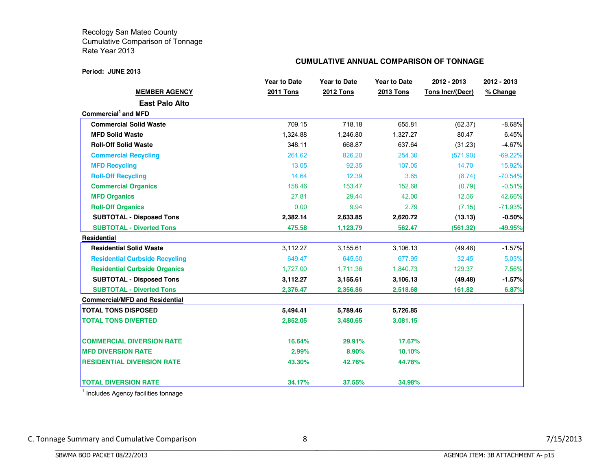#### **Period: JUNE 2013**

## **CUMULATIVE ANNUAL COMPARISON OF TONNAGE**

|                                       | <b>Year to Date</b> | <b>Year to Date</b> | <b>Year to Date</b> | 2012 - 2013      | 2012 - 2013 |
|---------------------------------------|---------------------|---------------------|---------------------|------------------|-------------|
| <b>MEMBER AGENCY</b>                  | <b>2011 Tons</b>    | <b>2012 Tons</b>    | <b>2013 Tons</b>    | Tons Incr/(Decr) | % Change    |
| <b>East Palo Alto</b>                 |                     |                     |                     |                  |             |
| Commercial <sup>1</sup> and MFD       |                     |                     |                     |                  |             |
| <b>Commercial Solid Waste</b>         | 709.15              | 718.18              | 655.81              | (62.37)          | $-8.68%$    |
| <b>MFD Solid Waste</b>                | 1,324.88            | 1,246.80            | 1,327.27            | 80.47            | 6.45%       |
| <b>Roll-Off Solid Waste</b>           | 348.11              | 668.87              | 637.64              | (31.23)          | $-4.67%$    |
| <b>Commercial Recycling</b>           | 261.62              | 826.20              | 254.30              | (571.90)         | $-69.22%$   |
| <b>MFD Recycling</b>                  | 13.05               | 92.35               | 107.05              | 14.70            | 15.92%      |
| <b>Roll-Off Recycling</b>             | 14.64               | 12.39               | 3.65                | (8.74)           | $-70.54%$   |
| <b>Commercial Organics</b>            | 158.46              | 153.47              | 152.68              | (0.79)           | $-0.51%$    |
| <b>MFD Organics</b>                   | 27.81               | 29.44               | 42.00               | 12.56            | 42.66%      |
| <b>Roll-Off Organics</b>              | 0.00                | 9.94                | 2.79                | (7.15)           | $-71.93%$   |
| <b>SUBTOTAL - Disposed Tons</b>       | 2,382.14            | 2,633.85            | 2,620.72            | (13.13)          | $-0.50%$    |
| <b>SUBTOTAL - Diverted Tons</b>       | 475.58              | 1,123.79            | 562.47              | (561.32)         | $-49.95\%$  |
| <b>Residential</b>                    |                     |                     |                     |                  |             |
| <b>Residential Solid Waste</b>        | 3,112.27            | 3,155.61            | 3,106.13            | (49.48)          | $-1.57%$    |
| <b>Residential Curbside Recycling</b> | 649.47              | 645.50              | 677.95              | 32.45            | 5.03%       |
| <b>Residential Curbside Organics</b>  | 1,727.00            | 1,711.36            | 1,840.73            | 129.37           | 7.56%       |
| <b>SUBTOTAL - Disposed Tons</b>       | 3,112.27            | 3,155.61            | 3,106.13            | (49.48)          | $-1.57%$    |
| <b>SUBTOTAL - Diverted Tons</b>       | 2,376.47            | 2,356.86            | 2,518.68            | 161.82           | 6.87%       |
| <b>Commercial/MFD and Residential</b> |                     |                     |                     |                  |             |
| <b>TOTAL TONS DISPOSED</b>            | 5,494.41            | 5,789.46            | 5,726.85            |                  |             |
| <b>TOTAL TONS DIVERTED</b>            | 2,852.05            | 3,480.65            | 3,081.15            |                  |             |
| <b>COMMERCIAL DIVERSION RATE</b>      | 16.64%              | 29.91%              | 17.67%              |                  |             |
| <b>MFD DIVERSION RATE</b>             | 2.99%               | 8.90%               | 10.10%              |                  |             |
| <b>RESIDENTIAL DIVERSION RATE</b>     | 43.30%              | 42.76%              | 44.78%              |                  |             |
| <b>TOTAL DIVERSION RATE</b>           | 34.17%              | 37.55%              | 34.98%              |                  |             |

<sup>1</sup> Includes Agency facilities tonnage

BBBBBBBBBBBBBBBBBBBBBBBBBBBBBBBBBBBBBBBBBBBBBBBBBBBBBBBBBBBBBBBBBBBBBBBBBBBBBB

C. Tonnage Summary and Cumulative Comparison 8 8 7/15/2013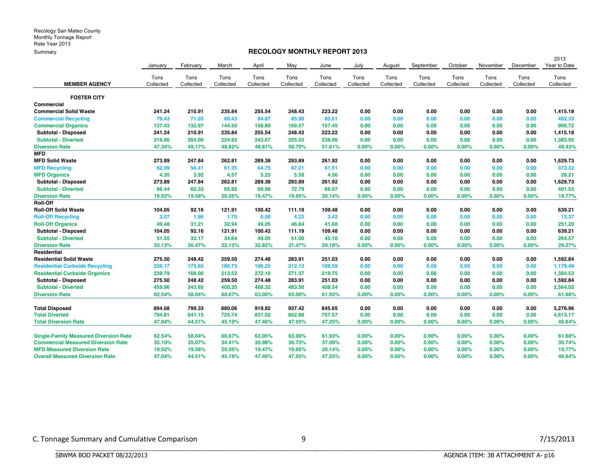## **RECOLOGY MONTHLY REPORT 2013**

|                                              |           |           |           |           |           |           |           |           |           |           |           |           | 2013         |
|----------------------------------------------|-----------|-----------|-----------|-----------|-----------|-----------|-----------|-----------|-----------|-----------|-----------|-----------|--------------|
|                                              | January   | February  | March     | April     | May       | June      | July      | August    | September | October   | November  | December  | Year to Date |
|                                              | Tons      | Tons      | Tons      | Tons      | Tons      | Tons      | Tons      | Tons      | Tons      | Tons      | Tons      | Tons      | Tons         |
| <b>MEMBER AGENCY</b>                         | Collected | Collected | Collected | Collected | Collected | Collected | Collected | Collected | Collected | Collected | Collected | Collected | Collected    |
| <b>FOSTER CITY</b>                           |           |           |           |           |           |           |           |           |           |           |           |           |              |
| Commercial                                   |           |           |           |           |           |           |           |           |           |           |           |           |              |
| <b>Commercial Solid Waste</b>                | 241.24    | 210.91    | 235.84    | 255.54    | 248.43    | 223.22    | 0.00      | 0.00      | 0.00      | 0.00      | 0.00      | 0.00      | 1,415.18     |
| <b>Commercial Recycling</b>                  | 79.43     | 71.03     | 80.43     | 84.87     | 85.96     | 80.61     | 0.00      | 0.00      | 0.00      | 0.00      | 0.00      | 0.00      | 482.33       |
| <b>Commercial Organics</b>                   | 137.43    | 132.97    | 144.50    | 158.80    | 169.57    | 157.45    | 0.00      | 0.00      | 0.00      | 0.00      | 0.00      | 0.00      | 900.72       |
| Subtotal - Disposed                          | 241.24    | 210.91    | 235.84    | 255.54    | 248.43    | 223.22    | 0.00      | 0.00      | 0.00      | 0.00      | 0.00      | 0.00      | 1,415.18     |
| <b>Subtotal - Diverted</b>                   | 216.86    | 204.00    | 224.93    | 243.67    | 255.53    | 238.06    | 0.00      | 0.00      | 0.00      | 0.00      | 0.00      | 0.00      | 1,383.05     |
| <b>Diversion Rate</b>                        | 47.34%    | 49.17%    | 48.82%    | 48.81%    | 50.70%    | 51.61%    | 0.00%     | $0.00\%$  | 0.00%     | 0.00%     | 0.00%     | 0.00%     | 49.43%       |
| <b>MFD</b>                                   |           |           |           |           |           |           |           |           |           |           |           |           |              |
| <b>MFD Solid Waste</b>                       | 273.89    | 247.84    | 262.81    | 289.38    | 293.89    | 261.92    | 0.00      | 0.00      | 0.00      | 0.00      | 0.00      | 0.00      | 1,629.73     |
| <b>MFD Recycling</b>                         | 62.09     | 56.41     | 61.35     | 64.75     | 67.21     | 61.51     | 0.00      | 0.00      | 0.00      | 0.00      | 0.00      | 0.00      | 373.32       |
| <b>MFD Organics</b>                          | 4.35      | 3.92      | 4.57      | 5.23      | 5.58      | 4.56      | 0.00      | 0.00      | 0.00      | 0.00      | 0.00      | 0.00      | 28.21        |
| Subtotal - Disposed                          | 273.89    | 247.84    | 262.81    | 289.38    | 293.89    | 261.92    | 0.00      | 0.00      | 0.00      | 0.00      | 0.00      | 0.00      | 1,629.73     |
| <b>Subtotal - Diverted</b>                   | 66.44     | 60.33     | 65.92     | 69.98     | 72.79     | 66.07     | 0.00      | 0.00      | 0.00      | 0.00      | 0.00      | 0.00      | 401.53       |
| <b>Diversion Rate</b>                        | 19.52%    | 19.58%    | 20.05%    | 19.47%    | 19.85%    | 20.14%    | 0.00%     | 0.00%     | 0.00%     | 0.00%     | 0.00%     | 0.00%     | 19.77%       |
| Roll-Off                                     |           |           |           |           |           |           |           |           |           |           |           |           |              |
| <b>Roll-Off Solid Waste</b>                  | 104.05    | 92.16     | 121.91    | 100.42    | 111.19    | 109.48    | 0.00      | 0.00      | 0.00      | 0.00      | 0.00      | 0.00      | 639.21       |
| <b>Roll-Off Recycling</b>                    | 2.07      | 1.96      | 1.70      | 0.00      | 4.22      | 3.42      | 0.00      | 0.00      | 0.00      | 0.00      | 0.00      | 0.00      | 13.37        |
| <b>Roll-Off Organics</b>                     | 49.48     | 31.21     | 32.94     | 49.05     | 46.84     | 41.68     | 0.00      | 0.00      | 0.00      | 0.00      | 0.00      | 0.00      | 251.20       |
| Subtotal - Disposed                          | 104.05    | 92.16     | 121.91    | 100.42    | 111.19    | 109.48    | 0.00      | 0.00      | 0.00      | 0.00      | 0.00      | 0.00      | 639.21       |
| <b>Subtotal - Diverted</b>                   | 51.55     | 33.17     | 34.64     | 49.05     | 51.06     | 45.10     | 0.00      | 0.00      | 0.00      | 0.00      | 0.00      | 0.00      | 264.57       |
| <b>Diversion Rate</b>                        | 33.13%    | 26.47%    | 22.13%    | 32.82%    | 31.47%    | 29.18%    | 0.00%     | $0.00\%$  | 0.00%     | 0.00%     | 0.00%     | 0.00%     | 29.27%       |
| Residential                                  |           |           |           |           |           |           |           |           |           |           |           |           |              |
| <b>Residential Solid Waste</b>               | 275.50    | 248.42    | 259.50    | 274.48    | 283.91    | 251.03    | 0.00      | 0.00      | 0.00      | 0.00      | 0.00      | 0.00      | 1,592.84     |
| <b>Residential Curbside Recycling</b>        | 220.17    | 175.65    | 186.73    | 196.22    | 212.13    | 188.59    | 0.00      | 0.00      | 0.00      | 0.00      | 0.00      | 0.00      | 1,179.49     |
| <b>Residential Curbside Organics</b>         | 239.79    | 168.00    | 213.52    | 272.10    | 271.37    | 219.75    | 0.00      | 0.00      | 0.00      | 0.00      | 0.00      | 0.00      | 1,384.53     |
| Subtotal - Disposed                          | 275.50    | 248.42    | 259.50    | 274.48    | 283.91    | 251.03    | 0.00      | 0.00      | 0.00      | 0.00      | 0.00      | 0.00      | 1,592.84     |
| <b>Subtotal - Diverted</b>                   | 459.96    | 343.65    | 400.25    | 468.32    | 483.50    | 408.34    | 0.00      | 0.00      | 0.00      | 0.00      | 0.00      | 0.00      | 2,564.02     |
| <b>Diversion Rate</b>                        | 62.54%    | 58.04%    | 60.67%    | 63.05%    | 63.00%    | 61.93%    | 0.00%     | 0.00%     | 0.00%     | 0.00%     | 0.00%     | 0.00%     | 61.68%       |
| <b>Total Disposed</b>                        | 894.68    | 799.33    | 880.06    | 919.82    | 937.42    | 845.65    | 0.00      | 0.00      | 0.00      | 0.00      | 0.00      | 0.00      | 5,276.96     |
| <b>Total Diverted</b>                        | 794.81    | 641.15    | 725.74    | 831.02    | 862.88    | 757.57    | 0.00      | 0.00      | 0.00      | 0.00      | 0.00      | 0.00      | 4,613.17     |
| <b>Total Diversion Rate</b>                  | 47.04%    | 44.51%    | 45.19%    | 47.46%    | 47.93%    | 47.25%    | 0.00%     | $0.00\%$  | 0.00%     | 0.00%     | 0.00%     | 0.00%     | 46.64%       |
| <b>Single-Family Measured Diversion Rate</b> | 62.54%    | 58.04%    | 60.67%    | 63.05%    | 63.00%    | 61.93%    | $0.00\%$  | $0.00\%$  | 0.00%     | $0.00\%$  | 0.00%     | 0.00%     | 61.68%       |
| <b>Commercial Measured Diversion Rate</b>    | 35.10%    | 35.07%    | 34.41%    | 35.98%    | 36.73%    | 37.00%    | 0.00%     | 0.00%     | 0.00%     | $0.00\%$  | 0.00%     | 0.00%     | 35.74%       |
| <b>MFD Measured Diversion Rate</b>           | 19.52%    | 19.58%    | 20.05%    | 19.47%    | 19.85%    | 20.14%    | 0.00%     | 0.00%     | 0.00%     | 0.00%     | 0.00%     | 0.00%     | 19.77%       |
| <b>Overall Measured Diversion Rate</b>       | 47.04%    | 44.51%    | 45.19%    | 47.46%    | 47.93%    | 47.25%    | 0.00%     | 0.00%     | 0.00%     | 0.00%     | 0.00%     | 0.00%     | 46.64%       |

BBBBBBBBBBBBBBBBBBBBBBBBBBBBBBBBBBBBBBBBBBBBBBBBBBBBBBBBBBBBBBBBBBBBBBBBBBBBBB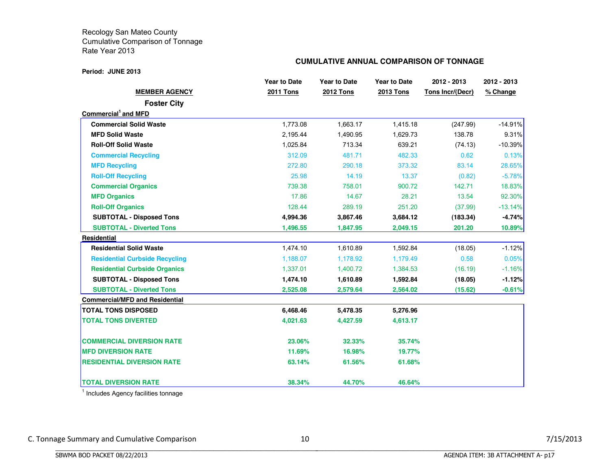#### **Period: JUNE 2013**

## **CUMULATIVE ANNUAL COMPARISON OF TONNAGE**

|                                       | <b>Year to Date</b> | <b>Year to Date</b> | <b>Year to Date</b> | 2012 - 2013             | 2012 - 2013 |
|---------------------------------------|---------------------|---------------------|---------------------|-------------------------|-------------|
| <b>MEMBER AGENCY</b>                  | <b>2011 Tons</b>    | <b>2012 Tons</b>    | <b>2013 Tons</b>    | <b>Tons Incr/(Decr)</b> | % Change    |
| <b>Foster City</b>                    |                     |                     |                     |                         |             |
| Commercial and MFD                    |                     |                     |                     |                         |             |
| <b>Commercial Solid Waste</b>         | 1,773.08            | 1,663.17            | 1,415.18            | (247.99)                | $-14.91%$   |
| <b>MFD Solid Waste</b>                | 2,195.44            | 1,490.95            | 1,629.73            | 138.78                  | 9.31%       |
| <b>Roll-Off Solid Waste</b>           | 1,025.84            | 713.34              | 639.21              | (74.13)                 | $-10.39%$   |
| <b>Commercial Recycling</b>           | 312.09              | 481.71              | 482.33              | 0.62                    | 0.13%       |
| <b>MFD Recycling</b>                  | 272.80              | 290.18              | 373.32              | 83.14                   | 28.65%      |
| <b>Roll-Off Recycling</b>             | 25.98               | 14.19               | 13.37               | (0.82)                  | $-5.78%$    |
| <b>Commercial Organics</b>            | 739.38              | 758.01              | 900.72              | 142.71                  | 18.83%      |
| <b>MFD Organics</b>                   | 17.86               | 14.67               | 28.21               | 13.54                   | 92.30%      |
| <b>Roll-Off Organics</b>              | 128.44              | 289.19              | 251.20              | (37.99)                 | $-13.14%$   |
| <b>SUBTOTAL - Disposed Tons</b>       | 4,994.36            | 3,867.46            | 3,684.12            | (183.34)                | $-4.74%$    |
| <b>SUBTOTAL - Diverted Tons</b>       | 1,496.55            | 1,847.95            | 2,049.15            | 201.20                  | 10.89%      |
| Residential                           |                     |                     |                     |                         |             |
| <b>Residential Solid Waste</b>        | 1,474.10            | 1,610.89            | 1,592.84            | (18.05)                 | $-1.12%$    |
| <b>Residential Curbside Recycling</b> | 1.188.07            | 1,178.92            | 1,179.49            | 0.58                    | 0.05%       |
| <b>Residential Curbside Organics</b>  | 1,337.01            | 1,400.72            | 1,384.53            | (16.19)                 | $-1.16%$    |
| <b>SUBTOTAL - Disposed Tons</b>       | 1,474.10            | 1,610.89            | 1,592.84            | (18.05)                 | $-1.12%$    |
| <b>SUBTOTAL - Diverted Tons</b>       | 2,525.08            | 2,579.64            | 2,564.02            | (15.62)                 | $-0.61%$    |
| <b>Commercial/MFD and Residential</b> |                     |                     |                     |                         |             |
| <b>TOTAL TONS DISPOSED</b>            | 6,468.46            | 5,478.35            | 5,276.96            |                         |             |
| <b>TOTAL TONS DIVERTED</b>            | 4,021.63            | 4,427.59            | 4,613.17            |                         |             |
| <b>COMMERCIAL DIVERSION RATE</b>      | 23.06%              | 32.33%              | 35.74%              |                         |             |
| <b>MFD DIVERSION RATE</b>             | 11.69%              | 16.98%              | 19.77%              |                         |             |
| <b>RESIDENTIAL DIVERSION RATE</b>     | 63.14%              | 61.56%              | 61.68%              |                         |             |
| <b>TOTAL DIVERSION RATE</b>           | 38.34%              | 44.70%              | 46.64%              |                         |             |

<sup>1</sup> Includes Agency facilities tonnage

BBBBBBBBBBBBBBBBBBBBBBBBBBBBBBBBBBBBBBBBBBBBBBBBBBBBBBBBBBBBBBBBBBBBBBBBBBBBBB

C. Tonnage Summary and Cumulative Comparison 10 10 and 10 7/15/2013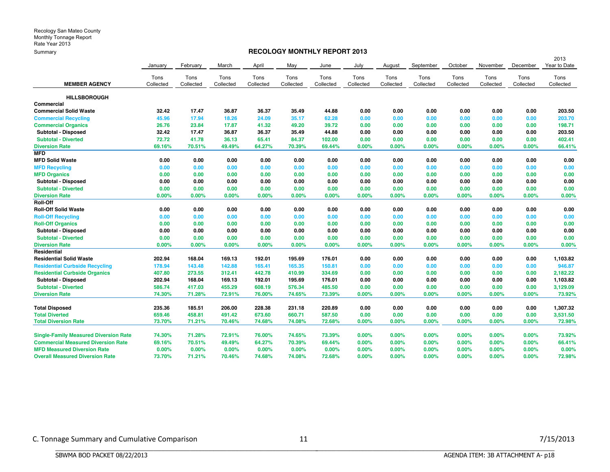## **RECOLOGY MONTHLY REPORT 2013**

|                                              |           |           |           |           |           |           |           |           |           |           |           |           | 2013         |
|----------------------------------------------|-----------|-----------|-----------|-----------|-----------|-----------|-----------|-----------|-----------|-----------|-----------|-----------|--------------|
|                                              | January   | February  | March     | April     | May       | June      | July      | August    | September | October   | November  | December  | Year to Date |
|                                              | Tons      | Tons      | Tons      | Tons      | Tons      | Tons      | Tons      | Tons      | Tons      | Tons      | Tons      | Tons      | Tons         |
| <b>MEMBER AGENCY</b>                         | Collected | Collected | Collected | Collected | Collected | Collected | Collected | Collected | Collected | Collected | Collected | Collected | Collected    |
| <b>HILLSBOROUGH</b>                          |           |           |           |           |           |           |           |           |           |           |           |           |              |
| Commercial                                   |           |           |           |           |           |           |           |           |           |           |           |           |              |
| Commercial Solid Waste                       | 32.42     | 17.47     | 36.87     | 36.37     | 35.49     | 44.88     | 0.00      | 0.00      | 0.00      | 0.00      | 0.00      | 0.00      | 203.50       |
| <b>Commercial Recycling</b>                  | 45.96     | 17.94     | 18.26     | 24.09     | 35.17     | 62.28     | 0.00      | 0.00      | 0.00      | 0.00      | 0.00      | 0.00      | 203.70       |
| <b>Commercial Organics</b>                   | 26.76     | 23.84     | 17.87     | 41.32     | 49.20     | 39.72     | 0.00      | 0.00      | 0.00      | 0.00      | 0.00      | 0.00      | 198.71       |
| Subtotal - Disposed                          | 32.42     | 17.47     | 36.87     | 36.37     | 35.49     | 44.88     | 0.00      | 0.00      | 0.00      | 0.00      | 0.00      | 0.00      | 203.50       |
| <b>Subtotal - Diverted</b>                   | 72.72     | 41.78     | 36.13     | 65.41     | 84.37     | 102.00    | 0.00      | 0.00      | 0.00      | 0.00      | 0.00      | 0.00      | 402.41       |
| <b>Diversion Rate</b>                        | 69.16%    | 70.51%    | 49.49%    | 64.27%    | 70.39%    | 69.44%    | 0.00%     | $0.00\%$  | 0.00%     | 0.00%     | 0.00%     | 0.00%     | 66.41%       |
| <b>MFD</b>                                   |           |           |           |           |           |           |           |           |           |           |           |           |              |
| <b>MFD Solid Waste</b>                       | 0.00      | 0.00      | 0.00      | 0.00      | 0.00      | 0.00      | 0.00      | 0.00      | 0.00      | 0.00      | 0.00      | 0.00      | 0.00         |
| <b>MFD Recycling</b>                         | 0.00      | 0.00      | 0.00      | 0.00      | 0.00      | 0.00      | 0.00      | 0.00      | 0.00      | 0.00      | 0.00      | 0.00      | 0.00         |
| <b>MFD Organics</b>                          | 0.00      | 0.00      | 0.00      | 0.00      | 0.00      | 0.00      | 0.00      | 0.00      | 0.00      | 0.00      | 0.00      | 0.00      | 0.00         |
| Subtotal - Disposed                          | 0.00      | 0.00      | 0.00      | 0.00      | 0.00      | 0.00      | 0.00      | 0.00      | 0.00      | 0.00      | 0.00      | 0.00      | 0.00         |
| <b>Subtotal - Diverted</b>                   | 0.00      | 0.00      | 0.00      | 0.00      | 0.00      | 0.00      | 0.00      | 0.00      | 0.00      | 0.00      | 0.00      | 0.00      | 0.00         |
| <b>Diversion Rate</b>                        | 0.00%     | 0.00%     | 0.00%     | 0.00%     | 0.00%     | 0.00%     | 0.00%     | 0.00%     | 0.00%     | 0.00%     | 0.00%     | 0.00%     | 0.00%        |
| Roll-Off                                     |           |           |           |           |           |           |           |           |           |           |           |           |              |
| <b>Roll-Off Solid Waste</b>                  | 0.00      | 0.00      | 0.00      | 0.00      | 0.00      | 0.00      | 0.00      | 0.00      | 0.00      | 0.00      | 0.00      | 0.00      | 0.00         |
| <b>Roll-Off Recycling</b>                    | 0.00      | 0.00      | 0.00      | 0.00      | 0.00      | 0.00      | 0.00      | 0.00      | 0.00      | 0.00      | 0.00      | 0.00      | 0.00         |
| <b>Roll-Off Organics</b>                     | 0.00      | 0.00      | 0.00      | 0.00      | 0.00      | 0.00      | 0.00      | 0.00      | 0.00      | 0.00      | 0.00      | 0.00      | 0.00         |
| Subtotal - Disposed                          | 0.00      | 0.00      | 0.00      | 0.00      | 0.00      | 0.00      | 0.00      | 0.00      | 0.00      | 0.00      | 0.00      | 0.00      | 0.00         |
| <b>Subtotal - Diverted</b>                   | 0.00      | 0.00      | 0.00      | 0.00      | 0.00      | 0.00      | 0.00      | 0.00      | 0.00      | 0.00      | 0.00      | 0.00      | 0.00         |
| <b>Diversion Rate</b>                        | 0.00%     | 0.00%     | 0.00%     | 0.00%     | 0.00%     | 0.00%     | 0.00%     | $0.00\%$  | 0.00%     | 0.00%     | 0.00%     | 0.00%     | 0.00%        |
| Residential                                  |           |           |           |           |           |           |           |           |           |           |           |           |              |
| <b>Residential Solid Waste</b>               | 202.94    | 168.04    | 169.13    | 192.01    | 195.69    | 176.01    | 0.00      | 0.00      | 0.00      | 0.00      | 0.00      | 0.00      | 1,103.82     |
| <b>Residential Curbside Recycling</b>        | 178.94    | 143.48    | 142.88    | 165.41    | 165.35    | 150.81    | 0.00      | 0.00      | 0.00      | 0.00      | 0.00      | 0.00      | 946.87       |
| <b>Residential Curbside Organics</b>         | 407.80    | 273.55    | 312.41    | 442.78    | 410.99    | 334.69    | 0.00      | 0.00      | 0.00      | 0.00      | 0.00      | 0.00      | 2,182.22     |
| Subtotal - Disposed                          | 202.94    | 168.04    | 169.13    | 192.01    | 195.69    | 176.01    | 0.00      | 0.00      | 0.00      | 0.00      | 0.00      | 0.00      | 1,103.82     |
| <b>Subtotal - Diverted</b>                   | 586.74    | 417.03    | 455.29    | 608.19    | 576.34    | 485.50    | 0.00      | 0.00      | 0.00      | 0.00      | 0.00      | 0.00      | 3,129.09     |
| <b>Diversion Rate</b>                        | 74.30%    | 71.28%    | 72.91%    | 76.00%    | 74.65%    | 73.39%    | 0.00%     | 0.00%     | 0.00%     | 0.00%     | 0.00%     | 0.00%     | 73.92%       |
| <b>Total Disposed</b>                        | 235.36    | 185.51    | 206.00    | 228.38    | 231.18    | 220.89    | 0.00      | 0.00      | 0.00      | 0.00      | 0.00      | 0.00      | 1,307.32     |
| <b>Total Diverted</b>                        | 659.46    | 458.81    | 491.42    | 673.60    | 660.71    | 587.50    | 0.00      | 0.00      | 0.00      | 0.00      | 0.00      | 0.00      | 3,531.50     |
| <b>Total Diversion Rate</b>                  | 73.70%    | 71.21%    | 70.46%    | 74.68%    | 74.08%    | 72.68%    | 0.00%     | 0.00%     | 0.00%     | 0.00%     | 0.00%     | 0.00%     | 72.98%       |
| <b>Single-Family Measured Diversion Rate</b> | 74.30%    | 71.28%    | 72.91%    | 76.00%    | 74.65%    | 73.39%    | $0.00\%$  | 0.00%     | 0.00%     | $0.00\%$  | 0.00%     | 0.00%     | 73.92%       |
| <b>Commercial Measured Diversion Rate</b>    | 69.16%    | 70.51%    | 49.49%    | 64.27%    | 70.39%    | 69.44%    | 0.00%     | 0.00%     | 0.00%     | 0.00%     | 0.00%     | 0.00%     | 66.41%       |
| <b>MFD Measured Diversion Rate</b>           | 0.00%     | 0.00%     | $0.00\%$  | 0.00%     | 0.00%     | $0.00\%$  | 0.00%     | 0.00%     | 0.00%     | 0.00%     | 0.00%     | 0.00%     | 0.00%        |
| <b>Overall Measured Diversion Rate</b>       | 73.70%    | 71.21%    | 70.46%    | 74.68%    | 74.08%    | 72.68%    | 0.00%     | 0.00%     | 0.00%     | 0.00%     | 0.00%     | 0.00%     | 72.98%       |

BBBBBBBBBBBBBBBBBBBBBBBBBBBBBBBBBBBBBBBBBBBBBBBBBBBBBBBBBBBBBBBBBBBBBBBBBBBBBB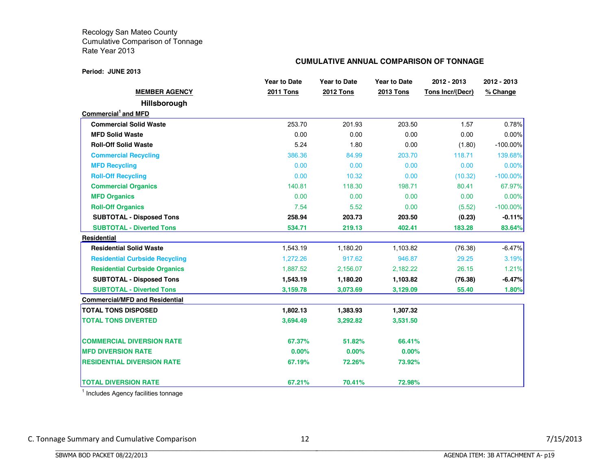#### **Period: JUNE 2013**

## **CUMULATIVE ANNUAL COMPARISON OF TONNAGE**

|                                       | <b>Year to Date</b> | <b>Year to Date</b> | <b>Year to Date</b> | 2012 - 2013      | 2012 - 2013 |
|---------------------------------------|---------------------|---------------------|---------------------|------------------|-------------|
| <b>MEMBER AGENCY</b>                  | <b>2011 Tons</b>    | <b>2012 Tons</b>    | <b>2013 Tons</b>    | Tons Incr/(Decr) | % Change    |
| <b>Hillsborough</b>                   |                     |                     |                     |                  |             |
| Commercial <sup>1</sup> and MFD       |                     |                     |                     |                  |             |
| <b>Commercial Solid Waste</b>         | 253.70              | 201.93              | 203.50              | 1.57             | 0.78%       |
| <b>MFD Solid Waste</b>                | 0.00                | 0.00                | 0.00                | 0.00             | $0.00\%$    |
| <b>Roll-Off Solid Waste</b>           | 5.24                | 1.80                | 0.00                | (1.80)           | $-100.00\%$ |
| <b>Commercial Recycling</b>           | 386.36              | 84.99               | 203.70              | 118.71           | 139.68%     |
| <b>MFD Recycling</b>                  | 0.00                | 0.00                | 0.00                | 0.00             | 0.00%       |
| <b>Roll-Off Recycling</b>             | 0.00                | 10.32               | 0.00                | (10.32)          | $-100.00\%$ |
| <b>Commercial Organics</b>            | 140.81              | 118.30              | 198.71              | 80.41            | 67.97%      |
| <b>MFD Organics</b>                   | 0.00                | 0.00                | 0.00                | 0.00             | 0.00%       |
| <b>Roll-Off Organics</b>              | 7.54                | 5.52                | 0.00                | (5.52)           | $-100.00\%$ |
| <b>SUBTOTAL - Disposed Tons</b>       | 258.94              | 203.73              | 203.50              | (0.23)           | $-0.11%$    |
| <b>SUBTOTAL - Diverted Tons</b>       | 534.71              | 219.13              | 402.41              | 183.28           | 83.64%      |
| <b>Residential</b>                    |                     |                     |                     |                  |             |
| <b>Residential Solid Waste</b>        | 1,543.19            | 1,180.20            | 1,103.82            | (76.38)          | $-6.47%$    |
| <b>Residential Curbside Recycling</b> | 1,272.26            | 917.62              | 946.87              | 29.25            | 3.19%       |
| <b>Residential Curbside Organics</b>  | 1,887.52            | 2,156.07            | 2,182.22            | 26.15            | 1.21%       |
| <b>SUBTOTAL - Disposed Tons</b>       | 1,543.19            | 1,180.20            | 1,103.82            | (76.38)          | $-6.47%$    |
| <b>SUBTOTAL - Diverted Tons</b>       | 3,159.78            | 3,073.69            | 3,129.09            | 55.40            | 1.80%       |
| <b>Commercial/MFD and Residential</b> |                     |                     |                     |                  |             |
| <b>TOTAL TONS DISPOSED</b>            | 1,802.13            | 1,383.93            | 1,307.32            |                  |             |
| <b>TOTAL TONS DIVERTED</b>            | 3,694.49            | 3,292.82            | 3,531.50            |                  |             |
| <b>COMMERCIAL DIVERSION RATE</b>      | 67.37%              | 51.82%              | 66.41%              |                  |             |
| <b>MFD DIVERSION RATE</b>             | $0.00\%$            | 0.00%               | 0.00%               |                  |             |
| <b>RESIDENTIAL DIVERSION RATE</b>     | 67.19%              | 72.26%              | 73.92%              |                  |             |
| <b>TOTAL DIVERSION RATE</b>           | 67.21%              | 70.41%              | 72.98%              |                  |             |

<sup>1</sup> Includes Agency facilities tonnage

BBBBBBBBBBBBBBBBBBBBBBBBBBBBBBBBBBBBBBBBBBBBBBBBBBBBBBBBBBBBBBBBBBBBBBBBBBBBBB

C. Tonnage Summary and Cumulative Comparison 12 12 and 12 7/15/2013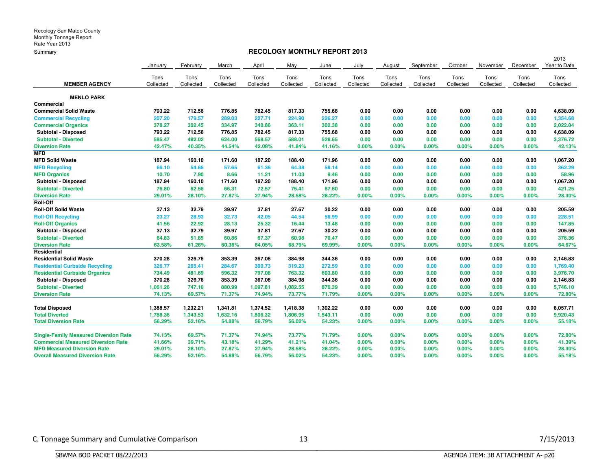### **RECOLOGY MONTHLY REPORT 2013**

|                                              |           |           |           |           |           |           |           |           |           |           |           |           | 2013         |
|----------------------------------------------|-----------|-----------|-----------|-----------|-----------|-----------|-----------|-----------|-----------|-----------|-----------|-----------|--------------|
|                                              | January   | February  | March     | April     | May       | June      | July      | August    | September | October   | November  | December  | Year to Date |
|                                              | Tons      | Tons      | Tons      | Tons      | Tons      | Tons      | Tons      | Tons      | Tons      | Tons      | Tons      | Tons      | Tons         |
| <b>MEMBER AGENCY</b>                         | Collected | Collected | Collected | Collected | Collected | Collected | Collected | Collected | Collected | Collected | Collected | Collected | Collected    |
|                                              |           |           |           |           |           |           |           |           |           |           |           |           |              |
| <b>MENLO PARK</b>                            |           |           |           |           |           |           |           |           |           |           |           |           |              |
| <b>Commercial</b>                            |           |           |           |           |           |           |           |           |           |           |           |           |              |
| <b>Commercial Solid Waste</b>                | 793.22    | 712.56    | 776.85    | 782.45    | 817.33    | 755.68    | 0.00      | 0.00      | 0.00      | 0.00      | 0.00      | 0.00      | 4,638.09     |
| <b>Commercial Recycling</b>                  | 207.20    | 179.57    | 289.03    | 227.71    | 224.90    | 226.27    | 0.00      | 0.00      | 0.00      | 0.00      | 0.00      | 0.00      | 1,354.68     |
| <b>Commercial Organics</b>                   | 378.27    | 302.45    | 334.97    | 340.86    | 363.11    | 302.38    | 0.00      | 0.00      | 0.00      | 0.00      | 0.00      | 0.00      | 2,022.04     |
| <b>Subtotal - Disposed</b>                   | 793.22    | 712.56    | 776.85    | 782.45    | 817.33    | 755.68    | 0.00      | 0.00      | 0.00      | 0.00      | 0.00      | 0.00      | 4,638.09     |
| <b>Subtotal - Diverted</b>                   | 585.47    | 482.02    | 624.00    | 568.57    | 588.01    | 528.65    | 0.00      | 0.00      | 0.00      | 0.00      | 0.00      | 0.00      | 3,376.72     |
| <b>Diversion Rate</b>                        | 42.47%    | 40.35%    | 44.54%    | 42.08%    | 41.84%    | 41.16%    | 0.00%     | 0.00%     | 0.00%     | 0.00%     | 0.00%     | 0.00%     | 42.13%       |
| <b>MFD</b>                                   |           |           |           |           |           |           |           |           |           |           |           |           |              |
| <b>MFD Solid Waste</b>                       | 187.94    | 160.10    | 171.60    | 187.20    | 188.40    | 171.96    | 0.00      | 0.00      | 0.00      | 0.00      | 0.00      | 0.00      | 1,067.20     |
| <b>MFD Recycling</b>                         | 66.10     | 54.66     | 57.65     | 61.36     | 64.38     | 58.14     | 0.00      | 0.00      | 0.00      | 0.00      | 0.00      | 0.00      | 362.29       |
| <b>MFD Organics</b>                          | 10.70     | 7.90      | 8.66      | 11.21     | 11.03     | 9.46      | 0.00      | 0.00      | 0.00      | 0.00      | 0.00      | 0.00      | 58.96        |
| <b>Subtotal - Disposed</b>                   | 187.94    | 160.10    | 171.60    | 187.20    | 188.40    | 171.96    | 0.00      | 0.00      | 0.00      | 0.00      | 0.00      | 0.00      | 1,067.20     |
| <b>Subtotal - Diverted</b>                   | 76.80     | 62.56     | 66.31     | 72.57     | 75.41     | 67.60     | 0.00      | 0.00      | 0.00      | 0.00      | 0.00      | 0.00      | 421.25       |
| <b>Diversion Rate</b>                        | 29.01%    | 28.10%    | 27.87%    | 27.94%    | 28.58%    | 28.22%    | 0.00%     | 0.00%     | 0.00%     | 0.00%     | 0.00%     | 0.00%     | 28.30%       |
| Roll-Off                                     |           |           |           |           |           |           |           |           |           |           |           |           |              |
| <b>Roll-Off Solid Waste</b>                  | 37.13     | 32.79     | 39.97     | 37.81     | 27.67     | 30.22     | 0.00      | 0.00      | 0.00      | 0.00      | 0.00      | 0.00      | 205.59       |
| <b>Roll-Off Recycling</b>                    | 23.27     | 28.93     | 32.73     | 42.05     | 44.54     | 56.99     | 0.00      | 0.00      | 0.00      | 0.00      | 0.00      | 0.00      | 228.51       |
| <b>Roll-Off Organics</b>                     | 41.56     | 22.92     | 28.13     | 25.32     | 16.44     | 13.48     | 0.00      | 0.00      | 0.00      | 0.00      | 0.00      | 0.00      | 147.85       |
| Subtotal - Disposed                          | 37.13     | 32.79     | 39.97     | 37.81     | 27.67     | 30.22     | 0.00      | 0.00      | 0.00      | 0.00      | 0.00      | 0.00      | 205.59       |
| <b>Subtotal - Diverted</b>                   | 64.83     | 51.85     | 60.86     | 67.37     | 60.98     | 70.47     | 0.00      | 0.00      | 0.00      | 0.00      | 0.00      | 0.00      | 376.36       |
| <b>Diversion Rate</b>                        | 63.58%    | 61.26%    | 60.36%    | 64.05%    | 68.79%    | 69.99%    | 0.00%     | 0.00%     | 0.00%     | 0.00%     | 0.00%     | 0.00%     | 64.67%       |
| Residential                                  |           |           |           |           |           |           |           |           |           |           |           |           |              |
| <b>Residential Solid Waste</b>               | 370.28    | 326.76    | 353.39    | 367.06    | 384.98    | 344.36    | 0.00      | 0.00      | 0.00      | 0.00      | 0.00      | 0.00      | 2,146.83     |
| <b>Residential Curbside Recycling</b>        | 326.77    | 265.41    | 284.67    | 300.73    | 319.23    | 272.59    | 0.00      | 0.00      | 0.00      | 0.00      | 0.00      | 0.00      | 1,769.40     |
| <b>Residential Curbside Organics</b>         | 734.49    | 481.69    | 596.32    | 797.08    | 763.32    | 603.80    | 0.00      | 0.00      | 0.00      | 0.00      | 0.00      | 0.00      | 3,976.70     |
| Subtotal - Disposed                          | 370.28    | 326.76    | 353.39    | 367.06    | 384.98    | 344.36    | 0.00      | 0.00      | 0.00      | 0.00      | 0.00      | 0.00      | 2,146.83     |
| <b>Subtotal - Diverted</b>                   | 1,061.26  | 747.10    | 880.99    | 1,097.81  | 1,082.55  | 876.39    | 0.00      | 0.00      | 0.00      | 0.00      | 0.00      | 0.00      | 5,746.10     |
| <b>Diversion Rate</b>                        | 74.13%    | 69.57%    | 71.37%    | 74.94%    | 73.77%    | 71.79%    | 0.00%     | 0.00%     | 0.00%     | 0.00%     | 0.00%     | 0.00%     | 72.80%       |
|                                              |           |           |           |           |           |           |           |           |           |           |           |           |              |
| <b>Total Disposed</b>                        | 1,388.57  | 1,232.21  | 1,341.81  | 1,374.52  | 1,418.38  | 1,302.22  | 0.00      | 0.00      | 0.00      | 0.00      | 0.00      | 0.00      | 8,057.71     |
| <b>Total Diverted</b>                        | 1,788.36  | 1,343.53  | 1,632.16  | 1,806.32  | 1,806.95  | 1,543.11  | 0.00      | 0.00      | 0.00      | 0.00      | 0.00      | 0.00      | 9,920.43     |
| <b>Total Diversion Rate</b>                  | 56.29%    | 52.16%    | 54.88%    | 56.79%    | 56.02%    | 54.23%    | 0.00%     | 0.00%     | $0.00\%$  | 0.00%     | 0.00%     | 0.00%     | 55.18%       |
|                                              |           |           |           |           |           |           |           |           |           |           |           |           |              |
| <b>Single-Family Measured Diversion Rate</b> | 74.13%    | 69.57%    | 71.37%    | 74.94%    | 73.77%    | 71.79%    | 0.00%     | 0.00%     | $0.00\%$  | 0.00%     | 0.00%     | $0.00\%$  | 72.80%       |
| <b>Commercial Measured Diversion Rate</b>    | 41.66%    | 39.71%    | 43.18%    | 41.29%    | 41.21%    | 41.04%    | 0.00%     | 0.00%     | $0.00\%$  | 0.00%     | 0.00%     | $0.00\%$  | 41.39%       |
| <b>MFD Measured Diversion Rate</b>           | 29.01%    | 28.10%    | 27.87%    | 27.94%    | 28.58%    | 28.22%    | 0.00%     | 0.00%     | $0.00\%$  | 0.00%     | 0.00%     | $0.00\%$  | 28.30%       |
| <b>Overall Measured Diversion Rate</b>       | 56.29%    | 52.16%    | 54.88%    | 56.79%    | 56.02%    | 54.23%    | $0.00\%$  | $0.00\%$  | 0.00%     | 0.00%     | 0.00%     | 0.00%     | 55.18%       |

BBBBBBBBBBBBBBBBBBBBBBBBBBBBBBBBBBBBBBBBBBBBBBBBBBBBBBBBBBBBBBBBBBBBBBBBBBBBBB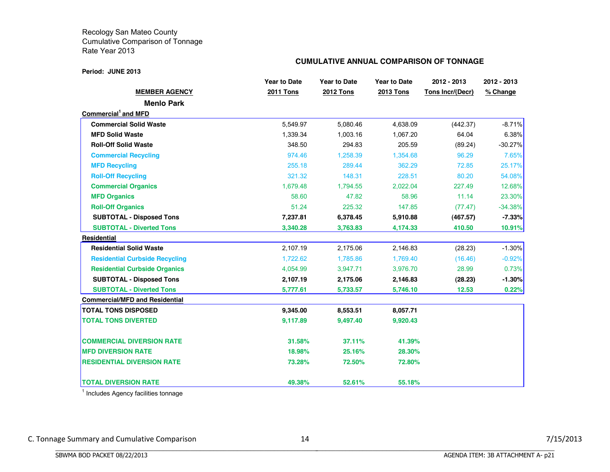#### **Period: JUNE 2013**

## **CUMULATIVE ANNUAL COMPARISON OF TONNAGE**

|                                       | <b>Year to Date</b> | <b>Year to Date</b> | <b>Year to Date</b> | 2012 - 2013      | 2012 - 2013 |
|---------------------------------------|---------------------|---------------------|---------------------|------------------|-------------|
| <b>MEMBER AGENCY</b>                  | <b>2011 Tons</b>    | <b>2012 Tons</b>    | <b>2013 Tons</b>    | Tons Incr/(Decr) | % Change    |
| <b>Menlo Park</b>                     |                     |                     |                     |                  |             |
| Commercial and MFD                    |                     |                     |                     |                  |             |
| <b>Commercial Solid Waste</b>         | 5,549.97            | 5,080.46            | 4,638.09            | (442.37)         | $-8.71%$    |
| <b>MFD Solid Waste</b>                | 1,339.34            | 1,003.16            | 1,067.20            | 64.04            | 6.38%       |
| <b>Roll-Off Solid Waste</b>           | 348.50              | 294.83              | 205.59              | (89.24)          | $-30.27%$   |
| <b>Commercial Recycling</b>           | 974.46              | 1,258.39            | 1,354.68            | 96.29            | 7.65%       |
| <b>MFD Recycling</b>                  | 255.18              | 289.44              | 362.29              | 72.85            | 25.17%      |
| <b>Roll-Off Recycling</b>             | 321.32              | 148.31              | 228.51              | 80.20            | 54.08%      |
| <b>Commercial Organics</b>            | 1,679.48            | 1,794.55            | 2,022.04            | 227.49           | 12.68%      |
| <b>MFD Organics</b>                   | 58.60               | 47.82               | 58.96               | 11.14            | 23.30%      |
| <b>Roll-Off Organics</b>              | 51.24               | 225.32              | 147.85              | (77.47)          | $-34.38%$   |
| <b>SUBTOTAL - Disposed Tons</b>       | 7,237.81            | 6,378.45            | 5,910.88            | (467.57)         | $-7.33%$    |
| <b>SUBTOTAL - Diverted Tons</b>       | 3,340.28            | 3,763.83            | 4,174.33            | 410.50           | 10.91%      |
| Residential                           |                     |                     |                     |                  |             |
| <b>Residential Solid Waste</b>        | 2,107.19            | 2,175.06            | 2,146.83            | (28.23)          | $-1.30%$    |
| <b>Residential Curbside Recycling</b> | 1,722.62            | 1,785.86            | 1,769.40            | (16.46)          | $-0.92%$    |
| <b>Residential Curbside Organics</b>  | 4,054.99            | 3,947.71            | 3,976.70            | 28.99            | 0.73%       |
| <b>SUBTOTAL - Disposed Tons</b>       | 2,107.19            | 2,175.06            | 2,146.83            | (28.23)          | $-1.30\%$   |
| <b>SUBTOTAL - Diverted Tons</b>       | 5,777.61            | 5,733.57            | 5,746.10            | 12.53            | 0.22%       |
| <b>Commercial/MFD and Residential</b> |                     |                     |                     |                  |             |
| <b>TOTAL TONS DISPOSED</b>            | 9,345.00            | 8,553.51            | 8,057.71            |                  |             |
| <b>TOTAL TONS DIVERTED</b>            | 9,117.89            | 9,497.40            | 9,920.43            |                  |             |
| <b>COMMERCIAL DIVERSION RATE</b>      | 31.58%              | 37.11%              | 41.39%              |                  |             |
| <b>MFD DIVERSION RATE</b>             | 18.98%              | 25.16%              | 28.30%              |                  |             |
| <b>RESIDENTIAL DIVERSION RATE</b>     | 73.28%              | 72.50%              | 72.80%              |                  |             |
| <b>TOTAL DIVERSION RATE</b>           | 49.38%              | 52.61%              | 55.18%              |                  |             |

<sup>1</sup> Includes Agency facilities tonnage

BBBBBBBBBBBBBBBBBBBBBBBBBBBBBBBBBBBBBBBBBBBBBBBBBBBBBBBBBBBBBBBBBBBBBBBBBBBBBB

C. Tonnage Summary and Cumulative Comparison 14 14 and 14 7/15/2013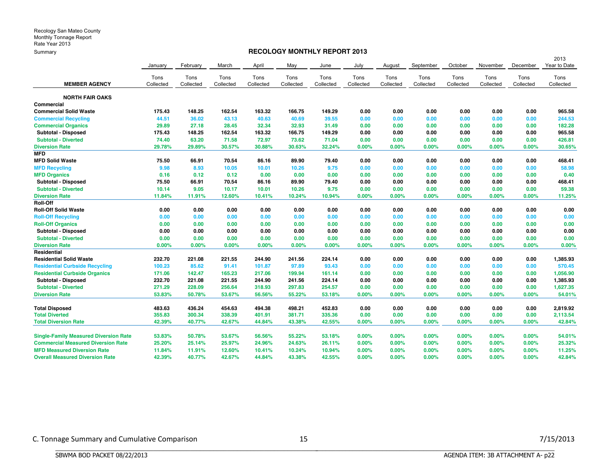## **RECOLOGY MONTHLY REPORT 2013**

|                                              |           |           |           |           |           |           |           |           |           |           |           |           | 2013         |
|----------------------------------------------|-----------|-----------|-----------|-----------|-----------|-----------|-----------|-----------|-----------|-----------|-----------|-----------|--------------|
|                                              | January   | February  | March     | April     | May       | June      | July      | August    | September | October   | November  | December  | Year to Date |
|                                              | Tons      | Tons      | Tons      | Tons      | Tons      | Tons      | Tons      | Tons      | Tons      | Tons      | Tons      | Tons      | Tons         |
| <b>MEMBER AGENCY</b>                         | Collected | Collected | Collected | Collected | Collected | Collected | Collected | Collected | Collected | Collected | Collected | Collected | Collected    |
| <b>NORTH FAIR OAKS</b>                       |           |           |           |           |           |           |           |           |           |           |           |           |              |
| Commercial                                   |           |           |           |           |           |           |           |           |           |           |           |           |              |
| <b>Commercial Solid Waste</b>                | 175.43    | 148.25    | 162.54    | 163.32    | 166.75    | 149.29    | 0.00      | 0.00      | 0.00      | 0.00      | 0.00      | 0.00      | 965.58       |
| <b>Commercial Recycling</b>                  | 44.51     | 36.02     | 43.13     | 40.63     | 40.69     | 39.55     | 0.00      | 0.00      | 0.00      | 0.00      | 0.00      | 0.00      | 244.53       |
| <b>Commercial Organics</b>                   | 29.89     | 27.18     | 28.45     | 32.34     | 32.93     | 31.49     | 0.00      | 0.00      | 0.00      | 0.00      | 0.00      | 0.00      | 182.28       |
| Subtotal - Disposed                          | 175.43    | 148.25    | 162.54    | 163.32    | 166.75    | 149.29    | 0.00      | 0.00      | 0.00      | 0.00      | 0.00      | 0.00      | 965.58       |
| <b>Subtotal - Diverted</b>                   | 74.40     | 63.20     | 71.58     | 72.97     | 73.62     | 71.04     | 0.00      | 0.00      | 0.00      | 0.00      | 0.00      | 0.00      | 426.81       |
| <b>Diversion Rate</b>                        | 29.78%    | 29.89%    | 30.57%    | 30.88%    | 30.63%    | 32.24%    | 0.00%     | $0.00\%$  | 0.00%     | 0.00%     | 0.00%     | 0.00%     | 30.65%       |
| <b>MFD</b>                                   |           |           |           |           |           |           |           |           |           |           |           |           |              |
| <b>MFD Solid Waste</b>                       | 75.50     | 66.91     | 70.54     | 86.16     | 89.90     | 79.40     | 0.00      | 0.00      | 0.00      | 0.00      | 0.00      | 0.00      | 468.41       |
| <b>MFD Recycling</b>                         | 9.98      | 8.93      | 10.05     | 10.01     | 10.26     | 9.75      | 0.00      | 0.00      | 0.00      | 0.00      | 0.00      | 0.00      | 58.98        |
| <b>MFD Organics</b>                          | 0.16      | 0.12      | 0.12      | 0.00      | 0.00      | 0.00      | 0.00      | 0.00      | 0.00      | 0.00      | 0.00      | 0.00      | 0.40         |
| Subtotal - Disposed                          | 75.50     | 66.91     | 70.54     | 86.16     | 89.90     | 79.40     | 0.00      | 0.00      | 0.00      | 0.00      | 0.00      | 0.00      | 468.41       |
| <b>Subtotal - Diverted</b>                   | 10.14     | 9.05      | 10.17     | 10.01     | 10.26     | 9.75      | 0.00      | 0.00      | 0.00      | 0.00      | 0.00      | 0.00      | 59.38        |
| <b>Diversion Rate</b>                        | 11.84%    | 11.91%    | 12.60%    | 10.41%    | 10.24%    | 10.94%    | $0.00\%$  | 0.00%     | 0.00%     | 0.00%     | 0.00%     | 0.00%     | 11.25%       |
| Roll-Off                                     |           |           |           |           |           |           |           |           |           |           |           |           |              |
| <b>Roll-Off Solid Waste</b>                  | 0.00      | 0.00      | 0.00      | 0.00      | 0.00      | 0.00      | 0.00      | 0.00      | 0.00      | 0.00      | 0.00      | 0.00      | 0.00         |
| <b>Roll-Off Recycling</b>                    | 0.00      | 0.00      | 0.00      | 0.00      | 0.00      | 0.00      | 0.00      | 0.00      | 0.00      | 0.00      | 0.00      | 0.00      | 0.00         |
| <b>Roll-Off Organics</b>                     | 0.00      | 0.00      | 0.00      | 0.00      | 0.00      | 0.00      | 0.00      | 0.00      | 0.00      | 0.00      | 0.00      | 0.00      | 0.00         |
| Subtotal - Disposed                          | 0.00      | 0.00      | 0.00      | 0.00      | 0.00      | 0.00      | 0.00      | 0.00      | 0.00      | 0.00      | 0.00      | 0.00      | 0.00         |
| <b>Subtotal - Diverted</b>                   | 0.00      | 0.00      | 0.00      | 0.00      | 0.00      | 0.00      | 0.00      | 0.00      | 0.00      | 0.00      | 0.00      | 0.00      | 0.00         |
| <b>Diversion Rate</b>                        | 0.00%     | 0.00%     | 0.00%     | 0.00%     | 0.00%     | 0.00%     | 0.00%     | $0.00\%$  | 0.00%     | 0.00%     | 0.00%     | 0.00%     | 0.00%        |
| Residential                                  |           |           |           |           |           |           |           |           |           |           |           |           |              |
| <b>Residential Solid Waste</b>               | 232.70    | 221.08    | 221.55    | 244.90    | 241.56    | 224.14    | 0.00      | 0.00      | 0.00      | 0.00      | 0.00      | 0.00      | 1,385.93     |
| <b>Residential Curbside Recycling</b>        | 100.23    | 85.62     | 91.41     | 101.87    | 97.89     | 93.43     | 0.00      | 0.00      | 0.00      | 0.00      | 0.00      | 0.00      | 570.45       |
| <b>Residential Curbside Organics</b>         | 171.06    | 142.47    | 165.23    | 217.06    | 199.94    | 161.14    | 0.00      | 0.00      | 0.00      | 0.00      | 0.00      | 0.00      | 1,056.90     |
| Subtotal - Disposed                          | 232.70    | 221.08    | 221.55    | 244.90    | 241.56    | 224.14    | 0.00      | 0.00      | 0.00      | 0.00      | 0.00      | 0.00      | 1,385.93     |
| <b>Subtotal - Diverted</b>                   | 271.29    | 228.09    | 256.64    | 318.93    | 297.83    | 254.57    | 0.00      | 0.00      | 0.00      | 0.00      | 0.00      | 0.00      | 1,627.35     |
| <b>Diversion Rate</b>                        | 53.83%    | 50.78%    | 53.67%    | 56.56%    | 55.22%    | 53.18%    | 0.00%     | 0.00%     | 0.00%     | 0.00%     | 0.00%     | 0.00%     | 54.01%       |
| <b>Total Disposed</b>                        | 483.63    | 436.24    | 454.63    | 494.38    | 498.21    | 452.83    | 0.00      | 0.00      | 0.00      | 0.00      | 0.00      | 0.00      | 2,819.92     |
| <b>Total Diverted</b>                        | 355.83    | 300.34    | 338.39    | 401.91    | 381.71    | 335.36    | 0.00      | 0.00      | 0.00      | 0.00      | 0.00      | 0.00      | 2,113.54     |
| <b>Total Diversion Rate</b>                  | 42.39%    | 40.77%    | 42.67%    | 44.84%    | 43.38%    | 42.55%    | 0.00%     | $0.00\%$  | 0.00%     | 0.00%     | 0.00%     | $0.00\%$  | 42.84%       |
| <b>Single-Family Measured Diversion Rate</b> | 53.83%    | 50.78%    | 53.67%    | 56.56%    | 55.22%    | 53.18%    | 0.00%     | 0.00%     | 0.00%     | 0.00%     | 0.00%     | 0.00%     | 54.01%       |
| <b>Commercial Measured Diversion Rate</b>    | 25.20%    | 25.14%    | 25.97%    | 24.96%    | 24.63%    | 26.11%    | 0.00%     | 0.00%     | 0.00%     | 0.00%     | 0.00%     | 0.00%     | 25.32%       |
| <b>MFD Measured Diversion Rate</b>           | 11.84%    | 11.91%    | 12.60%    | 10.41%    | 10.24%    | 10.94%    | 0.00%     | 0.00%     | 0.00%     | 0.00%     | 0.00%     | 0.00%     | 11.25%       |
| <b>Overall Measured Diversion Rate</b>       | 42.39%    | 40.77%    | 42.67%    | 44.84%    | 43.38%    | 42.55%    | $0.00\%$  | 0.00%     | 0.00%     | $0.00\%$  | 0.00%     | 0.00%     | 42.84%       |
|                                              |           |           |           |           |           |           |           |           |           |           |           |           |              |

BBBBBBBBBBBBBBBBBBBBBBBBBBBBBBBBBBBBBBBBBBBBBBBBBBBBBBBBBBBBBBBBBBBBBBBBBBBBBB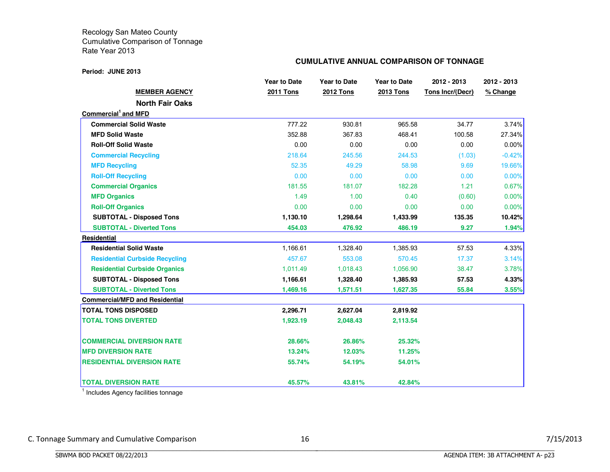#### **Period: JUNE 2013**

## **CUMULATIVE ANNUAL COMPARISON OF TONNAGE**

|                                       | <b>Year to Date</b> | <b>Year to Date</b> | <b>Year to Date</b> | 2012 - 2013      | 2012 - 2013 |
|---------------------------------------|---------------------|---------------------|---------------------|------------------|-------------|
| <b>MEMBER AGENCY</b>                  | <b>2011 Tons</b>    | <b>2012 Tons</b>    | <b>2013 Tons</b>    | Tons Incr/(Decr) | % Change    |
| <b>North Fair Oaks</b>                |                     |                     |                     |                  |             |
| Commercial <sup>1</sup> and MFD       |                     |                     |                     |                  |             |
| <b>Commercial Solid Waste</b>         | 777.22              | 930.81              | 965.58              | 34.77            | 3.74%       |
| <b>MFD Solid Waste</b>                | 352.88              | 367.83              | 468.41              | 100.58           | 27.34%      |
| <b>Roll-Off Solid Waste</b>           | 0.00                | 0.00                | 0.00                | 0.00             | $0.00\%$    |
| <b>Commercial Recycling</b>           | 218.64              | 245.56              | 244.53              | (1.03)           | $-0.42%$    |
| <b>MFD Recycling</b>                  | 52.35               | 49.29               | 58.98               | 9.69             | 19.66%      |
| <b>Roll-Off Recycling</b>             | 0.00                | 0.00                | 0.00                | 0.00             | 0.00%       |
| <b>Commercial Organics</b>            | 181.55              | 181.07              | 182.28              | 1.21             | 0.67%       |
| <b>MFD Organics</b>                   | 1.49                | 1.00                | 0.40                | (0.60)           | 0.00%       |
| <b>Roll-Off Organics</b>              | 0.00                | 0.00                | 0.00                | 0.00             | 0.00%       |
| <b>SUBTOTAL - Disposed Tons</b>       | 1,130.10            | 1,298.64            | 1,433.99            | 135.35           | 10.42%      |
| <b>SUBTOTAL - Diverted Tons</b>       | 454.03              | 476.92              | 486.19              | 9.27             | 1.94%       |
| <b>Residential</b>                    |                     |                     |                     |                  |             |
| <b>Residential Solid Waste</b>        | 1,166.61            | 1,328.40            | 1,385.93            | 57.53            | 4.33%       |
| <b>Residential Curbside Recycling</b> | 457.67              | 553.08              | 570.45              | 17.37            | 3.14%       |
| <b>Residential Curbside Organics</b>  | 1,011.49            | 1,018.43            | 1,056.90            | 38.47            | 3.78%       |
| <b>SUBTOTAL - Disposed Tons</b>       | 1,166.61            | 1,328.40            | 1,385.93            | 57.53            | 4.33%       |
| <b>SUBTOTAL - Diverted Tons</b>       | 1,469.16            | 1,571.51            | 1,627.35            | 55.84            | 3.55%       |
| <b>Commercial/MFD and Residential</b> |                     |                     |                     |                  |             |
| <b>TOTAL TONS DISPOSED</b>            | 2,296.71            | 2,627.04            | 2,819.92            |                  |             |
| <b>TOTAL TONS DIVERTED</b>            | 1,923.19            | 2,048.43            | 2,113.54            |                  |             |
| <b>COMMERCIAL DIVERSION RATE</b>      | 28.66%              | 26.86%              | 25.32%              |                  |             |
| <b>MFD DIVERSION RATE</b>             | 13.24%              | 12.03%              | 11.25%              |                  |             |
| <b>RESIDENTIAL DIVERSION RATE</b>     | 55.74%              | 54.19%              | 54.01%              |                  |             |
| <b>TOTAL DIVERSION RATE</b>           | 45.57%              | 43.81%              | 42.84%              |                  |             |

<sup>1</sup> Includes Agency facilities tonnage

BBBBBBBBBBBBBBBBBBBBBBBBBBBBBBBBBBBBBBBBBBBBBBBBBBBBBBBBBBBBBBBBBBBBBBBBBBBBBB

C. Tonnage Summary and Cumulative Comparison 16 16 16 16 17/15/2013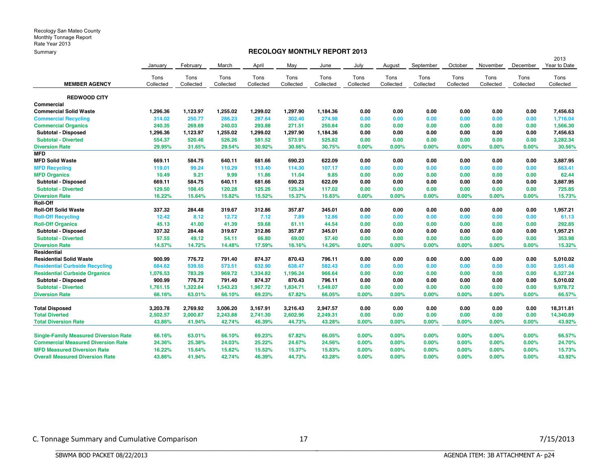## **RECOLOGY MONTHLY REPORT 2013**

|                                              |           |           |           |           |           |           |           |           |           |           |           |           | 2013         |
|----------------------------------------------|-----------|-----------|-----------|-----------|-----------|-----------|-----------|-----------|-----------|-----------|-----------|-----------|--------------|
|                                              | January   | February  | March     | April     | May       | June      | July      | August    | September | October   | November  | December  | Year to Date |
|                                              | Tons      | Tons      | Tons      | Tons      | Tons      | Tons      | Tons      | Tons      | Tons      | Tons      | Tons      | Tons      | Tons         |
| <b>MEMBER AGENCY</b>                         | Collected | Collected | Collected | Collected | Collected | Collected | Collected | Collected | Collected | Collected | Collected | Collected | Collected    |
|                                              |           |           |           |           |           |           |           |           |           |           |           |           |              |
| <b>REDWOOD CITY</b>                          |           |           |           |           |           |           |           |           |           |           |           |           |              |
| <b>Commercial</b>                            |           |           |           |           |           |           |           |           |           |           |           |           |              |
| <b>Commercial Solid Waste</b>                | 1.296.36  | 1,123.97  | 1,255.02  | 1.299.02  | 1,297.90  | 1,184.36  | 0.00      | 0.00      | 0.00      | 0.00      | 0.00      | 0.00      | 7,456.63     |
| <b>Commercial Recycling</b>                  | 314.02    | 250.77    | 286.23    | 287.64    | 302.40    | 274.98    | 0.00      | 0.00      | 0.00      | 0.00      | 0.00      | 0.00      | 1,716.04     |
| <b>Commercial Organics</b>                   | 240.35    | 269.69    | 240.03    | 293.88    | 271.51    | 250.84    | 0.00      | 0.00      | 0.00      | 0.00      | 0.00      | 0.00      | 1,566.30     |
| Subtotal - Disposed                          | 1,296.36  | 1,123.97  | 1,255.02  | 1,299.02  | 1,297.90  | 1,184.36  | 0.00      | 0.00      | 0.00      | 0.00      | 0.00      | 0.00      | 7,456.63     |
| <b>Subtotal - Diverted</b>                   | 554.37    | 520.46    | 526.26    | 581.52    | 573.91    | 525.82    | 0.00      | 0.00      | 0.00      | 0.00      | 0.00      | 0.00      | 3,282.34     |
| <b>Diversion Rate</b>                        | 29.95%    | 31.65%    | 29.54%    | 30.92%    | 30.66%    | 30.75%    | $0.00\%$  | 0.00%     | 0.00%     | 0.00%     | 0.00%     | 0.00%     | 30.56%       |
| <b>MFD</b>                                   |           |           |           |           |           |           |           |           |           |           |           |           |              |
| <b>MFD Solid Waste</b>                       | 669.11    | 584.75    | 640.11    | 681.66    | 690.23    | 622.09    | 0.00      | 0.00      | 0.00      | 0.00      | 0.00      | 0.00      | 3,887.95     |
| <b>MFD Recycling</b>                         | 119.01    | 99.24     | 110.29    | 113.40    | 114.30    | 107.17    | 0.00      | 0.00      | 0.00      | 0.00      | 0.00      | 0.00      | 663.41       |
| <b>MFD Organics</b>                          | 10.49     | 9.21      | 9.99      | 11.86     | 11.04     | 9.85      | 0.00      | 0.00      | 0.00      | 0.00      | 0.00      | 0.00      | 62.44        |
| <b>Subtotal - Disposed</b>                   | 669.11    | 584.75    | 640.11    | 681.66    | 690.23    | 622.09    | 0.00      | 0.00      | 0.00      | 0.00      | 0.00      | 0.00      | 3,887.95     |
| <b>Subtotal - Diverted</b>                   | 129.50    | 108.45    | 120.28    | 125.26    | 125.34    | 117.02    | 0.00      | 0.00      | 0.00      | 0.00      | 0.00      | 0.00      | 725.85       |
| <b>Diversion Rate</b>                        | 16.22%    | 15.64%    | 15.82%    | 15.52%    | 15.37%    | 15.83%    | 0.00%     | 0.00%     | 0.00%     | 0.00%     | 0.00%     | 0.00%     | 15.73%       |
| <b>Roll-Off</b>                              |           |           |           |           |           |           |           |           |           |           |           |           |              |
| <b>Roll-Off Solid Waste</b>                  | 337.32    | 284.48    | 319.67    | 312.86    | 357.87    | 345.01    | 0.00      | 0.00      | 0.00      | 0.00      | 0.00      | 0.00      | 1,957.21     |
| <b>Roll-Off Recycling</b>                    | 12.42     | 8.12      | 12.72     | 7.12      | 7.89      | 12.86     | 0.00      | 0.00      | 0.00      | 0.00      | 0.00      | 0.00      | 61.13        |
| <b>Roll-Off Organics</b>                     | 45.13     | 41.00     | 41.39     | 59.68     | 61.11     | 44.54     | 0.00      | 0.00      | 0.00      | 0.00      | 0.00      | 0.00      | 292.85       |
| Subtotal - Disposed                          | 337.32    | 284.48    | 319.67    | 312.86    | 357.87    | 345.01    | 0.00      | 0.00      | 0.00      | 0.00      | 0.00      | 0.00      | 1,957.21     |
| <b>Subtotal - Diverted</b>                   | 57.55     | 49.12     | 54.11     | 66.80     | 69.00     | 57.40     | 0.00      | 0.00      | 0.00      | 0.00      | 0.00      | 0.00      | 353.98       |
| <b>Diversion Rate</b>                        | 14.57%    | 14.72%    | 14.48%    | 17.59%    | 16.16%    | 14.26%    | 0.00%     | 0.00%     | 0.00%     | 0.00%     | 0.00%     | 0.00%     | 15.32%       |
| Residential                                  |           |           |           |           |           |           |           |           |           |           |           |           |              |
| <b>Residential Solid Waste</b>               | 900.99    | 776.72    | 791.40    | 874.37    | 870.43    | 796.11    | 0.00      | 0.00      | 0.00      | 0.00      | 0.00      | 0.00      | 5,010.02     |
| <b>Residential Curbside Recycling</b>        | 684.62    | 539.55    | 573.51    | 632.90    | 638.47    | 582.43    | 0.00      | 0.00      | 0.00      | 0.00      | 0.00      | 0.00      | 3,651.48     |
| <b>Residential Curbside Organics</b>         | 1,076.53  | 783.29    | 969.72    | 1,334.82  | 1,196.24  | 966.64    | 0.00      | 0.00      | 0.00      | 0.00      | 0.00      | 0.00      | 6,327.24     |
| <b>Subtotal - Disposed</b>                   | 900.99    | 776.72    | 791.40    | 874.37    | 870.43    | 796.11    | 0.00      | 0.00      | 0.00      | 0.00      | 0.00      | 0.00      | 5,010.02     |
| <b>Subtotal - Diverted</b>                   | 1,761.15  | 1,322.84  | 1,543.23  | 1,967.72  | 1,834.71  | 1,549.07  | 0.00      | 0.00      | 0.00      | 0.00      | 0.00      | 0.00      | 9,978.72     |
| <b>Diversion Rate</b>                        | 66.16%    | 63.01%    | 66.10%    | 69.23%    | 67.82%    | 66.05%    | 0.00%     | 0.00%     | 0.00%     | 0.00%     | 0.00%     | $0.00\%$  | 66.57%       |
| <b>Total Disposed</b>                        | 3,203.78  | 2,769.92  | 3,006.20  | 3,167.91  | 3,216.43  | 2,947.57  | 0.00      | 0.00      | 0.00      | 0.00      | 0.00      | 0.00      | 18,311.81    |
| <b>Total Diverted</b>                        | 2,502.57  | 2,000.87  | 2,243.88  | 2,741.30  | 2,602.96  | 2,249.31  | 0.00      | 0.00      | 0.00      | 0.00      | 0.00      | 0.00      | 14,340.89    |
| <b>Total Diversion Rate</b>                  | 43.86%    | 41.94%    | 42.74%    | 46.39%    | 44.73%    | 43.28%    | 0.00%     | 0.00%     | 0.00%     | 0.00%     | 0.00%     | 0.00%     | 43.92%       |
|                                              |           |           |           |           |           |           |           |           |           |           |           |           |              |
| <b>Single-Family Measured Diversion Rate</b> | 66.16%    | 63.01%    | 66.10%    | 69.23%    | 67.82%    | 66.05%    | $0.00\%$  | $0.00\%$  | $0.00\%$  | 0.00%     | 0.00%     | $0.00\%$  | 66.57%       |
| <b>Commercial Measured Diversion Rate</b>    | 24.36%    | 25.38%    | 24.03%    | 25.22%    | 24.67%    | 24.56%    | 0.00%     | 0.00%     | $0.00\%$  | 0.00%     | 0.00%     | $0.00\%$  | 24.70%       |
| <b>MFD Measured Diversion Rate</b>           | 16.22%    | 15.64%    | 15.82%    | 15.52%    | 15.37%    | 15.83%    | $0.00\%$  | 0.00%     | $0.00\%$  | 0.00%     | 0.00%     | $0.00\%$  | 15.73%       |
| <b>Overall Measured Diversion Rate</b>       | 43.86%    | 41.94%    | 42.74%    | 46.39%    | 44.73%    | 43.28%    | 0.00%     | 0.00%     | 0.00%     | 0.00%     | 0.00%     | 0.00%     | 43.92%       |

C. Tonnage Summary and Cumulative Comparison 17 17 18/2013

BBBBBBBBBBBBBBBBBBBBBBBBBBBBBBBBBBBBBBBBBBBBBBBBBBBBBBBBBBBBBBBBBBBBBBBBBBBBBB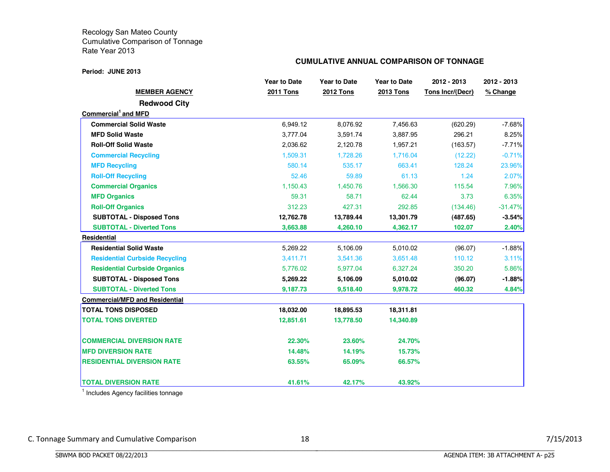#### **Period: JUNE 2013**

## **CUMULATIVE ANNUAL COMPARISON OF TONNAGE**

|                                       | <b>Year to Date</b> | <b>Year to Date</b> | <b>Year to Date</b> | 2012 - 2013      | 2012 - 2013 |
|---------------------------------------|---------------------|---------------------|---------------------|------------------|-------------|
| <b>MEMBER AGENCY</b>                  | <b>2011 Tons</b>    | <b>2012 Tons</b>    | <b>2013 Tons</b>    | Tons Incr/(Decr) | % Change    |
| <b>Redwood City</b>                   |                     |                     |                     |                  |             |
| Commercial <sup>1</sup> and MFD       |                     |                     |                     |                  |             |
| <b>Commercial Solid Waste</b>         | 6,949.12            | 8,076.92            | 7,456.63            | (620.29)         | $-7.68%$    |
| <b>MFD Solid Waste</b>                | 3,777.04            | 3,591.74            | 3,887.95            | 296.21           | 8.25%       |
| <b>Roll-Off Solid Waste</b>           | 2,036.62            | 2,120.78            | 1,957.21            | (163.57)         | $-7.71%$    |
| <b>Commercial Recycling</b>           | 1,509.31            | 1,728.26            | 1,716.04            | (12.22)          | $-0.71%$    |
| <b>MFD Recycling</b>                  | 580.14              | 535.17              | 663.41              | 128.24           | 23.96%      |
| <b>Roll-Off Recycling</b>             | 52.46               | 59.89               | 61.13               | 1.24             | 2.07%       |
| <b>Commercial Organics</b>            | 1.150.43            | 1.450.76            | 1.566.30            | 115.54           | 7.96%       |
| <b>MFD Organics</b>                   | 59.31               | 58.71               | 62.44               | 3.73             | 6.35%       |
| <b>Roll-Off Organics</b>              | 312.23              | 427.31              | 292.85              | (134.46)         | $-31.47%$   |
| <b>SUBTOTAL - Disposed Tons</b>       | 12,762.78           | 13,789.44           | 13,301.79           | (487.65)         | $-3.54%$    |
| <b>SUBTOTAL - Diverted Tons</b>       | 3,663.88            | 4,260.10            | 4,362.17            | 102.07           | 2.40%       |
| Residential                           |                     |                     |                     |                  |             |
| <b>Residential Solid Waste</b>        | 5,269.22            | 5,106.09            | 5,010.02            | (96.07)          | $-1.88%$    |
| <b>Residential Curbside Recycling</b> | 3,411.71            | 3,541.36            | 3,651.48            | 110.12           | 3.11%       |
| <b>Residential Curbside Organics</b>  | 5,776.02            | 5,977.04            | 6,327.24            | 350.20           | 5.86%       |
| <b>SUBTOTAL - Disposed Tons</b>       | 5,269.22            | 5,106.09            | 5,010.02            | (96.07)          | $-1.88%$    |
| <b>SUBTOTAL - Diverted Tons</b>       | 9,187.73            | 9,518.40            | 9,978.72            | 460.32           | 4.84%       |
| <b>Commercial/MFD and Residential</b> |                     |                     |                     |                  |             |
| <b>TOTAL TONS DISPOSED</b>            | 18,032.00           | 18,895.53           | 18,311.81           |                  |             |
| <b>TOTAL TONS DIVERTED</b>            | 12,851.61           | 13,778.50           | 14,340.89           |                  |             |
| <b>COMMERCIAL DIVERSION RATE</b>      | 22.30%              | 23.60%              | 24.70%              |                  |             |
| <b>IMFD DIVERSION RATE</b>            | 14.48%              | 14.19%              | 15.73%              |                  |             |
| <b>RESIDENTIAL DIVERSION RATE</b>     | 63.55%              | 65.09%              | 66.57%              |                  |             |
| <b>TOTAL DIVERSION RATE</b>           | 41.61%              | 42.17%              | 43.92%              |                  |             |

<sup>1</sup> Includes Agency facilities tonnage

BBBBBBBBBBBBBBBBBBBBBBBBBBBBBBBBBBBBBBBBBBBBBBBBBBBBBBBBBBBBBBBBBBBBBBBBBBBBBB

C. Tonnage Summary and Cumulative Comparison 18 18 and 18 7/15/2013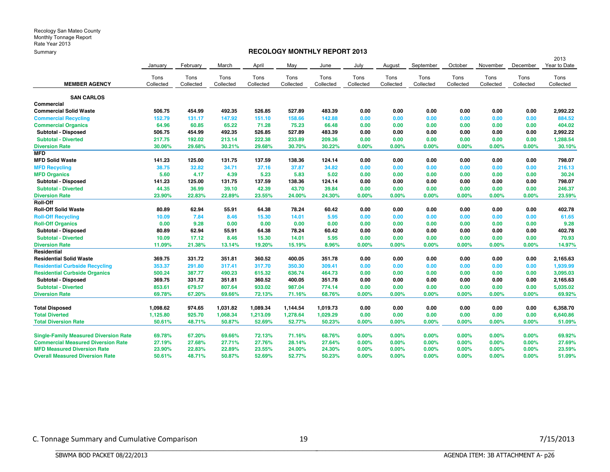### **RECOLOGY MONTHLY REPORT 2013**

|                                              |           |           |           |           |           |           |           |           |           |           |           |           | 2013         |
|----------------------------------------------|-----------|-----------|-----------|-----------|-----------|-----------|-----------|-----------|-----------|-----------|-----------|-----------|--------------|
|                                              | January   | February  | March     | April     | May       | June      | July      | August    | September | October   | November  | December  | Year to Date |
|                                              | Tons      | Tons      | Tons      | Tons      | Tons      | Tons      | Tons      | Tons      | Tons      | Tons      | Tons      | Tons      | Tons         |
| <b>MEMBER AGENCY</b>                         | Collected | Collected | Collected | Collected | Collected | Collected | Collected | Collected | Collected | Collected | Collected | Collected | Collected    |
| <b>SAN CARLOS</b>                            |           |           |           |           |           |           |           |           |           |           |           |           |              |
| Commercial                                   |           |           |           |           |           |           |           |           |           |           |           |           |              |
| <b>Commercial Solid Waste</b>                | 506.75    | 454.99    | 492.35    | 526.85    | 527.89    | 483.39    | 0.00      | 0.00      | 0.00      | 0.00      | 0.00      | 0.00      | 2,992.22     |
| <b>Commercial Recycling</b>                  | 152.79    | 131.17    | 147.92    | 151.10    | 158.66    | 142.88    | 0.00      | 0.00      | 0.00      | 0.00      | 0.00      | 0.00      | 884.52       |
| <b>Commercial Organics</b>                   | 64.96     | 60.85     | 65.22     | 71.28     | 75.23     | 66.48     | 0.00      | 0.00      | 0.00      | 0.00      | 0.00      | 0.00      | 404.02       |
| Subtotal - Disposed                          | 506.75    | 454.99    | 492.35    | 526.85    | 527.89    | 483.39    | 0.00      | 0.00      | 0.00      | 0.00      | 0.00      | 0.00      | 2,992.22     |
| <b>Subtotal - Diverted</b>                   | 217.75    | 192.02    | 213.14    | 222.38    | 233.89    | 209.36    | 0.00      | 0.00      | 0.00      | 0.00      | 0.00      | 0.00      | 1,288.54     |
| <b>Diversion Rate</b>                        | 30.06%    | 29.68%    | 30.21%    | 29.68%    | 30.70%    | 30.22%    | 0.00%     | $0.00\%$  | 0.00%     | 0.00%     | 0.00%     | 0.00%     | 30.10%       |
| <b>MFD</b>                                   |           |           |           |           |           |           |           |           |           |           |           |           |              |
| <b>MFD Solid Waste</b>                       | 141.23    | 125.00    | 131.75    | 137.59    | 138.36    | 124.14    | 0.00      | 0.00      | 0.00      | 0.00      | 0.00      | 0.00      | 798.07       |
| <b>MFD Recycling</b>                         | 38.75     | 32.82     | 34.71     | 37.16     | 37.87     | 34.82     | 0.00      | 0.00      | 0.00      | 0.00      | 0.00      | 0.00      | 216.13       |
| <b>MFD Organics</b>                          | 5.60      | 4.17      | 4.39      | 5.23      | 5.83      | 5.02      | 0.00      | 0.00      | 0.00      | 0.00      | 0.00      | 0.00      | 30.24        |
| Subtotal - Disposed                          | 141.23    | 125.00    | 131.75    | 137.59    | 138.36    | 124.14    | 0.00      | 0.00      | 0.00      | 0.00      | 0.00      | 0.00      | 798.07       |
| <b>Subtotal - Diverted</b>                   | 44.35     | 36.99     | 39.10     | 42.39     | 43.70     | 39.84     | 0.00      | 0.00      | 0.00      | 0.00      | 0.00      | 0.00      | 246.37       |
| <b>Diversion Rate</b>                        | 23.90%    | 22.83%    | 22.89%    | 23.55%    | 24.00%    | 24.30%    | 0.00%     | 0.00%     | 0.00%     | 0.00%     | 0.00%     | 0.00%     | 23.59%       |
| Roll-Off                                     |           |           |           |           |           |           |           |           |           |           |           |           |              |
| <b>Roll-Off Solid Waste</b>                  | 80.89     | 62.94     | 55.91     | 64.38     | 78.24     | 60.42     | 0.00      | 0.00      | 0.00      | 0.00      | 0.00      | 0.00      | 402.78       |
| <b>Roll-Off Recycling</b>                    | 10.09     | 7.84      | 8.46      | 15.30     | 14.01     | 5.95      | 0.00      | 0.00      | 0.00      | 0.00      | 0.00      | 0.00      | 61.65        |
| <b>Roll-Off Organics</b>                     | 0.00      | 9.28      | 0.00      | 0.00      | 0.00      | 0.00      | 0.00      | 0.00      | 0.00      | 0.00      | 0.00      | 0.00      | 9.28         |
| Subtotal - Disposed                          | 80.89     | 62.94     | 55.91     | 64.38     | 78.24     | 60.42     | 0.00      | 0.00      | 0.00      | 0.00      | 0.00      | 0.00      | 402.78       |
| <b>Subtotal - Diverted</b>                   | 10.09     | 17.12     | 8.46      | 15.30     | 14.01     | 5.95      | 0.00      | 0.00      | 0.00      | 0.00      | 0.00      | 0.00      | 70.93        |
| <b>Diversion Rate</b>                        | 11.09%    | 21.38%    | 13.14%    | 19.20%    | 15.19%    | 8.96%     | 0.00%     | 0.00%     | 0.00%     | 0.00%     | 0.00%     | 0.00%     | 14.97%       |
| Residential                                  |           |           |           |           |           |           |           |           |           |           |           |           |              |
| <b>Residential Solid Waste</b>               | 369.75    | 331.72    | 351.81    | 360.52    | 400.05    | 351.78    | 0.00      | 0.00      | 0.00      | 0.00      | 0.00      | 0.00      | 2,165.63     |
| <b>Residential Curbside Recycling</b>        | 353.37    | 291.80    | 317.41    | 317.70    | 350.30    | 309.41    | 0.00      | 0.00      | 0.00      | 0.00      | 0.00      | 0.00      | 1,939.99     |
| <b>Residential Curbside Organics</b>         | 500.24    | 387.77    | 490.23    | 615.32    | 636.74    | 464.73    | 0.00      | 0.00      | 0.00      | 0.00      | 0.00      | 0.00      | 3,095.03     |
| Subtotal - Disposed                          | 369.75    | 331.72    | 351.81    | 360.52    | 400.05    | 351.78    | 0.00      | 0.00      | 0.00      | 0.00      | 0.00      | 0.00      | 2,165.63     |
| <b>Subtotal - Diverted</b>                   | 853.61    | 679.57    | 807.64    | 933.02    | 987.04    | 774.14    | 0.00      | 0.00      | 0.00      | 0.00      | 0.00      | 0.00      | 5,035.02     |
| <b>Diversion Rate</b>                        | 69.78%    | 67.20%    | 69.66%    | 72.13%    | 71.16%    | 68.76%    | 0.00%     | $0.00\%$  | 0.00%     | 0.00%     | 0.00%     | 0.00%     | 69.92%       |
| <b>Total Disposed</b>                        | 1,098.62  | 974.65    | 1,031.82  | 1,089.34  | 1,144.54  | 1,019.73  | 0.00      | 0.00      | 0.00      | 0.00      | 0.00      | 0.00      | 6,358.70     |
| <b>Total Diverted</b>                        | 1,125.80  | 925.70    | 1,068.34  | 1,213.09  | 1,278.64  | 1,029.29  | 0.00      | 0.00      | 0.00      | 0.00      | 0.00      | 0.00      | 6,640.86     |
| <b>Total Diversion Rate</b>                  | 50.61%    | 48.71%    | 50.87%    | 52.69%    | 52.77%    | 50.23%    | 0.00%     | 0.00%     | 0.00%     | 0.00%     | 0.00%     | 0.00%     | 51.09%       |
| <b>Single-Family Measured Diversion Rate</b> | 69.78%    | 67.20%    | 69.66%    | 72.13%    | 71.16%    | 68.76%    | $0.00\%$  | $0.00\%$  | 0.00%     | 0.00%     | 0.00%     | 0.00%     | 69.92%       |
| <b>Commercial Measured Diversion Rate</b>    | 27.19%    | 27.68%    | 27.71%    | 27.76%    | 28.14%    | 27.64%    | 0.00%     | 0.00%     | 0.00%     | 0.00%     | 0.00%     | 0.00%     | 27.69%       |
| <b>MFD Measured Diversion Rate</b>           | 23.90%    | 22.83%    | 22.89%    | 23.55%    | 24.00%    | 24.30%    | $0.00\%$  | 0.00%     | 0.00%     | $0.00\%$  | 0.00%     | 0.00%     | 23.59%       |
| <b>Overall Measured Diversion Rate</b>       | 50.61%    | 48.71%    | 50.87%    | 52.69%    | 52.77%    | 50.23%    | 0.00%     | 0.00%     | 0.00%     | 0.00%     | 0.00%     | 0.00%     | 51.09%       |

BBBBBBBBBBBBBBBBBBBBBBBBBBBBBBBBBBBBBBBBBBBBBBBBBBBBBBBBBBBBBBBBBBBBBBBBBBBBBB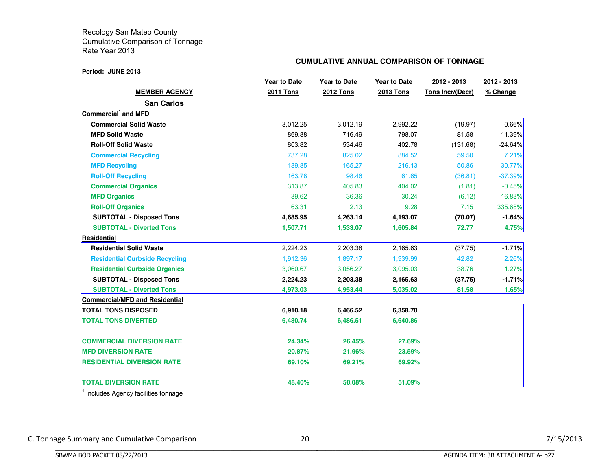#### **Period: JUNE 2013**

## **CUMULATIVE ANNUAL COMPARISON OF TONNAGE**

|                                       | <b>Year to Date</b> | <b>Year to Date</b> | <b>Year to Date</b> | 2012 - 2013      | 2012 - 2013 |
|---------------------------------------|---------------------|---------------------|---------------------|------------------|-------------|
| <b>MEMBER AGENCY</b>                  | <b>2011 Tons</b>    | <b>2012 Tons</b>    | <b>2013 Tons</b>    | Tons Incr/(Decr) | % Change    |
| <b>San Carlos</b>                     |                     |                     |                     |                  |             |
| Commercial and MFD                    |                     |                     |                     |                  |             |
| <b>Commercial Solid Waste</b>         | 3,012.25            | 3,012.19            | 2,992.22            | (19.97)          | $-0.66%$    |
| <b>MFD Solid Waste</b>                | 869.88              | 716.49              | 798.07              | 81.58            | 11.39%      |
| <b>Roll-Off Solid Waste</b>           | 803.82              | 534.46              | 402.78              | (131.68)         | $-24.64\%$  |
| <b>Commercial Recycling</b>           | 737.28              | 825.02              | 884.52              | 59.50            | 7.21%       |
| <b>MFD Recycling</b>                  | 189.85              | 165.27              | 216.13              | 50.86            | 30.77%      |
| <b>Roll-Off Recycling</b>             | 163.78              | 98.46               | 61.65               | (36.81)          | $-37.39%$   |
| <b>Commercial Organics</b>            | 313.87              | 405.83              | 404.02              | (1.81)           | $-0.45%$    |
| <b>MFD Organics</b>                   | 39.62               | 36.36               | 30.24               | (6.12)           | $-16.83%$   |
| <b>Roll-Off Organics</b>              | 63.31               | 2.13                | 9.28                | 7.15             | 335.68%     |
| <b>SUBTOTAL - Disposed Tons</b>       | 4,685.95            | 4,263.14            | 4,193.07            | (70.07)          | $-1.64%$    |
| <b>SUBTOTAL - Diverted Tons</b>       | 1,507.71            | 1,533.07            | 1,605.84            | 72.77            | 4.75%       |
| Residential                           |                     |                     |                     |                  |             |
| <b>Residential Solid Waste</b>        | 2,224.23            | 2,203.38            | 2,165.63            | (37.75)          | $-1.71%$    |
| <b>Residential Curbside Recycling</b> | 1,912.36            | 1,897.17            | 1,939.99            | 42.82            | 2.26%       |
| <b>Residential Curbside Organics</b>  | 3,060.67            | 3,056.27            | 3,095.03            | 38.76            | 1.27%       |
| <b>SUBTOTAL - Disposed Tons</b>       | 2,224.23            | 2,203.38            | 2,165.63            | (37.75)          | $-1.71%$    |
| <b>SUBTOTAL - Diverted Tons</b>       | 4,973.03            | 4,953.44            | 5,035.02            | 81.58            | 1.65%       |
| <b>Commercial/MFD and Residential</b> |                     |                     |                     |                  |             |
| <b>TOTAL TONS DISPOSED</b>            | 6,910.18            | 6,466.52            | 6,358.70            |                  |             |
| <b>TOTAL TONS DIVERTED</b>            | 6,480.74            | 6,486.51            | 6,640.86            |                  |             |
| <b>COMMERCIAL DIVERSION RATE</b>      | 24.34%              | 26.45%              | 27.69%              |                  |             |
| <b>MFD DIVERSION RATE</b>             | 20.87%              | 21.96%              | 23.59%              |                  |             |
| <b>RESIDENTIAL DIVERSION RATE</b>     | 69.10%              | 69.21%              | 69.92%              |                  |             |
| <b>TOTAL DIVERSION RATE</b>           | 48.40%              | 50.08%              | 51.09%              |                  |             |

<sup>1</sup> Includes Agency facilities tonnage

BBBBBBBBBBBBBBBBBBBBBBBBBBBBBBBBBBBBBBBBBBBBBBBBBBBBBBBBBBBBBBBBBBBBBBBBBBBBBB

C. Tonnage Summary and Cumulative Comparison 20 20 20 7/15/2013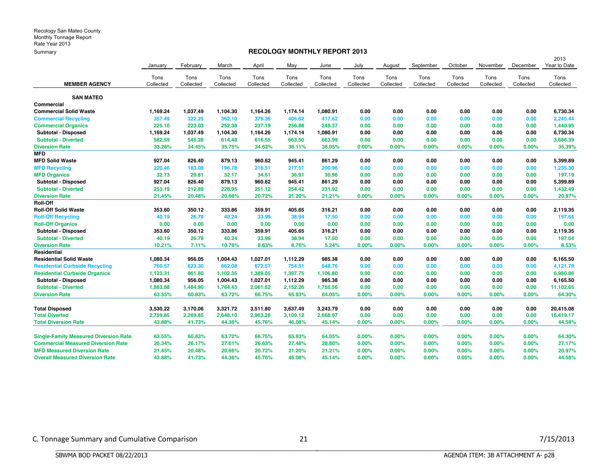## **RECOLOGY MONTHLY REPORT 2013**

|                                              |           |           |           |           |           |           |           |           |           |           |           |           | 2013         |
|----------------------------------------------|-----------|-----------|-----------|-----------|-----------|-----------|-----------|-----------|-----------|-----------|-----------|-----------|--------------|
|                                              | January   | February  | March     | April     | May       | June      | July      | August    | September | October   | November  | December  | Year to Date |
|                                              | Tons      | Tons      | Tons      | Tons      | Tons      | Tons      | Tons      | Tons      | Tons      | Tons      | Tons      | Tons      | Tons         |
| <b>MEMBER AGENCY</b>                         | Collected | Collected | Collected | Collected | Collected | Collected | Collected | Collected | Collected | Collected | Collected | Collected | Collected    |
|                                              |           |           |           |           |           |           |           |           |           |           |           |           |              |
| <b>SAN MATEO</b><br>Commercial               |           |           |           |           |           |           |           |           |           |           |           |           |              |
| <b>Commercial Solid Waste</b>                | 1,169.24  | 1,037.49  | 1,104.30  | 1,164.26  | 1,174.14  | 1,080.91  | 0.00      | 0.00      | 0.00      | 0.00      | 0.00      | 0.00      | 6,730.34     |
| <b>Commercial Recycling</b>                  | 357.49    | 322.25    | 362.10    | 379.36    | 406.62    | 417.62    | 0.00      | 0.00      | 0.00      | 0.00      | 0.00      | 0.00      | 2,245.44     |
| <b>Commercial Organics</b>                   | 225.10    | 223.03    | 252.38    | 237.19    | 256.88    | 246.37    | 0.00      | 0.00      | 0.00      | 0.00      | 0.00      | 0.00      | 1,440.95     |
| Subtotal - Disposed                          | 1,169.24  | 1,037.49  | 1,104.30  | 1,164.26  | 1,174.14  | 1,080.91  | 0.00      | 0.00      | 0.00      | 0.00      | 0.00      | 0.00      | 6,730.34     |
| <b>Subtotal - Diverted</b>                   | 582.59    | 545.28    | 614.48    | 616.55    | 663.50    | 663.99    | 0.00      | 0.00      | 0.00      | 0.00      | 0.00      | 0.00      | 3,686.39     |
| <b>Diversion Rate</b>                        | 33.26%    | 34.45%    | 35.75%    | 34.62%    | 36.11%    | 38.05%    | 0.00%     | 0.00%     | 0.00%     | 0.00%     | 0.00%     | 0.00%     | 35.39%       |
| <b>MFD</b>                                   |           |           |           |           |           |           |           |           |           |           |           |           |              |
| <b>MFD Solid Waste</b>                       | 927.04    | 826.40    | 879.13    | 960.62    | 945.41    | 861.29    | 0.00      | 0.00      | 0.00      | 0.00      | 0.00      | 0.00      | 5,399.89     |
| <b>MFD Recycling</b>                         | 220.46    | 183.08    | 196.78    | 216.51    | 217.51    | 200.96    | 0.00      | 0.00      | 0.00      | 0.00      | 0.00      | 0.00      | 1,235.30     |
| <b>MFD Organics</b>                          | 32.73     | 29.81     | 32.17     | 34.61     | 36.91     | 30.96     | 0.00      | 0.00      | 0.00      | 0.00      | 0.00      | 0.00      | 197.19       |
| Subtotal - Disposed                          | 927.04    | 826.40    | 879.13    | 960.62    | 945.41    | 861.29    | 0.00      | 0.00      | 0.00      | 0.00      | 0.00      | 0.00      | 5,399.89     |
| <b>Subtotal - Diverted</b>                   | 253.19    | 212.89    | 228.95    | 251.12    | 254.42    | 231.92    | 0.00      | 0.00      | 0.00      | 0.00      | 0.00      | 0.00      | 1,432.49     |
| <b>Diversion Rate</b>                        | 21.45%    | 20.48%    | 20.66%    | 20.72%    | 21.20%    | 21.21%    | 0.00%     | 0.00%     | $0.00\%$  | 0.00%     | 0.00%     | 0.00%     | 20.97%       |
| Roll-Off                                     |           |           |           |           |           |           |           |           |           |           |           |           |              |
| <b>Roll-Off Solid Waste</b>                  | 353.60    | 350.12    | 333.86    | 359.91    | 405.65    | 316.21    | 0.00      | 0.00      | 0.00      | 0.00      | 0.00      | 0.00      | 2,119.35     |
| <b>Roll-Off Recycling</b>                    | 40.19     | 26.78     | 40.24     | 33.99     | 38.94     | 17.50     | 0.00      | 0.00      | 0.00      | 0.00      | 0.00      | 0.00      | 197.64       |
| <b>Roll-Off Organics</b>                     | 0.00      | 0.00      | 0.00      | 0.00      | 0.00      | 0.00      | 0.00      | 0.00      | 0.00      | 0.00      | 0.00      | 0.00      | 0.00         |
| <b>Subtotal - Disposed</b>                   | 353.60    | 350.12    | 333.86    | 359.91    | 405.65    | 316.21    | 0.00      | 0.00      | 0.00      | 0.00      | 0.00      | 0.00      | 2,119.35     |
| <b>Subtotal - Diverted</b>                   | 40.19     | 26.78     | 40.24     | 33.99     | 38.94     | 17.50     | 0.00      | 0.00      | 0.00      | 0.00      | 0.00      | 0.00      | 197.64       |
| <b>Diversion Rate</b>                        | 10.21%    | 7.11%     | 10.76%    | 8.63%     | 8.76%     | 5.24%     | 0.00%     | 0.00%     | $0.00\%$  | 0.00%     | 0.00%     | 0.00%     | 8.53%        |
| <b>Residential</b>                           |           |           |           |           |           |           |           |           |           |           |           |           |              |
| <b>Residential Solid Waste</b>               | 1,080.34  | 956.05    | 1,004.43  | 1,027.01  | 1,112.29  | 985.38    | 0.00      | 0.00      | 0.00      | 0.00      | 0.00      | 0.00      | 6,165.50     |
| <b>Residential Curbside Recycling</b>        | 760.57    | 623.30    | 662.08    | 672.57    | 754.51    | 648.76    | 0.00      | 0.00      | 0.00      | 0.00      | 0.00      | 0.00      | 4,121.79     |
| <b>Residential Curbside Organics</b>         | 1,123.31  | 861.60    | 1,102.35  | 1,389.05  | 1,397.75  | 1,106.80  | 0.00      | 0.00      | 0.00      | 0.00      | 0.00      | 0.00      | 6,980.86     |
| <b>Subtotal - Disposed</b>                   | 1,080.34  | 956.05    | 1,004.43  | 1,027.01  | 1,112.29  | 985.38    | 0.00      | 0.00      | 0.00      | 0.00      | 0.00      | 0.00      | 6,165.50     |
| <b>Subtotal - Diverted</b>                   | 1,883.88  | 1,484.90  | 1,764.43  | 2,061.62  | 2,152.26  | 1,755.56  | 0.00      | 0.00      | 0.00      | 0.00      | 0.00      | 0.00      | 11,102.65    |
| <b>Diversion Rate</b>                        | 63.55%    | 60.83%    | 63.72%    | 66.75%    | 65.93%    | 64.05%    | 0.00%     | 0.00%     | 0.00%     | 0.00%     | 0.00%     | 0.00%     | 64.30%       |
| <b>Total Disposed</b>                        | 3,530.22  | 3,170.06  | 3,321.72  | 3,511.80  | 3,637.49  | 3,243.79  | 0.00      | 0.00      | 0.00      | 0.00      | 0.00      | 0.00      | 20,415.08    |
| <b>Total Diverted</b>                        | 2,759.85  | 2,269.85  | 2,648.10  | 2,963.28  | 3,109.12  | 2,668.97  | 0.00      | 0.00      | 0.00      | 0.00      | 0.00      | 0.00      | 16,419.17    |
| <b>Total Diversion Rate</b>                  | 43.88%    | 41.73%    | 44.36%    | 45.76%    | 46.08%    | 45.14%    | 0.00%     | 0.00%     | 0.00%     | 0.00%     | 0.00%     | 0.00%     | 44.58%       |
|                                              |           |           |           |           |           |           |           |           |           |           |           |           |              |
| <b>Single-Family Measured Diversion Rate</b> | 63.55%    | 60.83%    | 63.72%    | 66.75%    | 65.93%    | 64.05%    | $0.00\%$  | $0.00\%$  | $0.00\%$  | 0.00%     | 0.00%     | $0.00\%$  | 64.30%       |
| <b>Commercial Measured Diversion Rate</b>    | 26.34%    | 26.17%    | 27.61%    | 26.63%    | 27.48%    | 28.80%    | 0.00%     | 0.00%     | $0.00\%$  | 0.00%     | 0.00%     | $0.00\%$  | 27.17%       |
| <b>MFD Measured Diversion Rate</b>           | 21.45%    | 20.48%    | 20.66%    | 20.72%    | 21.20%    | 21.21%    | 0.00%     | $0.00\%$  | $0.00\%$  | 0.00%     | 0.00%     | $0.00\%$  | 20.97%       |
| <b>Overall Measured Diversion Rate</b>       | 43.88%    | 41.73%    | 44.36%    | 45.76%    | 46.08%    | 45.14%    | $0.00\%$  | 0.00%     | 0.00%     | 0.00%     | 0.00%     | $0.00\%$  | 44.58%       |

BBBBBBBBBBBBBBBBBBBBBBBBBBBBBBBBBBBBBBBBBBBBBBBBBBBBBBBBBBBBBBBBBBBBBBBBBBBBBB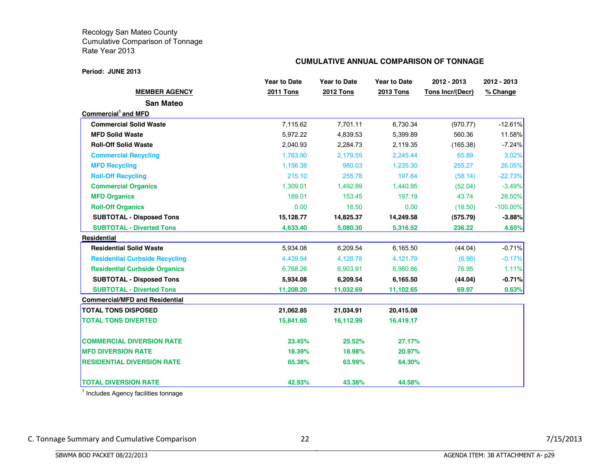#### **Period: JUNE 2013**

## **CUMULATIVE ANNUAL COMPARISON OF TONNAGE**

|                                       | <b>Year to Date</b> | <b>Year to Date</b> | <b>Year to Date</b> | 2012 - 2013      | 2012 - 2013 |
|---------------------------------------|---------------------|---------------------|---------------------|------------------|-------------|
| <b>MEMBER AGENCY</b>                  | <b>2011 Tons</b>    | <b>2012 Tons</b>    | <b>2013 Tons</b>    | Tons Incr/(Decr) | % Change    |
| <b>San Mateo</b>                      |                     |                     |                     |                  |             |
| Commercial and MFD                    |                     |                     |                     |                  |             |
| <b>Commercial Solid Waste</b>         | 7,115.62            | 7,701.11            | 6,730.34            | (970.77)         | $-12.61%$   |
| <b>MFD Solid Waste</b>                | 5,972.22            | 4,839.53            | 5,399.89            | 560.36           | 11.58%      |
| <b>Roll-Off Solid Waste</b>           | 2,040.93            | 2,284.73            | 2,119.35            | (165.38)         | $-7.24%$    |
| <b>Commercial Recycling</b>           | 1,763.90            | 2,179.55            | 2,245.44            | 65.89            | 3.02%       |
| <b>MFD Recycling</b>                  | 1,156.38            | 980.03              | 1,235.30            | 255.27           | 26.05%      |
| <b>Roll-Off Recycling</b>             | 215.10              | 255.78              | 197.64              | (58.14)          | $-22.73%$   |
| <b>Commercial Organics</b>            | 1.309.01            | 1.492.99            | 1.440.95            | (52.04)          | $-3.49%$    |
| <b>MFD Organics</b>                   | 189.01              | 153.45              | 197.19              | 43.74            | 28.50%      |
| <b>Roll-Off Organics</b>              | 0.00                | 18.50               | 0.00                | (18.50)          | $-100.00\%$ |
| <b>SUBTOTAL - Disposed Tons</b>       | 15,128.77           | 14,825.37           | 14,249.58           | (575.79)         | $-3.88%$    |
| <b>SUBTOTAL - Diverted Tons</b>       | 4,633.40            | 5,080.30            | 5,316.52            | 236.22           | 4.65%       |
| Residential                           |                     |                     |                     |                  |             |
| <b>Residential Solid Waste</b>        | 5,934.08            | 6,209.54            | 6,165.50            | (44.04)          | $-0.71%$    |
| <b>Residential Curbside Recycling</b> | 4,439.94            | 4,128.78            | 4,121.79            | (6.98)           | $-0.17%$    |
| <b>Residential Curbside Organics</b>  | 6,768.26            | 6,903.91            | 6,980.86            | 76.95            | 1.11%       |
| <b>SUBTOTAL - Disposed Tons</b>       | 5,934.08            | 6,209.54            | 6,165.50            | (44.04)          | $-0.71%$    |
| <b>SUBTOTAL - Diverted Tons</b>       | 11,208.20           | 11,032.69           | 11,102.65           | 69.97            | 0.63%       |
| <b>Commercial/MFD and Residential</b> |                     |                     |                     |                  |             |
| <b>TOTAL TONS DISPOSED</b>            | 21,062.85           | 21,034.91           | 20,415.08           |                  |             |
| <b>TOTAL TONS DIVERTED</b>            | 15,841.60           | 16,112.99           | 16,419.17           |                  |             |
| <b>COMMERCIAL DIVERSION RATE</b>      | 23.45%              | 25.52%              | 27.17%              |                  |             |
| <b>MFD DIVERSION RATE</b>             | 18.39%              | 18.98%              | 20.97%              |                  |             |
| <b>RESIDENTIAL DIVERSION RATE</b>     | 65.38%              | 63.99%              | 64.30%              |                  |             |
| <b>TOTAL DIVERSION RATE</b>           | 42.93%              | 43.38%              | 44.58%              |                  |             |

<sup>1</sup> Includes Agency facilities tonnage

BBBBBBBBBBBBBBBBBBBBBBBBBBBBBBBBBBBBBBBBBBBBBBBBBBBBBBBBBBBBBBBBBBBBBBBBBBBBBB

C.#Tonnage#Summary#and#Cumulative#Comparison 22 7/15/2013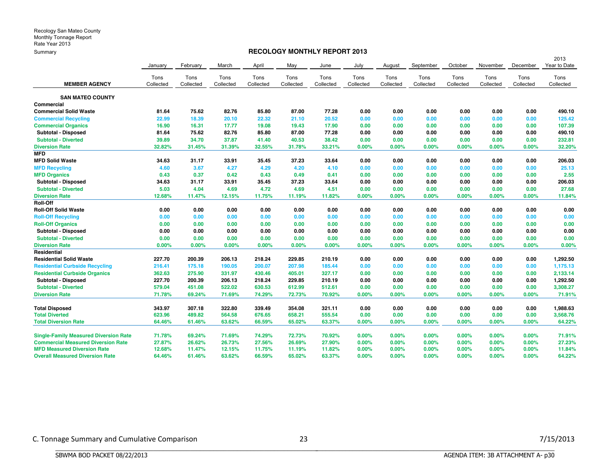## **RECOLOGY MONTHLY REPORT 2013**

|                                              |           |           |           |           |           |           |           |           |           |           |           |           | 2013         |
|----------------------------------------------|-----------|-----------|-----------|-----------|-----------|-----------|-----------|-----------|-----------|-----------|-----------|-----------|--------------|
|                                              | January   | February  | March     | April     | May       | June      | July      | August    | September | October   | November  | December  | Year to Date |
|                                              | Tons      | Tons      | Tons      | Tons      | Tons      | Tons      | Tons      | Tons      | Tons      | Tons      | Tons      | Tons      | Tons         |
| <b>MEMBER AGENCY</b>                         | Collected | Collected | Collected | Collected | Collected | Collected | Collected | Collected | Collected | Collected | Collected | Collected | Collected    |
| <b>SAN MATEO COUNTY</b>                      |           |           |           |           |           |           |           |           |           |           |           |           |              |
| Commercial                                   |           |           |           |           |           |           |           |           |           |           |           |           |              |
| <b>Commercial Solid Waste</b>                | 81.64     | 75.62     | 82.76     | 85.80     | 87.00     | 77.28     | 0.00      | 0.00      | 0.00      | 0.00      | 0.00      | 0.00      | 490.10       |
| <b>Commercial Recycling</b>                  | 22.99     | 18.39     | 20.10     | 22.32     | 21.10     | 20.52     | 0.00      | 0.00      | 0.00      | 0.00      | 0.00      | 0.00      | 125.42       |
| <b>Commercial Organics</b>                   | 16.90     | 16.31     | 17.77     | 19.08     | 19.43     | 17.90     | 0.00      | 0.00      | 0.00      | 0.00      | 0.00      | 0.00      | 107.39       |
| Subtotal - Disposed                          | 81.64     | 75.62     | 82.76     | 85.80     | 87.00     | 77.28     | 0.00      | 0.00      | 0.00      | 0.00      | 0.00      | 0.00      | 490.10       |
| <b>Subtotal - Diverted</b>                   | 39.89     | 34.70     | 37.87     | 41.40     | 40.53     | 38.42     | 0.00      | 0.00      | 0.00      | 0.00      | 0.00      | 0.00      | 232.81       |
| <b>Diversion Rate</b>                        | 32.82%    | 31.45%    | 31.39%    | 32.55%    | 31.78%    | 33.21%    | 0.00%     | 0.00%     | 0.00%     | 0.00%     | 0.00%     | 0.00%     | 32.20%       |
| <b>MFD</b>                                   |           |           |           |           |           |           |           |           |           |           |           |           |              |
| <b>MFD Solid Waste</b>                       | 34.63     | 31.17     | 33.91     | 35.45     | 37.23     | 33.64     | 0.00      | 0.00      | 0.00      | 0.00      | 0.00      | 0.00      | 206.03       |
| <b>MFD Recycling</b>                         | 4.60      | 3.67      | 4.27      | 4.29      | 4.20      | 4.10      | 0.00      | 0.00      | 0.00      | 0.00      | 0.00      | 0.00      | 25.13        |
| <b>MFD Organics</b>                          | 0.43      | 0.37      | 0.42      | 0.43      | 0.49      | 0.41      | 0.00      | 0.00      | 0.00      | 0.00      | 0.00      | 0.00      | 2.55         |
| Subtotal - Disposed                          | 34.63     | 31.17     | 33.91     | 35.45     | 37.23     | 33.64     | 0.00      | 0.00      | 0.00      | 0.00      | 0.00      | 0.00      | 206.03       |
| <b>Subtotal - Diverted</b>                   | 5.03      | 4.04      | 4.69      | 4.72      | 4.69      | 4.51      | 0.00      | 0.00      | 0.00      | 0.00      | 0.00      | 0.00      | 27.68        |
| <b>Diversion Rate</b>                        | 12.68%    | 11.47%    | 12.15%    | 11.75%    | 11.19%    | 11.82%    | 0.00%     | $0.00\%$  | 0.00%     | 0.00%     | 0.00%     | 0.00%     | 11.84%       |
| <b>Roll-Off</b>                              |           |           |           |           |           |           |           |           |           |           |           |           |              |
| <b>Roll-Off Solid Waste</b>                  | 0.00      | 0.00      | 0.00      | 0.00      | 0.00      | 0.00      | 0.00      | 0.00      | 0.00      | 0.00      | 0.00      | 0.00      | 0.00         |
| <b>Roll-Off Recycling</b>                    | 0.00      | 0.00      | 0.00      | 0.00      | 0.00      | 0.00      | 0.00      | 0.00      | 0.00      | 0.00      | 0.00      | 0.00      | 0.00         |
| <b>Roll-Off Organics</b>                     | 0.00      | 0.00      | 0.00      | 0.00      | 0.00      | 0.00      | 0.00      | 0.00      | 0.00      | 0.00      | 0.00      | 0.00      | 0.00         |
| Subtotal - Disposed                          | 0.00      | 0.00      | 0.00      | 0.00      | 0.00      | 0.00      | 0.00      | 0.00      | 0.00      | 0.00      | 0.00      | 0.00      | 0.00         |
| <b>Subtotal - Diverted</b>                   | 0.00      | 0.00      | 0.00      | 0.00      | 0.00      | 0.00      | 0.00      | 0.00      | 0.00      | 0.00      | 0.00      | 0.00      | 0.00         |
| <b>Diversion Rate</b>                        | 0.00%     | 0.00%     | 0.00%     | 0.00%     | 0.00%     | 0.00%     | 0.00%     | 0.00%     | 0.00%     | 0.00%     | 0.00%     | 0.00%     | 0.00%        |
| Residential                                  |           |           |           |           |           |           |           |           |           |           |           |           |              |
| <b>Residential Solid Waste</b>               | 227.70    | 200.39    | 206.13    | 218.24    | 229.85    | 210.19    | 0.00      | 0.00      | 0.00      | 0.00      | 0.00      | 0.00      | 1,292.50     |
| <b>Residential Curbside Recycling</b>        | 216.41    | 175.18    | 190.05    | 200.07    | 207.98    | 185.44    | 0.00      | 0.00      | 0.00      | 0.00      | 0.00      | 0.00      | 1,175.13     |
| <b>Residential Curbside Organics</b>         | 362.63    | 275.90    | 331.97    | 430.46    | 405.01    | 327.17    | 0.00      | 0.00      | 0.00      | 0.00      | 0.00      | 0.00      | 2,133.14     |
| Subtotal - Disposed                          | 227.70    | 200.39    | 206.13    | 218.24    | 229.85    | 210.19    | 0.00      | 0.00      | 0.00      | 0.00      | 0.00      | 0.00      | 1,292.50     |
| <b>Subtotal - Diverted</b>                   | 579.04    | 451.08    | 522.02    | 630.53    | 612.99    | 512.61    | 0.00      | 0.00      | 0.00      | 0.00      | 0.00      | 0.00      | 3,308.27     |
| <b>Diversion Rate</b>                        | 71.78%    | 69.24%    | 71.69%    | 74.29%    | 72.73%    | 70.92%    | 0.00%     | 0.00%     | 0.00%     | 0.00%     | 0.00%     | 0.00%     | 71.91%       |
| <b>Total Disposed</b>                        | 343.97    | 307.18    | 322.80    | 339.49    | 354.08    | 321.11    | 0.00      | 0.00      | 0.00      | 0.00      | 0.00      | 0.00      | 1,988.63     |
| <b>Total Diverted</b>                        | 623.96    | 489.82    | 564.58    | 676.65    | 658.21    | 555.54    | 0.00      | 0.00      | 0.00      | 0.00      | 0.00      | 0.00      | 3,568.76     |
| <b>Total Diversion Rate</b>                  | 64.46%    | 61.46%    | 63.62%    | 66.59%    | 65.02%    | 63.37%    | 0.00%     | 0.00%     | 0.00%     | 0.00%     | 0.00%     | 0.00%     | 64.22%       |
| <b>Single-Family Measured Diversion Rate</b> | 71.78%    | 69.24%    | 71.69%    | 74.29%    | 72.73%    | 70.92%    | $0.00\%$  | $0.00\%$  | 0.00%     | 0.00%     | 0.00%     | 0.00%     | 71.91%       |
| <b>Commercial Measured Diversion Rate</b>    | 27.87%    | 26.62%    | 26.73%    | 27.56%    | 26.69%    | 27.90%    | $0.00\%$  | $0.00\%$  | 0.00%     | 0.00%     | 0.00%     | 0.00%     | 27.23%       |
| <b>MFD Measured Diversion Rate</b>           | 12.68%    | 11.47%    | 12.15%    | 11.75%    | 11.19%    | 11.82%    | 0.00%     | $0.00\%$  | 0.00%     | 0.00%     | 0.00%     | 0.00%     | 11.84%       |
| <b>Overall Measured Diversion Rate</b>       | 64.46%    | 61.46%    | 63.62%    | 66.59%    | 65.02%    | 63.37%    | $0.00\%$  | 0.00%     | 0.00%     | $0.00\%$  | 0.00%     | 0.00%     | 64.22%       |

BBBBBBBBBBBBBBBBBBBBBBBBBBBBBBBBBBBBBBBBBBBBBBBBBBBBBBBBBBBBBBBBBBBBBBBBBBBBBB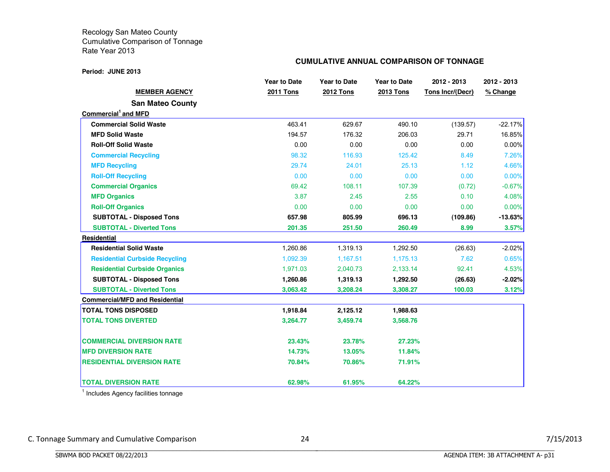#### **Period: JUNE 2013**

## **CUMULATIVE ANNUAL COMPARISON OF TONNAGE**

|                                       | <b>Year to Date</b> | <b>Year to Date</b> | <b>Year to Date</b> | 2012 - 2013      | 2012 - 2013 |
|---------------------------------------|---------------------|---------------------|---------------------|------------------|-------------|
| <b>MEMBER AGENCY</b>                  | <b>2011 Tons</b>    | <b>2012 Tons</b>    | <b>2013 Tons</b>    | Tons Incr/(Decr) | % Change    |
| <b>San Mateo County</b>               |                     |                     |                     |                  |             |
| Commercial and MFD                    |                     |                     |                     |                  |             |
| <b>Commercial Solid Waste</b>         | 463.41              | 629.67              | 490.10              | (139.57)         | $-22.17%$   |
| <b>MFD Solid Waste</b>                | 194.57              | 176.32              | 206.03              | 29.71            | 16.85%      |
| <b>Roll-Off Solid Waste</b>           | 0.00                | 0.00                | 0.00                | 0.00             | $0.00\%$    |
| <b>Commercial Recycling</b>           | 98.32               | 116.93              | 125.42              | 8.49             | 7.26%       |
| <b>MFD Recycling</b>                  | 29.74               | 24.01               | 25.13               | 1.12             | 4.66%       |
| <b>Roll-Off Recycling</b>             | 0.00                | 0.00                | 0.00                | 0.00             | 0.00%       |
| <b>Commercial Organics</b>            | 69.42               | 108.11              | 107.39              | (0.72)           | $-0.67%$    |
| <b>MFD Organics</b>                   | 3.87                | 2.45                | 2.55                | 0.10             | 4.08%       |
| <b>Roll-Off Organics</b>              | 0.00                | 0.00                | 0.00                | 0.00             | 0.00%       |
| <b>SUBTOTAL - Disposed Tons</b>       | 657.98              | 805.99              | 696.13              | (109.86)         | $-13.63%$   |
| <b>SUBTOTAL - Diverted Tons</b>       | 201.35              | 251.50              | 260.49              | 8.99             | 3.57%       |
| Residential                           |                     |                     |                     |                  |             |
| <b>Residential Solid Waste</b>        | 1,260.86            | 1,319.13            | 1,292.50            | (26.63)          | $-2.02%$    |
| <b>Residential Curbside Recycling</b> | 1,092.39            | 1,167.51            | 1,175.13            | 7.62             | 0.65%       |
| <b>Residential Curbside Organics</b>  | 1,971.03            | 2,040.73            | 2,133.14            | 92.41            | 4.53%       |
| <b>SUBTOTAL - Disposed Tons</b>       | 1,260.86            | 1,319.13            | 1,292.50            | (26.63)          | -2.02%      |
| <b>SUBTOTAL - Diverted Tons</b>       | 3,063.42            | 3,208.24            | 3,308.27            | 100.03           | 3.12%       |
| <b>Commercial/MFD and Residential</b> |                     |                     |                     |                  |             |
| <b>TOTAL TONS DISPOSED</b>            | 1,918.84            | 2,125.12            | 1,988.63            |                  |             |
| <b>TOTAL TONS DIVERTED</b>            | 3,264.77            | 3,459.74            | 3,568.76            |                  |             |
| <b>COMMERCIAL DIVERSION RATE</b>      | 23.43%              | 23.78%              | 27.23%              |                  |             |
| <b>MFD DIVERSION RATE</b>             | 14.73%              | 13.05%              | 11.84%              |                  |             |
| <b>RESIDENTIAL DIVERSION RATE</b>     | 70.84%              | 70.86%              | 71.91%              |                  |             |
| <b>TOTAL DIVERSION RATE</b>           | 62.98%              | 61.95%              | 64.22%              |                  |             |

<sup>1</sup> Includes Agency facilities tonnage

BBBBBBBBBBBBBBBBBBBBBBBBBBBBBBBBBBBBBBBBBBBBBBBBBBBBBBBBBBBBBBBBBBBBBBBBBBBBBB

C. Tonnage Summary and Cumulative Comparison 24 24 24 7/15/2013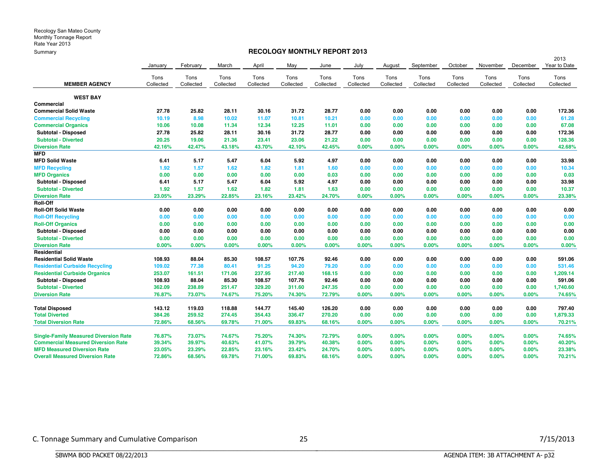## **RECOLOGY MONTHLY REPORT 2013**

|                                              |           |           |           |           |           |           |           |           |           |           |           |           | 2013         |
|----------------------------------------------|-----------|-----------|-----------|-----------|-----------|-----------|-----------|-----------|-----------|-----------|-----------|-----------|--------------|
|                                              | January   | February  | March     | April     | May       | June      | July      | August    | September | October   | November  | December  | Year to Date |
|                                              | Tons      | Tons      | Tons      | Tons      | Tons      | Tons      | Tons      | Tons      | Tons      | Tons      | Tons      | Tons      | Tons         |
| <b>MEMBER AGENCY</b>                         | Collected | Collected | Collected | Collected | Collected | Collected | Collected | Collected | Collected | Collected | Collected | Collected | Collected    |
| <b>WEST BAY</b>                              |           |           |           |           |           |           |           |           |           |           |           |           |              |
| Commercial                                   |           |           |           |           |           |           |           |           |           |           |           |           |              |
| <b>Commercial Solid Waste</b>                | 27.78     | 25.82     | 28.11     | 30.16     | 31.72     | 28.77     | 0.00      | 0.00      | 0.00      | 0.00      | 0.00      | 0.00      | 172.36       |
| <b>Commercial Recycling</b>                  | 10.19     | 8.98      | 10.02     | 11.07     | 10.81     | 10.21     | 0.00      | 0.00      | 0.00      | 0.00      | 0.00      | 0.00      | 61.28        |
| <b>Commercial Organics</b>                   | 10.06     | 10.08     | 11.34     | 12.34     | 12.25     | 11.01     | 0.00      | 0.00      | 0.00      | 0.00      | 0.00      | 0.00      | 67.08        |
| <b>Subtotal - Disposed</b>                   | 27.78     | 25.82     | 28.11     | 30.16     | 31.72     | 28.77     | 0.00      | 0.00      | 0.00      | 0.00      | 0.00      | 0.00      | 172.36       |
| <b>Subtotal - Diverted</b>                   | 20.25     | 19.06     | 21.36     | 23.41     | 23.06     | 21.22     | 0.00      | 0.00      | 0.00      | 0.00      | 0.00      | 0.00      | 128.36       |
| <b>Diversion Rate</b>                        | 42.16%    | 42.47%    | 43.18%    | 43.70%    | 42.10%    | 42.45%    | 0.00%     | $0.00\%$  | 0.00%     | 0.00%     | 0.00%     | 0.00%     | 42.68%       |
| <b>MFD</b>                                   |           |           |           |           |           |           |           |           |           |           |           |           |              |
| <b>MFD Solid Waste</b>                       | 6.41      | 5.17      | 5.47      | 6.04      | 5.92      | 4.97      | 0.00      | 0.00      | 0.00      | 0.00      | 0.00      | 0.00      | 33.98        |
| <b>MFD Recycling</b>                         | 1.92      | 1.57      | 1.62      | 1.82      | 1.81      | 1.60      | 0.00      | 0.00      | 0.00      | 0.00      | 0.00      | 0.00      | 10.34        |
| <b>MFD Organics</b>                          | 0.00      | 0.00      | 0.00      | 0.00      | 0.00      | 0.03      | 0.00      | 0.00      | 0.00      | 0.00      | 0.00      | 0.00      | 0.03         |
| <b>Subtotal - Disposed</b>                   | 6.41      | 5.17      | 5.47      | 6.04      | 5.92      | 4.97      | 0.00      | 0.00      | 0.00      | 0.00      | 0.00      | 0.00      | 33.98        |
| <b>Subtotal - Diverted</b>                   | 1.92      | 1.57      | 1.62      | 1.82      | 1.81      | 1.63      | 0.00      | 0.00      | 0.00      | 0.00      | 0.00      | 0.00      | 10.37        |
| <b>Diversion Rate</b>                        | 23.05%    | 23.29%    | 22.85%    | 23.16%    | 23.42%    | 24.70%    | $0.00\%$  | $0.00\%$  | 0.00%     | 0.00%     | 0.00%     | 0.00%     | 23.38%       |
| <b>Roll-Off</b>                              |           |           |           |           |           |           |           |           |           |           |           |           |              |
| <b>Roll-Off Solid Waste</b>                  | 0.00      | 0.00      | 0.00      | 0.00      | 0.00      | 0.00      | 0.00      | 0.00      | 0.00      | 0.00      | 0.00      | 0.00      | 0.00         |
| <b>Roll-Off Recycling</b>                    | 0.00      | 0.00      | 0.00      | 0.00      | 0.00      | 0.00      | 0.00      | 0.00      | 0.00      | 0.00      | 0.00      | 0.00      | 0.00         |
| <b>Roll-Off Organics</b>                     | 0.00      | 0.00      | 0.00      | 0.00      | 0.00      | 0.00      | 0.00      | 0.00      | 0.00      | 0.00      | 0.00      | 0.00      | 0.00         |
| Subtotal - Disposed                          | 0.00      | 0.00      | 0.00      | 0.00      | 0.00      | 0.00      | 0.00      | 0.00      | 0.00      | 0.00      | 0.00      | 0.00      | 0.00         |
| <b>Subtotal - Diverted</b>                   | 0.00      | 0.00      | 0.00      | 0.00      | 0.00      | 0.00      | 0.00      | 0.00      | 0.00      | 0.00      | 0.00      | 0.00      | 0.00         |
| <b>Diversion Rate</b>                        | 0.00%     | 0.00%     | 0.00%     | 0.00%     | 0.00%     | 0.00%     | 0.00%     | 0.00%     | 0.00%     | 0.00%     | 0.00%     | 0.00%     | 0.00%        |
| Residential                                  |           |           |           |           |           |           |           |           |           |           |           |           |              |
| <b>Residential Solid Waste</b>               | 108.93    | 88.04     | 85.30     | 108.57    | 107.76    | 92.46     | 0.00      | 0.00      | 0.00      | 0.00      | 0.00      | 0.00      | 591.06       |
| <b>Residential Curbside Recycling</b>        | 109.02    | 77.38     | 80.41     | 91.25     | 94.20     | 79.20     | 0.00      | 0.00      | 0.00      | 0.00      | 0.00      | 0.00      | 531.46       |
| <b>Residential Curbside Organics</b>         | 253.07    | 161.51    | 171.06    | 237.95    | 217.40    | 168.15    | 0.00      | 0.00      | 0.00      | 0.00      | 0.00      | 0.00      | 1,209.14     |
| Subtotal - Disposed                          | 108.93    | 88.04     | 85.30     | 108.57    | 107.76    | 92.46     | 0.00      | 0.00      | 0.00      | 0.00      | 0.00      | 0.00      | 591.06       |
| <b>Subtotal - Diverted</b>                   | 362.09    | 238.89    | 251.47    | 329.20    | 311.60    | 247.35    | 0.00      | 0.00      | 0.00      | 0.00      | 0.00      | 0.00      | 1,740.60     |
| <b>Diversion Rate</b>                        | 76.87%    | 73.07%    | 74.67%    | 75.20%    | 74.30%    | 72.79%    | 0.00%     | $0.00\%$  | 0.00%     | 0.00%     | 0.00%     | 0.00%     | 74.65%       |
| <b>Total Disposed</b>                        | 143.12    | 119.03    | 118.88    | 144.77    | 145.40    | 126.20    | 0.00      | 0.00      | 0.00      | 0.00      | 0.00      | 0.00      | 797.40       |
| <b>Total Diverted</b>                        | 384.26    | 259.52    | 274.45    | 354.43    | 336.47    | 270.20    | 0.00      | 0.00      | 0.00      | 0.00      | 0.00      | 0.00      | 1,879.33     |
| <b>Total Diversion Rate</b>                  | 72.86%    | 68.56%    | 69.78%    | 71.00%    | 69.83%    | 68.16%    | 0.00%     | $0.00\%$  | 0.00%     | 0.00%     | 0.00%     | 0.00%     | 70.21%       |
| <b>Single-Family Measured Diversion Rate</b> | 76.87%    | 73.07%    | 74.67%    | 75.20%    | 74.30%    | 72.79%    | 0.00%     | $0.00\%$  | 0.00%     | 0.00%     | 0.00%     | 0.00%     | 74.65%       |
| <b>Commercial Measured Diversion Rate</b>    | 39.34%    | 39.97%    | 40.63%    | 41.07%    | 39.79%    | 40.38%    | 0.00%     | 0.00%     | 0.00%     | 0.00%     | 0.00%     | 0.00%     | 40.20%       |
| <b>MFD Measured Diversion Rate</b>           | 23.05%    | 23.29%    | 22.85%    | 23.16%    | 23.42%    | 24.70%    | 0.00%     | 0.00%     | 0.00%     | 0.00%     | 0.00%     | 0.00%     | 23.38%       |
| <b>Overall Measured Diversion Rate</b>       | 72.86%    | 68.56%    | 69.78%    | 71.00%    | 69.83%    | 68.16%    | 0.00%     | $0.00\%$  | 0.00%     | 0.00%     | 0.00%     | 0.00%     | 70.21%       |

BBBBBBBBBBBBBBBBBBBBBBBBBBBBBBBBBBBBBBBBBBBBBBBBBBBBBBBBBBBBBBBBBBBBBBBBBBBBBB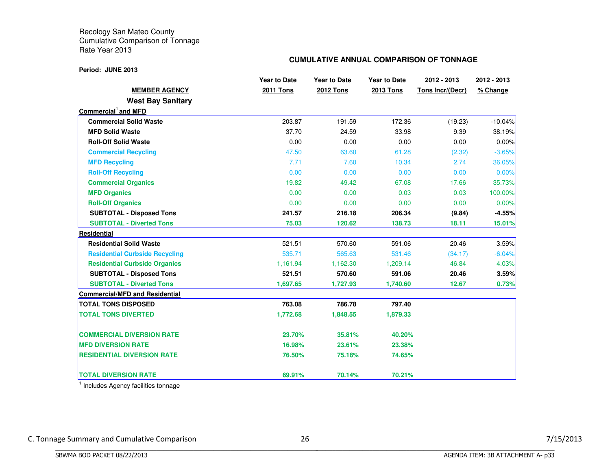## **CUMULATIVE ANNUAL COMPARISON OF TONNAGE**

**Period: JUNE 2013**

|                                       | <b>Year to Date</b> | <b>Year to Date</b> | <b>Year to Date</b> | 2012 - 2013      | 2012 - 2013 |
|---------------------------------------|---------------------|---------------------|---------------------|------------------|-------------|
| <b>MEMBER AGENCY</b>                  | 2011 Tons           | <b>2012 Tons</b>    | 2013 Tons           | Tons Incr/(Decr) | % Change    |
| <b>West Bay Sanitary</b>              |                     |                     |                     |                  |             |
| Commercial <sup>1</sup> and MFD       |                     |                     |                     |                  |             |
| <b>Commercial Solid Waste</b>         | 203.87              | 191.59              | 172.36              | (19.23)          | $-10.04%$   |
| <b>MFD Solid Waste</b>                | 37.70               | 24.59               | 33.98               | 9.39             | 38.19%      |
| <b>Roll-Off Solid Waste</b>           | 0.00                | 0.00                | 0.00                | 0.00             | 0.00%       |
| <b>Commercial Recycling</b>           | 47.50               | 63.60               | 61.28               | (2.32)           | $-3.65%$    |
| <b>MFD Recycling</b>                  | 7.71                | 7.60                | 10.34               | 2.74             | 36.05%      |
| <b>Roll-Off Recycling</b>             | 0.00                | 0.00                | 0.00                | 0.00             | 0.00%       |
| <b>Commercial Organics</b>            | 19.82               | 49.42               | 67.08               | 17.66            | 35.73%      |
| <b>MFD Organics</b>                   | 0.00                | 0.00                | 0.03                | 0.03             | 100.00%     |
| <b>Roll-Off Organics</b>              | 0.00                | 0.00                | 0.00                | 0.00             | 0.00%       |
| <b>SUBTOTAL - Disposed Tons</b>       | 241.57              | 216.18              | 206.34              | (9.84)           | $-4.55%$    |
| <b>SUBTOTAL - Diverted Tons</b>       | 75.03               | 120.62              | 138.73              | 18.11            | 15.01%      |
| Residential                           |                     |                     |                     |                  |             |
| <b>Residential Solid Waste</b>        | 521.51              | 570.60              | 591.06              | 20.46            | 3.59%       |
| <b>Residential Curbside Recycling</b> | 535.71              | 565.63              | 531.46              | (34.17)          | $-6.04%$    |
| <b>Residential Curbside Organics</b>  | 1,161.94            | 1,162.30            | 1,209.14            | 46.84            | 4.03%       |
| <b>SUBTOTAL - Disposed Tons</b>       | 521.51              | 570.60              | 591.06              | 20.46            | 3.59%       |
| <b>SUBTOTAL - Diverted Tons</b>       | 1,697.65            | 1,727.93            | 1,740.60            | 12.67            | 0.73%       |
| <b>Commercial/MFD and Residential</b> |                     |                     |                     |                  |             |
| <b>TOTAL TONS DISPOSED</b>            | 763.08              | 786.78              | 797.40              |                  |             |
| <b>TOTAL TONS DIVERTED</b>            | 1,772.68            | 1,848.55            | 1,879.33            |                  |             |
| <b>COMMERCIAL DIVERSION RATE</b>      | 23.70%              | 35.81%              | 40.20%              |                  |             |
| <b>MFD DIVERSION RATE</b>             | 16.98%              | 23.61%              | 23.38%              |                  |             |
| <b>RESIDENTIAL DIVERSION RATE</b>     | 76.50%              | 75.18%              | 74.65%              |                  |             |
| <b>TOTAL DIVERSION RATE</b>           | 69.91%              | 70.14%              | 70.21%              |                  |             |

<sup>1</sup> Includes Agency facilities tonnage

BBBBBBBBBBBBBBBBBBBBBBBBBBBBBBBBBBBBBBBBBBBBBBBBBBBBBBBBBBBBBBBBBBBBBBBBBBBBBB

C. Tonnage Summary and Cumulative Comparison 26 26 7/15/2013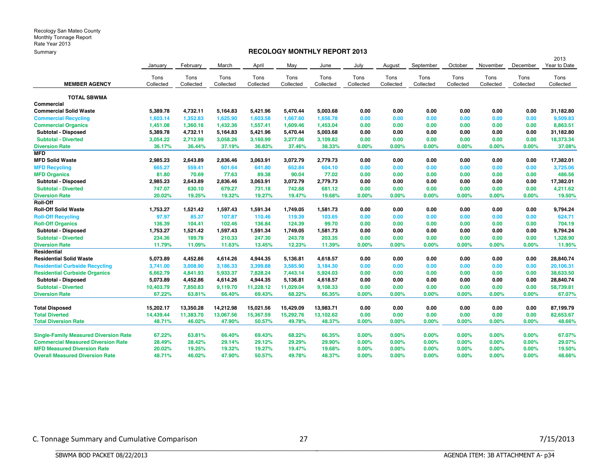## **RECOLOGY MONTHLY REPORT 2013**

|                                              |           |           |           |           |           |           |           |           |           |           |           |           | 2013         |
|----------------------------------------------|-----------|-----------|-----------|-----------|-----------|-----------|-----------|-----------|-----------|-----------|-----------|-----------|--------------|
|                                              | January   | February  | March     | April     | May       | June      | July      | August    | September | October   | November  | December  | Year to Date |
|                                              | Tons      | Tons      | Tons      | Tons      | Tons      | Tons      | Tons      | Tons      | Tons      | Tons      | Tons      | Tons      | Tons         |
| <b>MEMBER AGENCY</b>                         | Collected | Collected | Collected | Collected | Collected | Collected | Collected | Collected | Collected | Collected | Collected | Collected | Collected    |
| <b>TOTAL SBWMA</b>                           |           |           |           |           |           |           |           |           |           |           |           |           |              |
| Commercial                                   |           |           |           |           |           |           |           |           |           |           |           |           |              |
| <b>Commercial Solid Waste</b>                | 5,389.78  | 4,732.11  | 5,164.83  | 5,421.96  | 5,470.44  | 5,003.68  | 0.00      | 0.00      | 0.00      | 0.00      | 0.00      | 0.00      | 31,182.80    |
| <b>Commercial Recycling</b>                  | 1,603.14  | 1,352.83  | 1,625.90  | 1,603.58  | 1,667.60  | 1,656.78  | 0.00      | 0.00      | 0.00      | 0.00      | 0.00      | 0.00      | 9,509.83     |
| <b>Commercial Organics</b>                   | 1,451.08  | 1,360.16  | 1,432.36  | 1,557.41  | 1,609.46  | 1,453.04  | 0.00      | 0.00      | 0.00      | 0.00      | 0.00      | 0.00      | 8,863.51     |
| Subtotal - Disposed                          | 5,389.78  | 4,732.11  | 5,164.83  | 5,421.96  | 5,470.44  | 5,003.68  | 0.00      | 0.00      | 0.00      | 0.00      | 0.00      | 0.00      | 31,182.80    |
| <b>Subtotal - Diverted</b>                   | 3,054.22  | 2,712.99  | 3,058.26  | 3,160.99  | 3,277.06  | 3,109.82  | 0.00      | 0.00      | 0.00      | 0.00      | 0.00      | 0.00      | 18,373.34    |
| <b>Diversion Rate</b>                        | 36.17%    | 36.44%    | 37.19%    | 36.83%    | 37.46%    | 38.33%    | 0.00%     | $0.00\%$  | 0.00%     | 0.00%     | 0.00%     | 0.00%     | 37.08%       |
| <b>MFD</b>                                   |           |           |           |           |           |           |           |           |           |           |           |           |              |
| <b>MFD Solid Waste</b>                       | 2,985.23  | 2,643.89  | 2,836.46  | 3,063.91  | 3,072.79  | 2,779.73  | 0.00      | 0.00      | 0.00      | 0.00      | 0.00      | 0.00      | 17,382.01    |
| <b>MFD Recycling</b>                         | 665.27    | 559.41    | 601.64    | 641.80    | 652.84    | 604.10    | 0.00      | 0.00      | 0.00      | 0.00      | 0.00      | 0.00      | 3,725.06     |
| <b>MFD Organics</b>                          | 81.80     | 70.69     | 77.63     | 89.38     | 90.04     | 77.02     | 0.00      | 0.00      | 0.00      | 0.00      | 0.00      | 0.00      | 486.56       |
| Subtotal - Disposed                          | 2,985.23  | 2,643.89  | 2,836.46  | 3,063.91  | 3,072.79  | 2,779.73  | 0.00      | 0.00      | 0.00      | 0.00      | 0.00      | 0.00      | 17,382.01    |
| <b>Subtotal - Diverted</b>                   | 747.07    | 630.10    | 679.27    | 731.18    | 742.88    | 681.12    | 0.00      | 0.00      | 0.00      | 0.00      | 0.00      | 0.00      | 4,211.62     |
| <b>Diversion Rate</b>                        | 20.02%    | 19.25%    | 19.32%    | 19.27%    | 19.47%    | 19.68%    | 0.00%     | 0.00%     | 0.00%     | 0.00%     | 0.00%     | 0.00%     | 19.50%       |
| Roll-Off                                     |           |           |           |           |           |           |           |           |           |           |           |           |              |
| <b>Roll-Off Solid Waste</b>                  | 1,753.27  | 1,521.42  | 1,597.43  | 1,591.34  | 1,749.05  | 1,581.73  | 0.00      | 0.00      | 0.00      | 0.00      | 0.00      | 0.00      | 9,794.24     |
| <b>Roll-Off Recycling</b>                    | 97.97     | 85.37     | 107.87    | 110.46    | 119.39    | 103.65    | 0.00      | 0.00      | 0.00      | 0.00      | 0.00      | 0.00      | 624.71       |
| <b>Roll-Off Organics</b>                     | 136.39    | 104.41    | 102.46    | 136.84    | 124.39    | 99.70     | 0.00      | 0.00      | 0.00      | 0.00      | 0.00      | 0.00      | 704.19       |
| Subtotal - Disposed                          | 1,753.27  | 1,521.42  | 1,597.43  | 1,591.34  | 1,749.05  | 1,581.73  | 0.00      | 0.00      | 0.00      | 0.00      | 0.00      | 0.00      | 9,794.24     |
| <b>Subtotal - Diverted</b>                   | 234.36    | 189.78    | 210.33    | 247.30    | 243.78    | 203.35    | 0.00      | 0.00      | 0.00      | 0.00      | 0.00      | 0.00      | 1,328.90     |
| <b>Diversion Rate</b>                        | 11.79%    | 11.09%    | 11.63%    | 13.45%    | 12.23%    | 11.39%    | 0.00%     | 0.00%     | 0.00%     | 0.00%     | 0.00%     | 0.00%     | 11.95%       |
| Residential                                  |           |           |           |           |           |           |           |           |           |           |           |           |              |
| <b>Residential Solid Waste</b>               | 5,073.89  | 4,452.86  | 4,614.26  | 4,944.35  | 5,136.81  | 4,618.57  | 0.00      | 0.00      | 0.00      | 0.00      | 0.00      | 0.00      | 28,840.74    |
| <b>Residential Curbside Recycling</b>        | 3,741.00  | 3,008.90  | 3,186.33  | 3,399.88  | 3,585.90  | 3,184.30  | 0.00      | 0.00      | 0.00      | 0.00      | 0.00      | 0.00      | 20,106.31    |
| <b>Residential Curbside Organics</b>         | 6,662.79  | 4,841.93  | 5,933.37  | 7,828.24  | 7,443.14  | 5,924.03  | 0.00      | 0.00      | 0.00      | 0.00      | 0.00      | 0.00      | 38,633.50    |
| Subtotal - Disposed                          | 5,073.89  | 4,452.86  | 4,614.26  | 4,944.35  | 5,136.81  | 4,618.57  | 0.00      | 0.00      | 0.00      | 0.00      | 0.00      | 0.00      | 28,840.74    |
| <b>Subtotal - Diverted</b>                   | 10,403.79 | 7,850.83  | 9,119.70  | 11,228.12 | 11,029.04 | 9,108.33  | 0.00      | 0.00      | 0.00      | 0.00      | 0.00      | 0.00      | 58,739.81    |
| <b>Diversion Rate</b>                        | 67.22%    | 63.81%    | 66.40%    | 69.43%    | 68.22%    | 66.35%    | 0.00%     | $0.00\%$  | 0.00%     | 0.00%     | 0.00%     | 0.00%     | 67.07%       |
| <b>Total Disposed</b>                        | 15,202.17 | 13,350.28 | 14,212.98 | 15,021.56 | 15,429.09 | 13,983.71 | 0.00      | 0.00      | 0.00      | 0.00      | 0.00      | 0.00      | 87,199.79    |
| <b>Total Diverted</b>                        | 14,439.44 | 11,383.70 | 13,067.56 | 15,367.59 | 15,292.76 | 13,102.62 | 0.00      | 0.00      | 0.00      | 0.00      | 0.00      | 0.00      | 82,653.67    |
| <b>Total Diversion Rate</b>                  | 48.71%    | 46.02%    | 47.90%    | 50.57%    | 49.78%    | 48.37%    | 0.00%     | $0.00\%$  | 0.00%     | 0.00%     | 0.00%     | 0.00%     | 48.66%       |
| <b>Single-Family Measured Diversion Rate</b> | 67.22%    | 63.81%    | 66.40%    | 69.43%    | 68.22%    | 66.35%    | 0.00%     | 0.00%     | 0.00%     | $0.00\%$  | 0.00%     | 0.00%     | 67.07%       |
| <b>Commercial Measured Diversion Rate</b>    | 28.49%    | 28.42%    | 29.14%    | 29.12%    | 29.29%    | 29.90%    | 0.00%     | 0.00%     | 0.00%     | 0.00%     | 0.00%     | 0.00%     | 29.07%       |
| <b>MFD Measured Diversion Rate</b>           | 20.02%    | 19.25%    | 19.32%    | 19.27%    | 19.47%    | 19.68%    | 0.00%     | $0.00\%$  | 0.00%     | $0.00\%$  | 0.00%     | 0.00%     | 19.50%       |
| <b>Overall Measured Diversion Rate</b>       | 48.71%    | 46.02%    | 47.90%    | 50.57%    | 49.78%    | 48.37%    | $0.00\%$  | $0.00\%$  | 0.00%     | $0.00\%$  | 0.00%     | $0.00\%$  | 48.66%       |
|                                              |           |           |           |           |           |           |           |           |           |           |           |           |              |

BBBBBBBBBBBBBBBBBBBBBBBBBBBBBBBBBBBBBBBBBBBBBBBBBBBBBBBBBBBBBBBBBBBBBBBBBBBBBB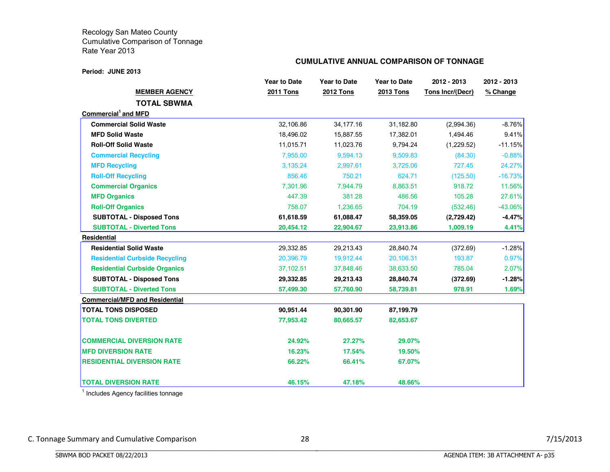#### **Period: JUNE 2013**

## **CUMULATIVE ANNUAL COMPARISON OF TONNAGE**

|                                       | <b>Year to Date</b> | <b>Year to Date</b> | <b>Year to Date</b> | 2012 - 2013             | 2012 - 2013 |
|---------------------------------------|---------------------|---------------------|---------------------|-------------------------|-------------|
| <b>MEMBER AGENCY</b>                  | <b>2011 Tons</b>    | <b>2012 Tons</b>    | <b>2013 Tons</b>    | <b>Tons Incr/(Decr)</b> | % Change    |
| <b>TOTAL SBWMA</b>                    |                     |                     |                     |                         |             |
| Commercial and MFD                    |                     |                     |                     |                         |             |
| <b>Commercial Solid Waste</b>         | 32,106.86           | 34, 177. 16         | 31,182.80           | (2,994.36)              | $-8.76%$    |
| <b>MFD Solid Waste</b>                | 18,496.02           | 15,887.55           | 17,382.01           | 1,494.46                | 9.41%       |
| <b>Roll-Off Solid Waste</b>           | 11,015.71           | 11,023.76           | 9,794.24            | (1,229.52)              | $-11.15%$   |
| <b>Commercial Recycling</b>           | 7,955.00            | 9,594.13            | 9,509.83            | (84.30)                 | $-0.88%$    |
| <b>MFD Recycling</b>                  | 3.135.24            | 2,997.61            | 3,725.06            | 727.45                  | 24.27%      |
| <b>Roll-Off Recycling</b>             | 856.46              | 750.21              | 624.71              | (125.50)                | $-16.73%$   |
| <b>Commercial Organics</b>            | 7,301.96            | 7,944.79            | 8,863.51            | 918.72                  | 11.56%      |
| <b>MFD Organics</b>                   | 447.39              | 381.28              | 486.56              | 105.28                  | 27.61%      |
| <b>Roll-Off Organics</b>              | 758.07              | 1,236.65            | 704.19              | (532.46)                | $-43.06\%$  |
| <b>SUBTOTAL - Disposed Tons</b>       | 61,618.59           | 61,088.47           | 58,359.05           | (2,729.42)              | $-4.47\%$   |
| <b>SUBTOTAL - Diverted Tons</b>       | 20,454.12           | 22,904.67           | 23,913.86           | 1,009.19                | 4.41%       |
| Residential                           |                     |                     |                     |                         |             |
| <b>Residential Solid Waste</b>        | 29,332.85           | 29,213.43           | 28,840.74           | (372.69)                | $-1.28%$    |
| <b>Residential Curbside Recycling</b> | 20,396.79           | 19,912.44           | 20,106.31           | 193.87                  | 0.97%       |
| <b>Residential Curbside Organics</b>  | 37,102.51           | 37,848.46           | 38,633.50           | 785.04                  | 2.07%       |
| <b>SUBTOTAL - Disposed Tons</b>       | 29,332.85           | 29,213.43           | 28,840.74           | (372.69)                | $-1.28%$    |
| <b>SUBTOTAL - Diverted Tons</b>       | 57,499.30           | 57,760.90           | 58,739.81           | 978.91                  | 1.69%       |
| <b>Commercial/MFD and Residential</b> |                     |                     |                     |                         |             |
| <b>TOTAL TONS DISPOSED</b>            | 90,951.44           | 90,301.90           | 87,199.79           |                         |             |
| <b>TOTAL TONS DIVERTED</b>            | 77,953.42           | 80,665.57           | 82,653.67           |                         |             |
| <b>COMMERCIAL DIVERSION RATE</b>      | 24.92%              | 27.27%              | 29.07%              |                         |             |
| <b>MFD DIVERSION RATE</b>             | 16.23%              | 17.54%              | 19.50%              |                         |             |
| <b>RESIDENTIAL DIVERSION RATE</b>     | 66.22%              | 66.41%              | 67.07%              |                         |             |
| <b>TOTAL DIVERSION RATE</b>           | 46.15%              | 47.18%              | 48.66%              |                         |             |

<sup>1</sup> Includes Agency facilities tonnage

BBBBBBBBBBBBBBBBBBBBBBBBBBBBBBBBBBBBBBBBBBBBBBBBBBBBBBBBBBBBBBBBBBBBBBBBBBBBBB

C. Tonnage Summary and Cumulative Comparison 28 28 28 7/15/2013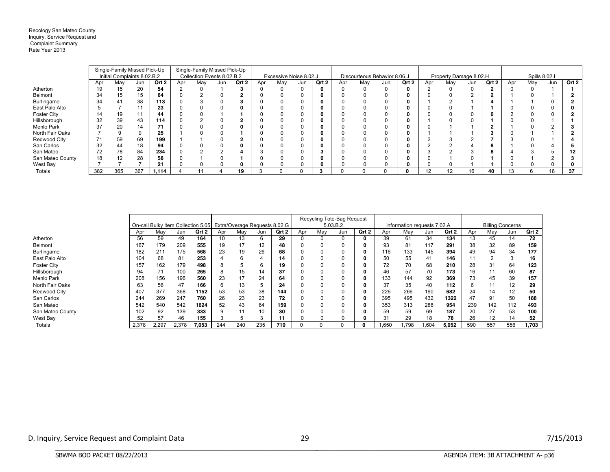Recology San Mateo County Inquiry, Service Request and Complaint Summary Rate Year 2013

|                    |     | Single-Family Missed Pick-Up |     |       |     | Single-Family Missed Pick-Up |     |       |     |                        |     |       |     |     |                              |       |     |                        |     |       |     |               |     |       |
|--------------------|-----|------------------------------|-----|-------|-----|------------------------------|-----|-------|-----|------------------------|-----|-------|-----|-----|------------------------------|-------|-----|------------------------|-----|-------|-----|---------------|-----|-------|
|                    |     | Initial Complaints 8.02.B.2  |     |       |     | Collection Events 8.02.B.2   |     |       |     | Excessive Noise 8.02.J |     |       |     |     | Discourteous Behavior 8.06.J |       |     | Property Damage 8.02.H |     |       |     | Spills 8.02.1 |     |       |
|                    | Apr | May                          | Jun | Qrt 2 | Apr | Mav                          | Jun | Qrt 2 | Apr | Mav                    | Jun | Qrt 2 | Apr | Mav | Jun                          | Qrt 2 | Apr | Mav                    | Jun | Qrt 2 | Apr | May           | Jun | Qrt 2 |
| Atherton           | 19  | 15                           | 20  | 54    |     |                              |     |       |     |                        |     |       |     |     |                              |       |     |                        |     |       |     |               |     |       |
| Belmont            | 34  | 15                           | 15  | 64    |     |                              | 0   |       |     |                        |     |       |     |     |                              |       |     |                        |     |       |     |               |     |       |
| Burlingame         | 34  | 41                           | 38  | 113   |     |                              |     |       |     |                        |     |       |     |     |                              |       |     |                        |     |       |     |               |     |       |
| East Palo Alto     |     |                              |     | 23    |     |                              |     |       |     |                        |     |       |     |     |                              |       |     |                        |     |       |     |               |     |       |
| <b>Foster City</b> | 14  | 19                           |     | 44    |     |                              |     |       |     |                        |     |       |     |     |                              |       |     |                        |     |       |     |               |     |       |
| Hillsborough       | 32  | 39                           | 43  | 114   |     |                              |     |       |     |                        |     |       |     |     |                              |       |     |                        |     |       |     |               |     |       |
| Menlo Park         | 37  | 20                           | 14  | 71    |     |                              |     |       |     |                        |     |       |     |     |                              |       |     |                        |     |       |     |               |     |       |
| North Fair Oaks    |     |                              |     | 25    |     |                              |     |       |     |                        |     |       |     |     |                              |       |     |                        |     |       |     |               |     |       |
| Redwood City       | 71  | 59                           | 69  | 199   |     |                              |     |       |     |                        |     |       |     |     |                              |       |     |                        |     |       |     |               |     |       |
| San Carlos         | 32  | 44                           | 18  | 94    |     |                              |     |       |     |                        |     |       |     |     |                              |       |     |                        |     |       |     |               |     |       |
| San Mateo          | 72  | 78                           | 84  | 234   |     |                              |     |       |     |                        |     |       |     |     |                              |       |     |                        |     | c     |     |               |     |       |
| San Mateo County   | 18  | 12                           | 28  | 58    |     |                              |     |       |     |                        |     |       |     |     |                              |       |     |                        |     |       |     |               |     |       |
| West Bay           |     |                              |     | 21    |     |                              |     |       |     |                        |     |       |     |     |                              |       |     |                        |     |       |     |               |     |       |
| Totals             | 382 | 365                          | 367 | 1,114 |     |                              |     | 19    |     |                        |     | 3     |     |     |                              |       | 12  | 12                     | 16  | 40    |     |               | 18  | 37    |

|                  |       |       |                                                                  |       |     |     |        |       |     |              | Recycling Tote-Bag Request |       |       |                             |       |       |     |     |                         |       |
|------------------|-------|-------|------------------------------------------------------------------|-------|-----|-----|--------|-------|-----|--------------|----------------------------|-------|-------|-----------------------------|-------|-------|-----|-----|-------------------------|-------|
|                  |       |       | On-call Bulky Item Collection 5.05 Extra/Overage Requests 8.02.G |       |     |     |        |       |     |              | 5.03.B.2                   |       |       | Information requests 7.02.A |       |       |     |     | <b>Billing Concerns</b> |       |
|                  | Apr   | Mav   | Jun                                                              | Qrt 2 | Apr | Mav | Jun    | Qrt 2 | Apr | May          | Jun                        | Qrt 2 | Apr   | Mav                         | Jun   | Qrt 2 | Apr | May | Jun                     | Qrt 2 |
| Atherton         | 56    | 59    | 49                                                               | 164   | 10  | 13  | 6      | 29    | U   | 0            | $\Omega$                   |       | 39    | 61                          | 34    | 134   | 13  | 45  | 14                      | 72    |
| Belmont          | 167   | 179   | 209                                                              | 555   | 19  | 17  | 12     | 48    |     | 0            | 0                          |       | 93    | 81                          | 117   | 291   | 38  | 32  | 89                      | 159   |
| Burlingame       | 182   | 211   | 175                                                              | 568   | 23  | 19  | 26     | 68    |     | 0            | 0                          |       | 116   | 133                         | 145   | 394   | 49  | 94  | 34                      | 177   |
| East Palo Alto   | 104   | 68    | 81                                                               | 253   |     | 6   |        | 14    |     |              |                            |       | 50    | 55                          | 41    | 146   |     |     | ◠                       | 16    |
| Foster City      | 157   | 162   | 179                                                              | 498   |     |     | 6      | 19    |     | 0            |                            |       | 72    | 70                          | 68    | 210   | 28  | 31  | 64                      | 123   |
| Hillsborough     | 94    | 71    | 100                                                              | 265   |     | 15  | 14     | 37    | 0   | 0            | 0                          |       | 46    | 57                          | 70    | 173   | 16  | 11  | 60                      | 87    |
| Menlo Park       | 208   | 156   | 196                                                              | 560   | 23  | 17  | 24     | 64    |     | 0            | 0                          |       | 133   | 144                         | 92    | 369   | 73  | 45  | 39                      | 157   |
| North Fair Oaks  | 63    | 56    | 47                                                               | 166   |     | 13  |        | 24    |     | 0            | 0                          |       | 37    | 35                          | 40    | 112   | 6   | 11  | 12                      | 29    |
| Redwood City     | 407   | 377   | 368                                                              | 1152  | 53  | 53  | 38     | 144   |     |              |                            |       | 226   | 266                         | 190   | 682   | 24  | 14  | 12                      | 50    |
| San Carlos       | 244   | 269   | 247                                                              | 760   | 26  | 23  | 23     | 72    |     | 0            |                            |       | 395   | 495                         | 432   | 1322  | 47  | 91  | 50                      | 188   |
| San Mateo        | 542   | 540   | 542                                                              | 1624  | 52  | 43  | 64     | 159   |     | 0            | 0                          |       | 353   | 313                         | 288   | 954   | 239 | 142 | 112                     | 493   |
| San Mateo County | 102   | 92    | 139                                                              | 333   |     | 44  | 10     | 30    |     | $\Omega$     | O                          |       | 59    | 59                          | 69    | 187   | 20  | 27  | 53                      | 100   |
| West Bay         | 52    | 57    | 46                                                               | 155   |     |     | $\sim$ | 11    |     |              |                            |       | 31    | 29                          | 18    | 78    | 26  | 12  | 14                      | 52    |
| Totals           | 2,378 | 2,297 | 2,378                                                            | 7,053 | 244 | 240 | 235    | 719   |     | <sup>0</sup> |                            |       | 1,650 | 798.ا                       | 1,604 | 5,052 | 590 | 557 | 556                     | 1,703 |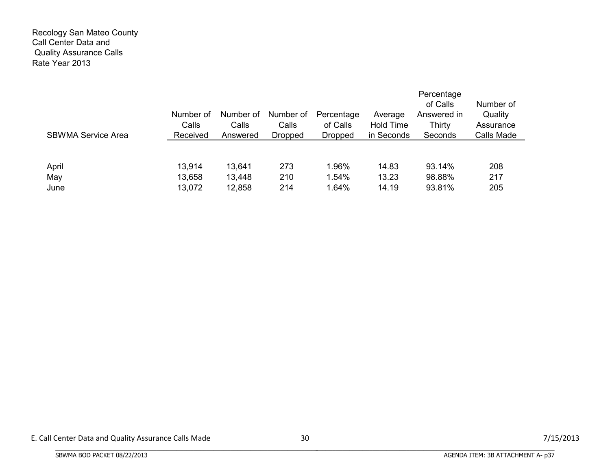## Recology San Mateo County Call Center Data and Quality Assurance Calls Rate Year 2013

| <b>SBWMA Service Area</b> | Number of<br>Calls<br>Received | Number of<br>Calls<br>Answered | Number of<br>Calls<br><b>Dropped</b> | Percentage<br>of Calls<br><b>Dropped</b> | Average<br><b>Hold Time</b><br>in Seconds | Percentage<br>of Calls<br>Answered in<br>Thirty<br>Seconds | Number of<br>Quality<br>Assurance<br>Calls Made |
|---------------------------|--------------------------------|--------------------------------|--------------------------------------|------------------------------------------|-------------------------------------------|------------------------------------------------------------|-------------------------------------------------|
| April<br>May              | 13,914<br>13,658               | 13,641<br>13,448               | 273<br>210                           | 1.96%<br>1.54%                           | 14.83<br>13.23                            | 93.14%<br>98.88%                                           | 208<br>217                                      |
| June                      | 13,072                         | 12,858                         | 214                                  | 1.64%                                    | 14.19                                     | 93.81%                                                     | 205                                             |

BBBBBBBBBBBBBBBBBBBBBBBBBBBBBBBBBBBBBBBBBBBBBBBBBBBBBBBBBBBBBBBBBBBBBBBBBBBBBB